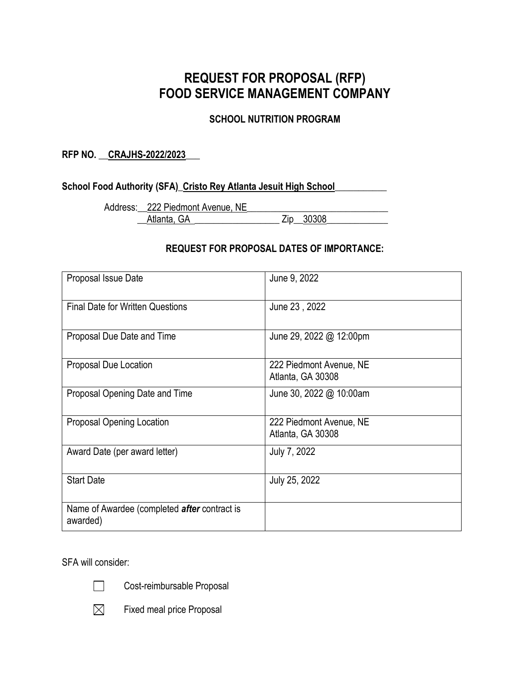# **REQUEST FOR PROPOSAL (RFP) FOOD SERVICE MANAGEMENT COMPANY**

### **SCHOOL NUTRITION PROGRAM**

### **RFP NO. \_\_CRAJHS-2022/2023\_\_\_**

### **School Food Authority (SFA)\_Cristo Rey Atlanta Jesuit High School\_\_\_\_\_\_\_\_\_\_\_**

Address: 222 Piedmont Avenue, NE Atlanta, GA  $\overline{2}$   $\overline{2}$   $\overline{2}$   $\overline{2}$   $\overline{30308}$ 

### **REQUEST FOR PROPOSAL DATES OF IMPORTANCE:**

| Proposal Issue Date                                             | June 9, 2022                                 |
|-----------------------------------------------------------------|----------------------------------------------|
| <b>Final Date for Written Questions</b>                         | June 23, 2022                                |
| Proposal Due Date and Time                                      | June 29, 2022 @ 12:00pm                      |
| Proposal Due Location                                           | 222 Piedmont Avenue, NE<br>Atlanta, GA 30308 |
| Proposal Opening Date and Time                                  | June 30, 2022 @ 10:00am                      |
| <b>Proposal Opening Location</b>                                | 222 Piedmont Avenue, NE<br>Atlanta, GA 30308 |
| Award Date (per award letter)                                   | July 7, 2022                                 |
| <b>Start Date</b>                                               | July 25, 2022                                |
| Name of Awardee (completed <i>after</i> contract is<br>awarded) |                                              |

SFA will consider:



Cost-reimbursable Proposal

 $\boxtimes$ 

Fixed meal price Proposal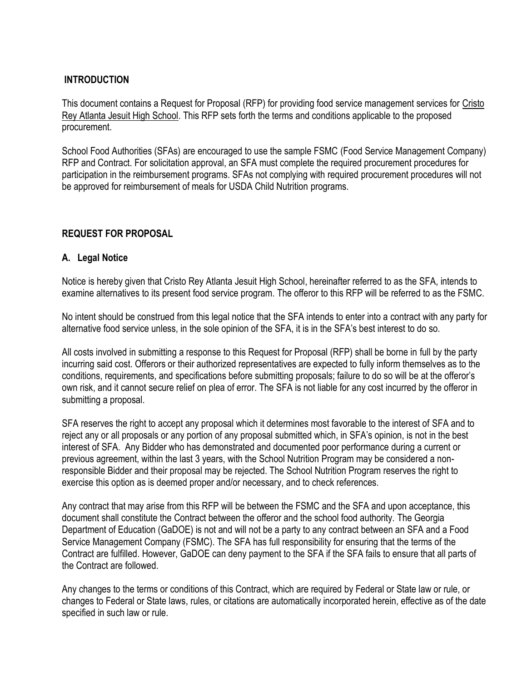### **INTRODUCTION**

This document contains a Request for Proposal (RFP) for providing food service management services for Cristo Rey Atlanta Jesuit High School. This RFP sets forth the terms and conditions applicable to the proposed procurement.

School Food Authorities (SFAs) are encouraged to use the sample FSMC (Food Service Management Company) RFP and Contract. For solicitation approval, an SFA must complete the required procurement procedures for participation in the reimbursement programs. SFAs not complying with required procurement procedures will not be approved for reimbursement of meals for USDA Child Nutrition programs.

### **REQUEST FOR PROPOSAL**

### **A. Legal Notice**

Notice is hereby given that Cristo Rey Atlanta Jesuit High School, hereinafter referred to as the SFA, intends to examine alternatives to its present food service program. The offeror to this RFP will be referred to as the FSMC.

No intent should be construed from this legal notice that the SFA intends to enter into a contract with any party for alternative food service unless, in the sole opinion of the SFA, it is in the SFA's best interest to do so.

All costs involved in submitting a response to this Request for Proposal (RFP) shall be borne in full by the party incurring said cost. Offerors or their authorized representatives are expected to fully inform themselves as to the conditions, requirements, and specifications before submitting proposals; failure to do so will be at the offeror's own risk, and it cannot secure relief on plea of error. The SFA is not liable for any cost incurred by the offeror in submitting a proposal.

SFA reserves the right to accept any proposal which it determines most favorable to the interest of SFA and to reject any or all proposals or any portion of any proposal submitted which, in SFA's opinion, is not in the best interest of SFA. Any Bidder who has demonstrated and documented poor performance during a current or previous agreement, within the last 3 years, with the School Nutrition Program may be considered a nonresponsible Bidder and their proposal may be rejected. The School Nutrition Program reserves the right to exercise this option as is deemed proper and/or necessary, and to check references.

Any contract that may arise from this RFP will be between the FSMC and the SFA and upon acceptance, this document shall constitute the Contract between the offeror and the school food authority. The Georgia Department of Education (GaDOE) is not and will not be a party to any contract between an SFA and a Food Service Management Company (FSMC). The SFA has full responsibility for ensuring that the terms of the Contract are fulfilled. However, GaDOE can deny payment to the SFA if the SFA fails to ensure that all parts of the Contract are followed.

Any changes to the terms or conditions of this Contract, which are required by Federal or State law or rule, or changes to Federal or State laws, rules, or citations are automatically incorporated herein, effective as of the date specified in such law or rule.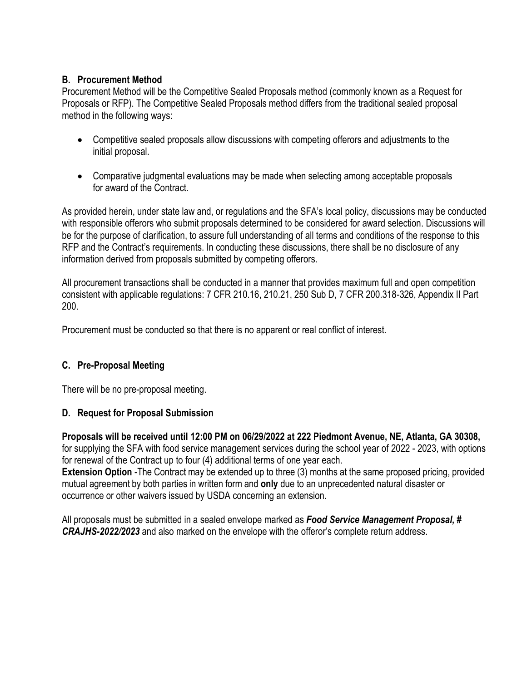### **B. Procurement Method**

Procurement Method will be the Competitive Sealed Proposals method (commonly known as a Request for Proposals or RFP). The Competitive Sealed Proposals method differs from the traditional sealed proposal method in the following ways:

- Competitive sealed proposals allow discussions with competing offerors and adjustments to the initial proposal.
- Comparative judgmental evaluations may be made when selecting among acceptable proposals for award of the Contract.

As provided herein, under state law and, or regulations and the SFA's local policy, discussions may be conducted with responsible offerors who submit proposals determined to be considered for award selection. Discussions will be for the purpose of clarification, to assure full understanding of all terms and conditions of the response to this RFP and the Contract's requirements. In conducting these discussions, there shall be no disclosure of any information derived from proposals submitted by competing offerors.

All procurement transactions shall be conducted in a manner that provides maximum full and open competition consistent with applicable regulations: 7 CFR 210.16, 210.21, 250 Sub D, 7 CFR 200.318-326, Appendix II Part 200.

Procurement must be conducted so that there is no apparent or real conflict of interest.

### **C. Pre-Proposal Meeting**

There will be no pre-proposal meeting.

### **D. Request for Proposal Submission**

**Proposals will be received until 12:00 PM on 06/29/2022 at 222 Piedmont Avenue, NE, Atlanta, GA 30308,** for supplying the SFA with food service management services during the school year of 2022 - 2023, with options for renewal of the Contract up to four (4) additional terms of one year each.

**Extension Option** -The Contract may be extended up to three (3) months at the same proposed pricing, provided mutual agreement by both parties in written form and **only** due to an unprecedented natural disaster or occurrence or other waivers issued by USDA concerning an extension.

All proposals must be submitted in a sealed envelope marked as *Food Service Management Proposal, # CRAJHS-2022/2023* and also marked on the envelope with the offeror's complete return address.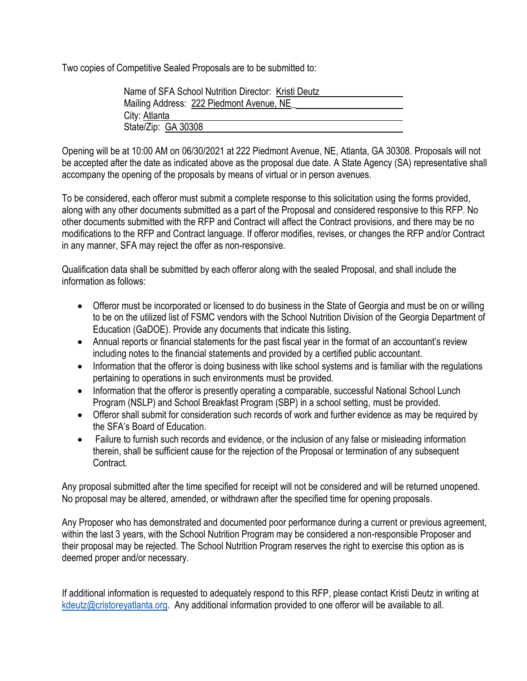Two copies of Competitive Sealed Proposals are to be submitted to:

| Name of SFA School Nutrition Director: Kristi Deutz |
|-----------------------------------------------------|
| Mailing Address: 222 Piedmont Avenue, NE            |
| City: Atlanta                                       |
| State/Zip: GA 30308                                 |
|                                                     |

Opening will be at 10:00 AM on 06/30/2021 at 222 Piedmont Avenue, NE, Atlanta, GA 30308. Proposals will not be accepted after the date as indicated above as the proposal due date. A State Agency (SA) representative shall accompany the opening of the proposals by means of virtual or in person avenues.

To be considered, each offeror must submit a complete response to this solicitation using the forms provided, along with any other documents submitted as a part of the Proposal and considered responsive to this RFP. No other documents submitted with the RFP and Contract will affect the Contract provisions, and there may be no modifications to the RFP and Contract language. If offeror modifies, revises, or changes the RFP and/or Contract in any manner, SFA may reject the offer as non-responsive.

Qualification data shall be submitted by each offeror along with the sealed Proposal, and shall include the information as follows:

- Offeror must be incorporated or licensed to do business in the State of Georgia and must be on or willing to be on the utilized list of FSMC vendors with the School Nutrition Division of the Georgia Department of Education (GaDOE). Provide any documents that indicate this listing.
- Annual reports or financial statements for the past fiscal year in the format of an accountant's review including notes to the financial statements and provided by a certified public accountant.
- Information that the offeror is doing business with like school systems and is familiar with the regulations pertaining to operations in such environments must be provided.
- Information that the offeror is presently operating a comparable, successful National School Lunch Program (NSLP) and School Breakfast Program (SBP) in a school setting, must be provided.
- Offeror shall submit for consideration such records of work and further evidence as may be required by the SFA's Board of Education.
- Failure to furnish such records and evidence, or the inclusion of any false or misleading information therein, shall be sufficient cause for the rejection of the Proposal or termination of any subsequent Contract.

Any proposal submitted after the time specified for receipt will not be considered and will be returned unopened. No proposal may be altered, amended, or withdrawn after the specified time for opening proposals.

Any Proposer who has demonstrated and documented poor performance during a current or previous agreement, within the last 3 years, with the School Nutrition Program may be considered a non-responsible Proposer and their proposal may be rejected. The School Nutrition Program reserves the right to exercise this option as is deemed proper and/or necessary.

If additional information is requested to adequately respond to this RFP, please contact Kristi Deutz in writing at [kdeutz@cristoreyatlanta.org.](mailto:kdeutz@cristoreyatlanta.org) Any additional information provided to one offeror will be available to all.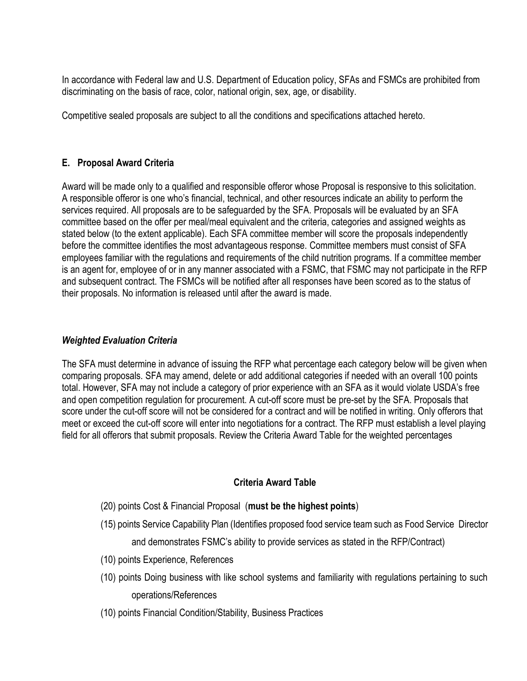In accordance with Federal law and U.S. Department of Education policy, SFAs and FSMCs are prohibited from discriminating on the basis of race, color, national origin, sex, age, or disability.

Competitive sealed proposals are subject to all the conditions and specifications attached hereto.

## **E. Proposal Award Criteria**

Award will be made only to a qualified and responsible offeror whose Proposal is responsive to this solicitation. A responsible offeror is one who's financial, technical, and other resources indicate an ability to perform the services required. All proposals are to be safeguarded by the SFA. Proposals will be evaluated by an SFA committee based on the offer per meal/meal equivalent and the criteria, categories and assigned weights as stated below (to the extent applicable). Each SFA committee member will score the proposals independently before the committee identifies the most advantageous response. Committee members must consist of SFA employees familiar with the regulations and requirements of the child nutrition programs. If a committee member is an agent for, employee of or in any manner associated with a FSMC, that FSMC may not participate in the RFP and subsequent contract. The FSMCs will be notified after all responses have been scored as to the status of their proposals. No information is released until after the award is made.

### *Weighted Evaluation Criteria*

The SFA must determine in advance of issuing the RFP what percentage each category below will be given when comparing proposals. SFA may amend, delete or add additional categories if needed with an overall 100 points total. However, SFA may not include a category of prior experience with an SFA as it would violate USDA's free and open competition regulation for procurement. A cut-off score must be pre-set by the SFA. Proposals that score under the cut-off score will not be considered for a contract and will be notified in writing. Only offerors that meet or exceed the cut-off score will enter into negotiations for a contract. The RFP must establish a level playing field for all offerors that submit proposals. Review the Criteria Award Table for the weighted percentages

### **Criteria Award Table**

- (20) points Cost & Financial Proposal (**must be the highest points**)
- (15) points Service Capability Plan (Identifies proposed food service team such as Food Service Director and demonstrates FSMC's ability to provide services as stated in the RFP/Contract)
- (10) points Experience, References
- (10) points Doing business with like school systems and familiarity with regulations pertaining to such operations/References
- (10) points Financial Condition/Stability, Business Practices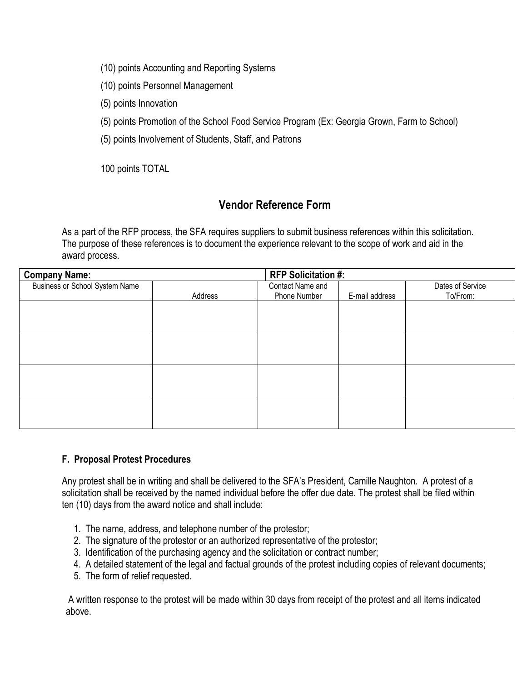- (10) points Accounting and Reporting Systems
- (10) points Personnel Management
- (5) points Innovation
- (5) points Promotion of the School Food Service Program (Ex: Georgia Grown, Farm to School)
- (5) points Involvement of Students, Staff, and Patrons

100 points TOTAL

# **Vendor Reference Form**

As a part of the RFP process, the SFA requires suppliers to submit business references within this solicitation. The purpose of these references is to document the experience relevant to the scope of work and aid in the award process.

| <b>Company Name:</b>                  |         | <b>RFP Solicitation #:</b> |                |                  |
|---------------------------------------|---------|----------------------------|----------------|------------------|
| <b>Business or School System Name</b> |         | Contact Name and           |                | Dates of Service |
|                                       | Address | Phone Number               | E-mail address | To/From:         |
|                                       |         |                            |                |                  |
|                                       |         |                            |                |                  |
|                                       |         |                            |                |                  |
|                                       |         |                            |                |                  |
|                                       |         |                            |                |                  |
|                                       |         |                            |                |                  |
|                                       |         |                            |                |                  |
|                                       |         |                            |                |                  |
|                                       |         |                            |                |                  |
|                                       |         |                            |                |                  |
|                                       |         |                            |                |                  |
|                                       |         |                            |                |                  |

### **F. Proposal Protest Procedures**

Any protest shall be in writing and shall be delivered to the SFA's President, Camille Naughton. A protest of a solicitation shall be received by the named individual before the offer due date. The protest shall be filed within ten (10) days from the award notice and shall include:

- 1. The name, address, and telephone number of the protestor;
- 2. The signature of the protestor or an authorized representative of the protestor;
- 3. Identification of the purchasing agency and the solicitation or contract number;
- 4. A detailed statement of the legal and factual grounds of the protest including copies of relevant documents;
- 5. The form of relief requested.

A written response to the protest will be made within 30 days from receipt of the protest and all items indicated above.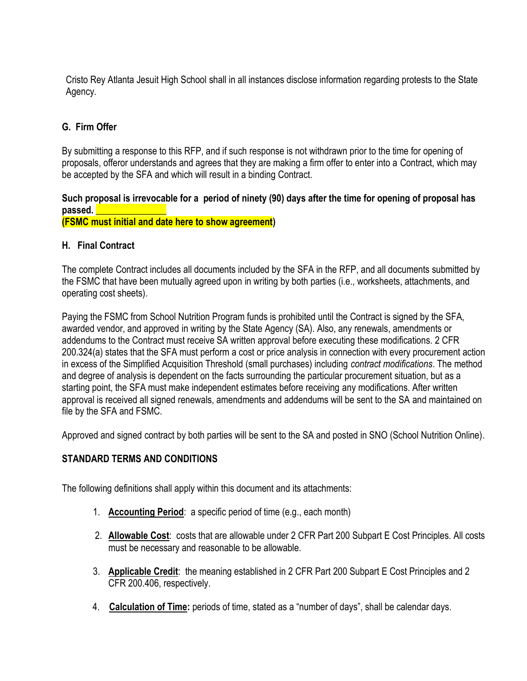Cristo Rey Atlanta Jesuit High School shall in all instances disclose information regarding protests to the State Agency.

## **G. Firm Offer**

By submitting a response to this RFP, and if such response is not withdrawn prior to the time for opening of proposals, offeror understands and agrees that they are making a firm offer to enter into a Contract, which may be accepted by the SFA and which will result in a binding Contract.

### **Such proposal is irrevocable for a period of ninety (90) days after the time for opening of proposal has**  passed.

**(FSMC must initial and date here to show agreement)**

### **H. Final Contract**

The complete Contract includes all documents included by the SFA in the RFP, and all documents submitted by the FSMC that have been mutually agreed upon in writing by both parties (i.e., worksheets, attachments, and operating cost sheets).

Paying the FSMC from School Nutrition Program funds is prohibited until the Contract is signed by the SFA, awarded vendor, and approved in writing by the State Agency (SA). Also, any renewals, amendments or addendums to the Contract must receive SA written approval before executing these modifications. 2 CFR 200.324(a) states that the SFA must perform a cost or price analysis in connection with every procurement action in excess of the Simplified Acquisition Threshold (small purchases) including *contract modifications*. The method and degree of analysis is dependent on the facts surrounding the particular procurement situation, but as a starting point, the SFA must make independent estimates before receiving any modifications. After written approval is received all signed renewals, amendments and addendums will be sent to the SA and maintained on file by the SFA and FSMC.

Approved and signed contract by both parties will be sent to the SA and posted in SNO (School Nutrition Online).

### **STANDARD TERMS AND CONDITIONS**

The following definitions shall apply within this document and its attachments:

- 1. **Accounting Period**: a specific period of time (e.g., each month)
- 2. **Allowable Cost**: costs that are allowable under 2 CFR Part 200 Subpart E Cost Principles. All costs must be necessary and reasonable to be allowable.
- 3. **Applicable Credit**: the meaning established in 2 CFR Part 200 Subpart E Cost Principles and 2 CFR 200.406, respectively.
- 4. **Calculation of Time:** periods of time, stated as a "number of days", shall be calendar days.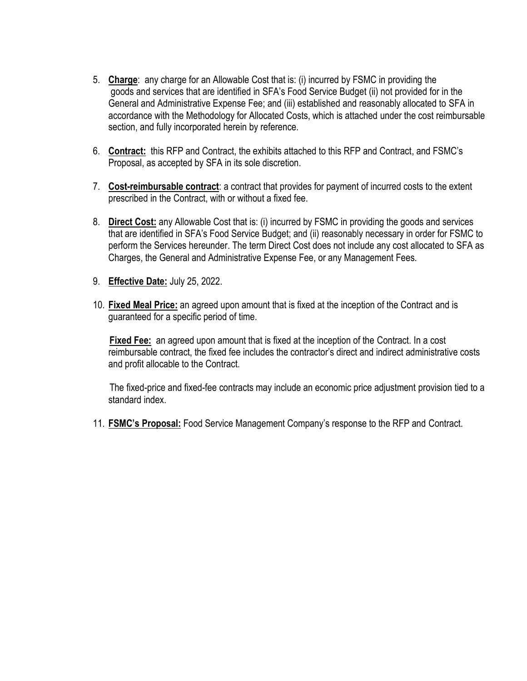- 5. **Charge**: any charge for an Allowable Cost that is: (i) incurred by FSMC in providing the goods and services that are identified in SFA's Food Service Budget (ii) not provided for in the General and Administrative Expense Fee; and (iii) established and reasonably allocated to SFA in accordance with the Methodology for Allocated Costs, which is attached under the cost reimbursable section, and fully incorporated herein by reference.
- 6. **Contract:** this RFP and Contract, the exhibits attached to this RFP and Contract, and FSMC's Proposal, as accepted by SFA in its sole discretion.
- 7. **Cost-reimbursable contract**: a contract that provides for payment of incurred costs to the extent prescribed in the Contract, with or without a fixed fee.
- 8. **Direct Cost:** any Allowable Cost that is: (i) incurred by FSMC in providing the goods and services that are identified in SFA's Food Service Budget; and (ii) reasonably necessary in order for FSMC to perform the Services hereunder. The term Direct Cost does not include any cost allocated to SFA as Charges, the General and Administrative Expense Fee, or any Management Fees.
- 9. **Effective Date:** July 25, 2022.
- 10. **Fixed Meal Price:** an agreed upon amount that is fixed at the inception of the Contract and is guaranteed for a specific period of time.

 **Fixed Fee:** an agreed upon amount that is fixed at the inception of the Contract. In a cost reimbursable contract, the fixed fee includes the contractor's direct and indirect administrative costs and profit allocable to the Contract.

 The fixed-price and fixed-fee contracts may include an economic price adjustment provision tied to a standard index.

11. **FSMC's Proposal:** Food Service Management Company's response to the RFP and Contract.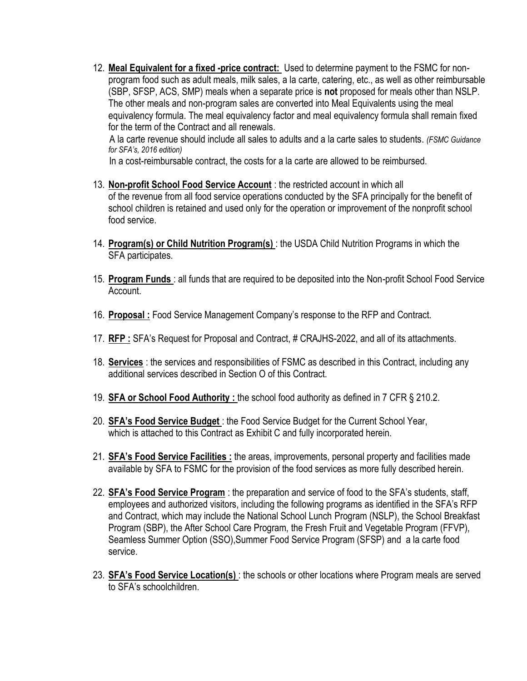12. **Meal Equivalent for a fixed -price contract:** Used to determine payment to the FSMC for nonprogram food such as adult meals, milk sales, a la carte, catering, etc., as well as other reimbursable (SBP, SFSP, ACS, SMP) meals when a separate price is **not** proposed for meals other than NSLP. The other meals and non-program sales are converted into Meal Equivalents using the meal equivalency formula. The meal equivalency factor and meal equivalency formula shall remain fixed for the term of the Contract and all renewals.

 A la carte revenue should include all sales to adults and a la carte sales to students. *(FSMC Guidance for SFA's, 2016 edition)* 

In a cost-reimbursable contract, the costs for a la carte are allowed to be reimbursed.

- 13. **Non-profit School Food Service Account** : the restricted account in which all of the revenue from all food service operations conducted by the SFA principally for the benefit of school children is retained and used only for the operation or improvement of the nonprofit school food service.
- 14. **Program(s) or Child Nutrition Program(s)** : the USDA Child Nutrition Programs in which the SFA participates.
- 15. **Program Funds** : all funds that are required to be deposited into the Non-profit School Food Service Account.
- 16. **Proposal :** Food Service Management Company's response to the RFP and Contract.
- 17. **RFP :** SFA's Request for Proposal and Contract, # CRAJHS-2022, and all of its attachments.
- 18. **Services** : the services and responsibilities of FSMC as described in this Contract, including any additional services described in Section O of this Contract.
- 19. **SFA or School Food Authority :** the school food authority as defined in 7 CFR § 210.2.
- 20. **SFA's Food Service Budget** : the Food Service Budget for the Current School Year, which is attached to this Contract as Exhibit C and fully incorporated herein.
- 21. **SFA's Food Service Facilities :** the areas, improvements, personal property and facilities made available by SFA to FSMC for the provision of the food services as more fully described herein.
- 22. **SFA's Food Service Program** : the preparation and service of food to the SFA's students, staff, employees and authorized visitors, including the following programs as identified in the SFA's RFP and Contract, which may include the National School Lunch Program (NSLP), the School Breakfast Program (SBP), the After School Care Program, the Fresh Fruit and Vegetable Program (FFVP), Seamless Summer Option (SSO),Summer Food Service Program (SFSP) and a la carte food service.
- 23. **SFA's Food Service Location(s)** : the schools or other locations where Program meals are served to SFA's schoolchildren.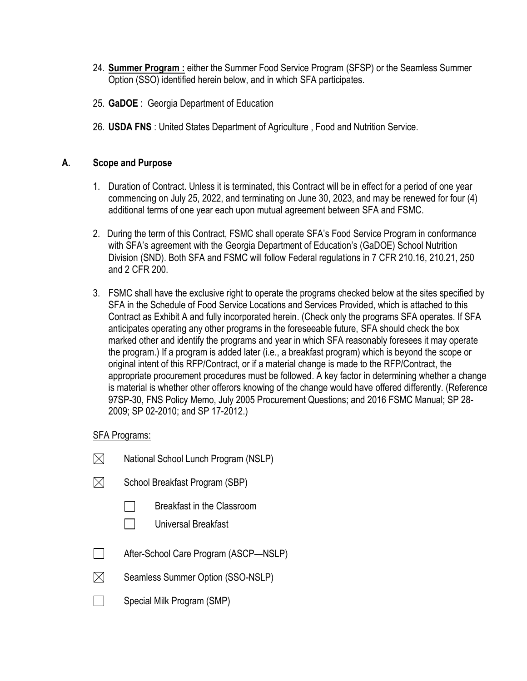- 24. **Summer Program :** either the Summer Food Service Program (SFSP) or the Seamless Summer Option (SSO) identified herein below, and in which SFA participates.
- 25. **GaDOE** : Georgia Department of Education
- 26. **USDA FNS** : United States Department of Agriculture , Food and Nutrition Service.

#### **A. Scope and Purpose**

- 1. Duration of Contract. Unless it is terminated, this Contract will be in effect for a period of one year commencing on July 25, 2022, and terminating on June 30, 2023, and may be renewed for four (4) additional terms of one year each upon mutual agreement between SFA and FSMC.
- 2. During the term of this Contract, FSMC shall operate SFA's Food Service Program in conformance with SFA's agreement with the Georgia Department of Education's (GaDOE) School Nutrition Division (SND). Both SFA and FSMC will follow Federal regulations in 7 CFR 210.16, 210.21, 250 and 2 CFR 200.
- 3. FSMC shall have the exclusive right to operate the programs checked below at the sites specified by SFA in the Schedule of Food Service Locations and Services Provided, which is attached to this Contract as Exhibit A and fully incorporated herein. (Check only the programs SFA operates. If SFA anticipates operating any other programs in the foreseeable future, SFA should check the box marked other and identify the programs and year in which SFA reasonably foresees it may operate the program.) If a program is added later (i.e., a breakfast program) which is beyond the scope or original intent of this RFP/Contract, or if a material change is made to the RFP/Contract, the appropriate procurement procedures must be followed. A key factor in determining whether a change is material is whether other offerors knowing of the change would have offered differently. (Reference 97SP-30, FNS Policy Memo, July 2005 Procurement Questions; and 2016 FSMC Manual; SP 28- 2009; SP 02-2010; and SP 17-2012.)

#### SFA Programs:

- $\boxtimes$ National School Lunch Program (NSLP)
- $\boxtimes$ School Breakfast Program (SBP)
	- Breakfast in the Classroom
	- $\Box$ Universal Breakfast
- $\Box$ After-School Care Program (ASCP—NSLP)
- $\boxtimes$ Seamless Summer Option (SSO-NSLP)
- $\Box$ Special Milk Program (SMP)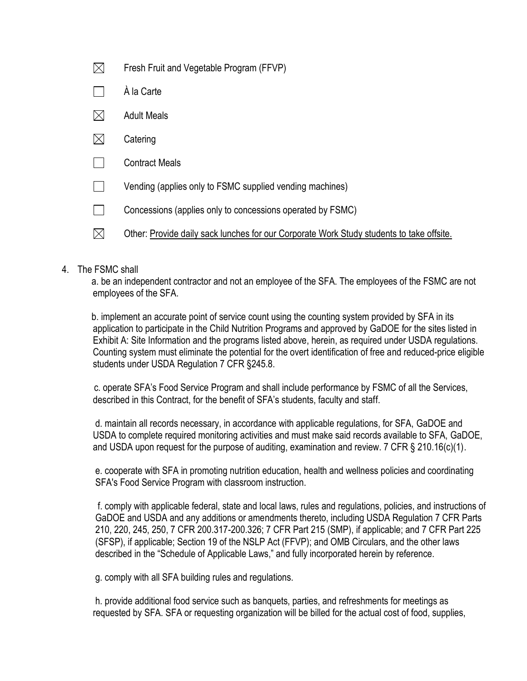| $\boxtimes$ | Fresh Fruit and Vegetable Program (FFVP)                                                 |
|-------------|------------------------------------------------------------------------------------------|
|             | À la Carte                                                                               |
| $\boxtimes$ | <b>Adult Meals</b>                                                                       |
| $\boxtimes$ | Catering                                                                                 |
|             | <b>Contract Meals</b>                                                                    |
|             | Vending (applies only to FSMC supplied vending machines)                                 |
|             | Concessions (applies only to concessions operated by FSMC)                               |
|             | Other: Provide daily sack lunches for our Corporate Work Study students to take offsite. |

#### 4. The FSMC shall

 a. be an independent contractor and not an employee of the SFA. The employees of the FSMC are not employees of the SFA.

 b. implement an accurate point of service count using the counting system provided by SFA in its application to participate in the Child Nutrition Programs and approved by GaDOE for the sites listed in Exhibit A: Site Information and the programs listed above, herein, as required under USDA regulations. Counting system must eliminate the potential for the overt identification of free and reduced-price eligible students under USDA Regulation 7 CFR §245.8.

 c. operate SFA's Food Service Program and shall include performance by FSMC of all the Services, described in this Contract, for the benefit of SFA's students, faculty and staff.

d. maintain all records necessary, in accordance with applicable regulations, for SFA, GaDOE and USDA to complete required monitoring activities and must make said records available to SFA, GaDOE, and USDA upon request for the purpose of auditing, examination and review. 7 CFR § 210.16(c)(1).

e. cooperate with SFA in promoting nutrition education, health and wellness policies and coordinating SFA's Food Service Program with classroom instruction.

 f. comply with applicable federal, state and local laws, rules and regulations, policies, and instructions of GaDOE and USDA and any additions or amendments thereto, including USDA Regulation 7 CFR Parts 210, 220, 245, 250, 7 CFR 200.317-200.326; 7 CFR Part 215 (SMP), if applicable; and 7 CFR Part 225 (SFSP), if applicable; Section 19 of the NSLP Act (FFVP); and OMB Circulars, and the other laws described in the "Schedule of Applicable Laws," and fully incorporated herein by reference.

g. comply with all SFA building rules and regulations.

h. provide additional food service such as banquets, parties, and refreshments for meetings as requested by SFA. SFA or requesting organization will be billed for the actual cost of food, supplies,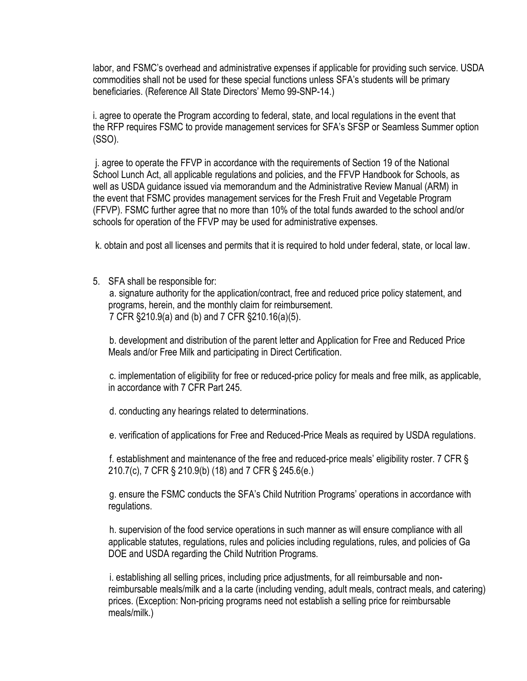labor, and FSMC's overhead and administrative expenses if applicable for providing such service. USDA commodities shall not be used for these special functions unless SFA's students will be primary beneficiaries. (Reference All State Directors' Memo 99-SNP-14.)

i. agree to operate the Program according to federal, state, and local regulations in the event that the RFP requires FSMC to provide management services for SFA's SFSP or Seamless Summer option (SSO).

j. agree to operate the FFVP in accordance with the requirements of Section 19 of the National School Lunch Act, all applicable regulations and policies, and the FFVP Handbook for Schools, as well as USDA guidance issued via memorandum and the Administrative Review Manual (ARM) in the event that FSMC provides management services for the Fresh Fruit and Vegetable Program (FFVP). FSMC further agree that no more than 10% of the total funds awarded to the school and/or schools for operation of the FFVP may be used for administrative expenses.

k. obtain and post all licenses and permits that it is required to hold under federal, state, or local law.

5. SFA shall be responsible for:

 a. signature authority for the application/contract, free and reduced price policy statement, and programs, herein, and the monthly claim for reimbursement. 7 CFR §210.9(a) and (b) and 7 CFR §210.16(a)(5).

 b. development and distribution of the parent letter and Application for Free and Reduced Price Meals and/or Free Milk and participating in Direct Certification.

 c. implementation of eligibility for free or reduced-price policy for meals and free milk, as applicable, in accordance with 7 CFR Part 245.

d. conducting any hearings related to determinations.

e. verification of applications for Free and Reduced-Price Meals as required by USDA regulations.

 f. establishment and maintenance of the free and reduced-price meals' eligibility roster. 7 CFR § 210.7(c), 7 CFR § 210.9(b) (18) and 7 CFR § 245.6(e.)

 g. ensure the FSMC conducts the SFA's Child Nutrition Programs' operations in accordance with regulations.

 h. supervision of the food service operations in such manner as will ensure compliance with all applicable statutes, regulations, rules and policies including regulations, rules, and policies of Ga DOE and USDA regarding the Child Nutrition Programs.

 i. establishing all selling prices, including price adjustments, for all reimbursable and nonreimbursable meals/milk and a la carte (including vending, adult meals, contract meals, and catering) prices. (Exception: Non-pricing programs need not establish a selling price for reimbursable meals/milk.)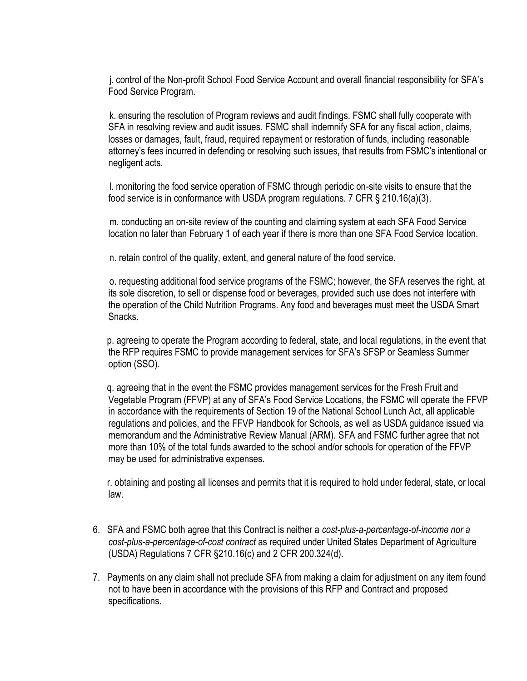j. control of the Non-profit School Food Service Account and overall financial responsibility for SFA's Food Service Program.

 k. ensuring the resolution of Program reviews and audit findings. FSMC shall fully cooperate with SFA in resolving review and audit issues. FSMC shall indemnify SFA for any fiscal action, claims, losses or damages, fault, fraud, required repayment or restoration of funds, including reasonable attorney's fees incurred in defending or resolving such issues, that results from FSMC's intentional or negligent acts.

 l. monitoring the food service operation of FSMC through periodic on-site visits to ensure that the food service is in conformance with USDA program regulations. 7 CFR § 210.16(a)(3).

 m. conducting an on-site review of the counting and claiming system at each SFA Food Service location no later than February 1 of each year if there is more than one SFA Food Service location.

n. retain control of the quality, extent, and general nature of the food service.

 o. requesting additional food service programs of the FSMC; however, the SFA reserves the right, at its sole discretion, to sell or dispense food or beverages, provided such use does not interfere with the operation of the Child Nutrition Programs. Any food and beverages must meet the USDA Smart Snacks.

 p. agreeing to operate the Program according to federal, state, and local regulations, in the event that the RFP requires FSMC to provide management services for SFA's SFSP or Seamless Summer option (SSO).

 q. agreeing that in the event the FSMC provides management services for the Fresh Fruit and Vegetable Program (FFVP) at any of SFA's Food Service Locations, the FSMC will operate the FFVP in accordance with the requirements of Section 19 of the National School Lunch Act, all applicable regulations and policies, and the FFVP Handbook for Schools, as well as USDA guidance issued via memorandum and the Administrative Review Manual (ARM). SFA and FSMC further agree that not more than 10% of the total funds awarded to the school and/or schools for operation of the FFVP may be used for administrative expenses.

 r. obtaining and posting all licenses and permits that it is required to hold under federal, state, or local law.

- 6. SFA and FSMC both agree that this Contract is neither a *cost-plus-a-percentage-of-income nor a cost-plus-a-percentage-of-cost contract* as required under United States Department of Agriculture (USDA) Regulations 7 CFR §210.16(c) and 2 CFR 200.324(d).
- 7. Payments on any claim shall not preclude SFA from making a claim for adjustment on any item found not to have been in accordance with the provisions of this RFP and Contract and proposed specifications.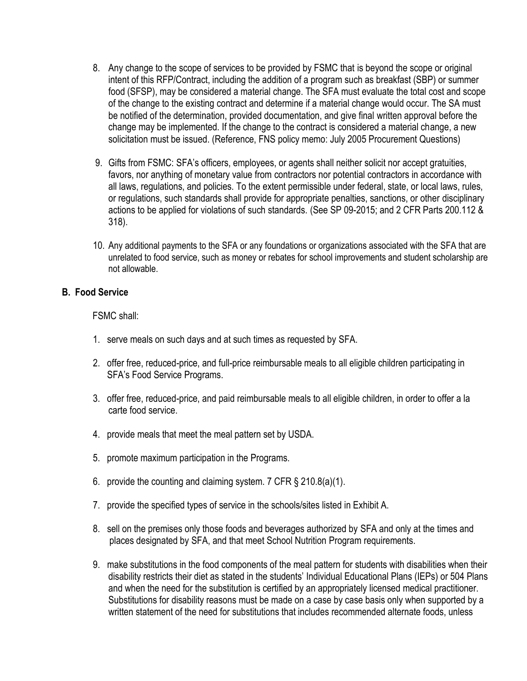- 8. Any change to the scope of services to be provided by FSMC that is beyond the scope or original intent of this RFP/Contract, including the addition of a program such as breakfast (SBP) or summer food (SFSP), may be considered a material change. The SFA must evaluate the total cost and scope of the change to the existing contract and determine if a material change would occur. The SA must be notified of the determination, provided documentation, and give final written approval before the change may be implemented. If the change to the contract is considered a material change, a new solicitation must be issued. (Reference, FNS policy memo: July 2005 Procurement Questions)
- 9. Gifts from FSMC: SFA's officers, employees, or agents shall neither solicit nor accept gratuities, favors, nor anything of monetary value from contractors nor potential contractors in accordance with all laws, regulations, and policies. To the extent permissible under federal, state, or local laws, rules, or regulations, such standards shall provide for appropriate penalties, sanctions, or other disciplinary actions to be applied for violations of such standards. (See SP 09-2015; and 2 CFR Parts 200.112 & 318).
- 10. Any additional payments to the SFA or any foundations or organizations associated with the SFA that are unrelated to food service, such as money or rebates for school improvements and student scholarship are not allowable.

### **B. Food Service**

FSMC shall:

- 1. serve meals on such days and at such times as requested by SFA.
- 2. offer free, reduced-price, and full-price reimbursable meals to all eligible children participating in SFA's Food Service Programs.
- 3. offer free, reduced-price, and paid reimbursable meals to all eligible children, in order to offer a la carte food service.
- 4. provide meals that meet the meal pattern set by USDA.
- 5. promote maximum participation in the Programs.
- 6. provide the counting and claiming system. 7 CFR § 210.8(a)(1).
- 7. provide the specified types of service in the schools/sites listed in Exhibit A.
- 8. sell on the premises only those foods and beverages authorized by SFA and only at the times and places designated by SFA, and that meet School Nutrition Program requirements.
- 9. make substitutions in the food components of the meal pattern for students with disabilities when their disability restricts their diet as stated in the students' Individual Educational Plans (IEPs) or 504 Plans and when the need for the substitution is certified by an appropriately licensed medical practitioner. Substitutions for disability reasons must be made on a case by case basis only when supported by a written statement of the need for substitutions that includes recommended alternate foods, unless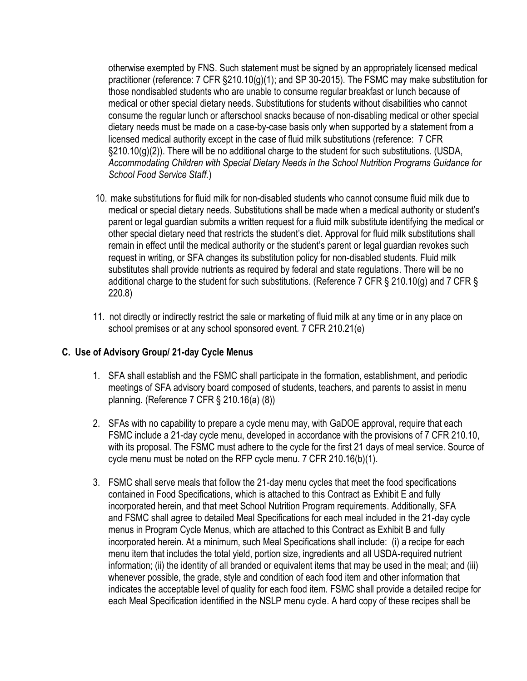otherwise exempted by FNS. Such statement must be signed by an appropriately licensed medical practitioner (reference: 7 CFR §210.10(g)(1); and SP 30-2015). The FSMC may make substitution for those nondisabled students who are unable to consume regular breakfast or lunch because of medical or other special dietary needs. Substitutions for students without disabilities who cannot consume the regular lunch or afterschool snacks because of non-disabling medical or other special dietary needs must be made on a case-by-case basis only when supported by a statement from a licensed medical authority except in the case of fluid milk substitutions (reference: 7 CFR §210.10(g)(2)). There will be no additional charge to the student for such substitutions. (USDA, *Accommodating Children with Special Dietary Needs in the School Nutrition Programs Guidance for School Food Service Staff.*)

- 10. make substitutions for fluid milk for non-disabled students who cannot consume fluid milk due to medical or special dietary needs. Substitutions shall be made when a medical authority or student's parent or legal guardian submits a written request for a fluid milk substitute identifying the medical or other special dietary need that restricts the student's diet. Approval for fluid milk substitutions shall remain in effect until the medical authority or the student's parent or legal guardian revokes such request in writing, or SFA changes its substitution policy for non-disabled students. Fluid milk substitutes shall provide nutrients as required by federal and state regulations. There will be no additional charge to the student for such substitutions. (Reference 7 CFR § 210.10(g) and 7 CFR § 220.8)
- 11. not directly or indirectly restrict the sale or marketing of fluid milk at any time or in any place on school premises or at any school sponsored event. 7 CFR 210.21(e)

### **C. Use of Advisory Group/ 21-day Cycle Menus**

- 1. SFA shall establish and the FSMC shall participate in the formation, establishment, and periodic meetings of SFA advisory board composed of students, teachers, and parents to assist in menu planning. (Reference 7 CFR § 210.16(a) (8))
- 2. SFAs with no capability to prepare a cycle menu may, with GaDOE approval, require that each FSMC include a 21-day cycle menu, developed in accordance with the provisions of 7 CFR 210.10, with its proposal. The FSMC must adhere to the cycle for the first 21 days of meal service. Source of cycle menu must be noted on the RFP cycle menu. 7 CFR 210.16(b)(1).
- 3. FSMC shall serve meals that follow the 21-day menu cycles that meet the food specifications contained in Food Specifications, which is attached to this Contract as Exhibit E and fully incorporated herein, and that meet School Nutrition Program requirements. Additionally, SFA and FSMC shall agree to detailed Meal Specifications for each meal included in the 21-day cycle menus in Program Cycle Menus, which are attached to this Contract as Exhibit B and fully incorporated herein. At a minimum, such Meal Specifications shall include: (i) a recipe for each menu item that includes the total yield, portion size, ingredients and all USDA-required nutrient information; (ii) the identity of all branded or equivalent items that may be used in the meal; and (iii) whenever possible, the grade, style and condition of each food item and other information that indicates the acceptable level of quality for each food item. FSMC shall provide a detailed recipe for each Meal Specification identified in the NSLP menu cycle. A hard copy of these recipes shall be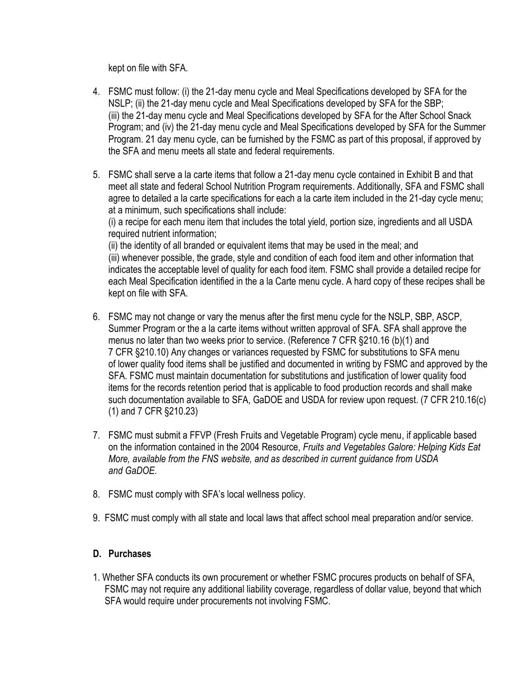kept on file with SFA.

- 4. FSMC must follow: (i) the 21-day menu cycle and Meal Specifications developed by SFA for the NSLP; (ii) the 21-day menu cycle and Meal Specifications developed by SFA for the SBP; (iii) the 21-day menu cycle and Meal Specifications developed by SFA for the After School Snack Program; and (iv) the 21-day menu cycle and Meal Specifications developed by SFA for the Summer Program. 21 day menu cycle, can be furnished by the FSMC as part of this proposal, if approved by the SFA and menu meets all state and federal requirements.
- 5. FSMC shall serve a la carte items that follow a 21-day menu cycle contained in Exhibit B and that meet all state and federal School Nutrition Program requirements. Additionally, SFA and FSMC shall agree to detailed a la carte specifications for each a la carte item included in the 21-day cycle menu; at a minimum, such specifications shall include:

(i) a recipe for each menu item that includes the total yield, portion size, ingredients and all USDA required nutrient information;

(ii) the identity of all branded or equivalent items that may be used in the meal; and (iii) whenever possible, the grade, style and condition of each food item and other information that indicates the acceptable level of quality for each food item. FSMC shall provide a detailed recipe for each Meal Specification identified in the a la Carte menu cycle. A hard copy of these recipes shall be kept on file with SFA.

- 6. FSMC may not change or vary the menus after the first menu cycle for the NSLP, SBP, ASCP, Summer Program or the a la carte items without written approval of SFA. SFA shall approve the menus no later than two weeks prior to service. (Reference 7 CFR §210.16 (b)(1) and 7 CFR §210.10) Any changes or variances requested by FSMC for substitutions to SFA menu of lower quality food items shall be justified and documented in writing by FSMC and approved by the SFA. FSMC must maintain documentation for substitutions and justification of lower quality food items for the records retention period that is applicable to food production records and shall make such documentation available to SFA, GaDOE and USDA for review upon request. (7 CFR 210.16(c) (1) and 7 CFR §210.23)
- 7. FSMC must submit a FFVP (Fresh Fruits and Vegetable Program) cycle menu, if applicable based on the information contained in the 2004 Resource, *Fruits and Vegetables Galore: Helping Kids Eat More, available from the FNS website, and as described in current guidance from USDA and GaDOE.*
- 8. FSMC must comply with SFA's local wellness policy.
- 9. FSMC must comply with all state and local laws that affect school meal preparation and/or service.

### **D. Purchases**

1. Whether SFA conducts its own procurement or whether FSMC procures products on behalf of SFA, FSMC may not require any additional liability coverage, regardless of dollar value, beyond that which SFA would require under procurements not involving FSMC.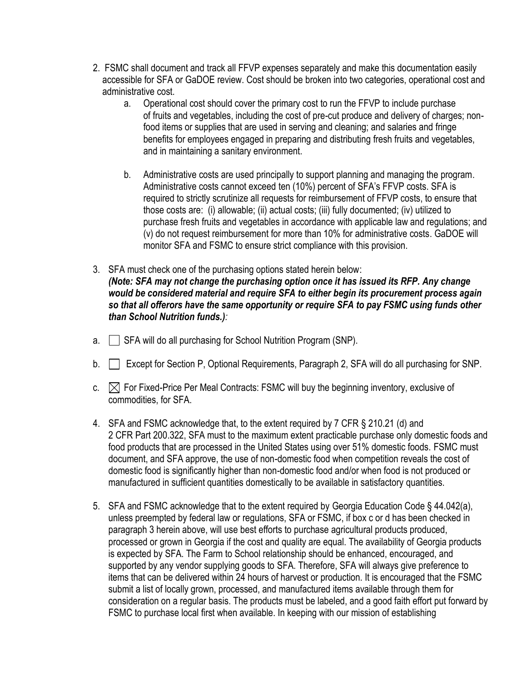- 2. FSMC shall document and track all FFVP expenses separately and make this documentation easily accessible for SFA or GaDOE review. Cost should be broken into two categories, operational cost and administrative cost.
	- a. Operational cost should cover the primary cost to run the FFVP to include purchase of fruits and vegetables, including the cost of pre-cut produce and delivery of charges; nonfood items or supplies that are used in serving and cleaning; and salaries and fringe benefits for employees engaged in preparing and distributing fresh fruits and vegetables, and in maintaining a sanitary environment.
	- b. Administrative costs are used principally to support planning and managing the program. Administrative costs cannot exceed ten (10%) percent of SFA's FFVP costs. SFA is required to strictly scrutinize all requests for reimbursement of FFVP costs, to ensure that those costs are: (i) allowable; (ii) actual costs; (iii) fully documented; (iv) utilized to purchase fresh fruits and vegetables in accordance with applicable law and regulations; and (v) do not request reimbursement for more than 10% for administrative costs. GaDOE will monitor SFA and FSMC to ensure strict compliance with this provision.
- 3. SFA must check one of the purchasing options stated herein below: *(Note: SFA may not change the purchasing option once it has issued its RFP. Any change would be considered material and require SFA to either begin its procurement process again so that all offerors have the same opportunity or require SFA to pay FSMC using funds other than School Nutrition funds.):*
- $a.$  SFA will do all purchasing for School Nutrition Program (SNP).
- b. Except for Section P, Optional Requirements, Paragraph 2, SFA will do all purchasing for SNP.
- c.  $\boxtimes$  For Fixed-Price Per Meal Contracts: FSMC will buy the beginning inventory, exclusive of commodities, for SFA.
- 4. SFA and FSMC acknowledge that, to the extent required by 7 CFR § 210.21 (d) and 2 CFR Part 200.322, SFA must to the maximum extent practicable purchase only domestic foods and food products that are processed in the United States using over 51% domestic foods. FSMC must document, and SFA approve, the use of non-domestic food when competition reveals the cost of domestic food is significantly higher than non-domestic food and/or when food is not produced or manufactured in sufficient quantities domestically to be available in satisfactory quantities.
- 5. SFA and FSMC acknowledge that to the extent required by Georgia Education Code § 44.042(a), unless preempted by federal law or regulations, SFA or FSMC, if box c or d has been checked in paragraph 3 herein above, will use best efforts to purchase agricultural products produced, processed or grown in Georgia if the cost and quality are equal. The availability of Georgia products is expected by SFA. The Farm to School relationship should be enhanced, encouraged, and supported by any vendor supplying goods to SFA. Therefore, SFA will always give preference to items that can be delivered within 24 hours of harvest or production. It is encouraged that the FSMC submit a list of locally grown, processed, and manufactured items available through them for consideration on a regular basis. The products must be labeled, and a good faith effort put forward by FSMC to purchase local first when available. In keeping with our mission of establishing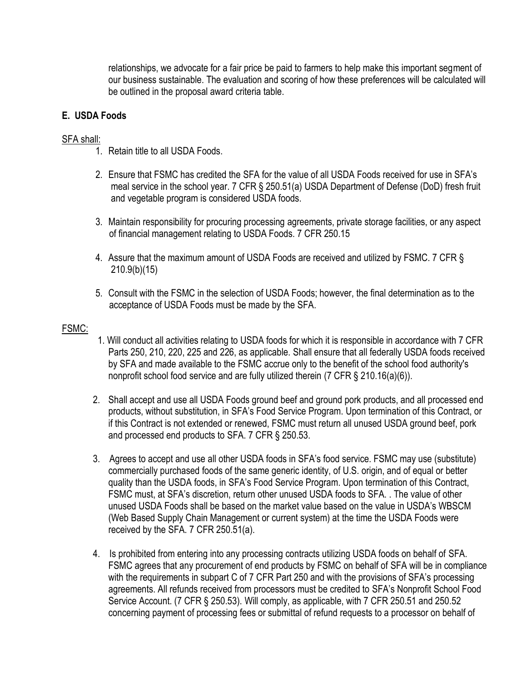relationships, we advocate for a fair price be paid to farmers to help make this important segment of our business sustainable. The evaluation and scoring of how these preferences will be calculated will be outlined in the proposal award criteria table.

### **E. USDA Foods**

### SFA shall:

- 1. Retain title to all USDA Foods.
- 2. Ensure that FSMC has credited the SFA for the value of all USDA Foods received for use in SFA's meal service in the school year. 7 CFR § 250.51(a) USDA Department of Defense (DoD) fresh fruit and vegetable program is considered USDA foods.
- 3. Maintain responsibility for procuring processing agreements, private storage facilities, or any aspect of financial management relating to USDA Foods. 7 CFR 250.15
- 4. Assure that the maximum amount of USDA Foods are received and utilized by FSMC. 7 CFR § 210.9(b)(15)
- 5. Consult with the FSMC in the selection of USDA Foods; however, the final determination as to the acceptance of USDA Foods must be made by the SFA.

#### FSMC:

- 1. Will conduct all activities relating to USDA foods for which it is responsible in accordance with 7 CFR Parts 250, 210, 220, 225 and 226, as applicable. Shall ensure that all federally USDA foods received by SFA and made available to the FSMC accrue only to the benefit of the school food authority's nonprofit school food service and are fully utilized therein (7 CFR § 210.16(a)(6)).
- 2. Shall accept and use all USDA Foods ground beef and ground pork products, and all processed end products, without substitution, in SFA's Food Service Program. Upon termination of this Contract, or if this Contract is not extended or renewed, FSMC must return all unused USDA ground beef, pork and processed end products to SFA. 7 CFR § 250.53.
- 3. Agrees to accept and use all other USDA foods in SFA's food service. FSMC may use (substitute) commercially purchased foods of the same generic identity, of U.S. origin, and of equal or better quality than the USDA foods, in SFA's Food Service Program. Upon termination of this Contract, FSMC must, at SFA's discretion, return other unused USDA foods to SFA. . The value of other unused USDA Foods shall be based on the market value based on the value in USDA's WBSCM (Web Based Supply Chain Management or current system) at the time the USDA Foods were received by the SFA. 7 CFR 250.51(a).
- 4. Is prohibited from entering into any processing contracts utilizing USDA foods on behalf of SFA. FSMC agrees that any procurement of end products by FSMC on behalf of SFA will be in compliance with the requirements in subpart C of 7 CFR Part 250 and with the provisions of SFA's processing agreements. All refunds received from processors must be credited to SFA's Nonprofit School Food Service Account. (7 CFR § 250.53). Will comply, as applicable, with 7 CFR 250.51 and 250.52 concerning payment of processing fees or submittal of refund requests to a processor on behalf of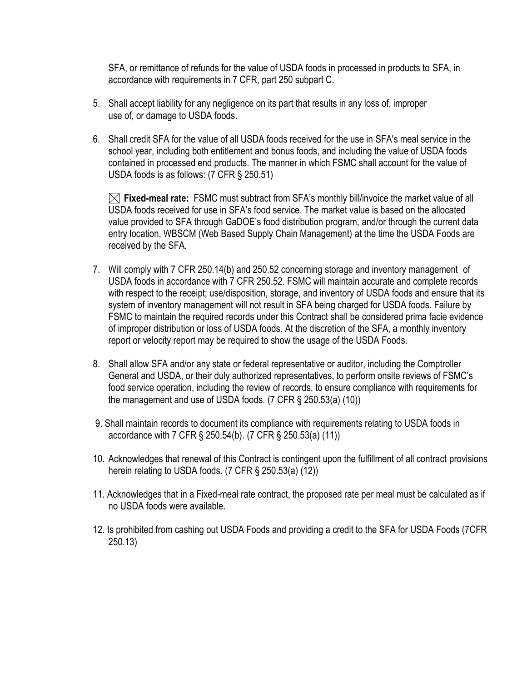SFA, or remittance of refunds for the value of USDA foods in processed in products to SFA, in accordance with requirements in 7 CFR, part 250 subpart C.

- 5. Shall accept liability for any negligence on its part that results in any loss of, improper use of, or damage to USDA foods.
- 6. Shall credit SFA for the value of all USDA foods received for the use in SFA's meal service in the school year, including both entitlement and bonus foods, and including the value of USDA foods contained in processed end products. The manner in which FSMC shall account for the value of USDA foods is as follows: (7 CFR § 250.51)

**Fixed-meal rate:** FSMC must subtract from SFA's monthly bill/invoice the market value of all USDA foods received for use in SFA's food service. The market value is based on the allocated value provided to SFA through GaDOE's food distribution program, and/or through the current data entry location, WBSCM (Web Based Supply Chain Management) at the time the USDA Foods are received by the SFA.

- 7. Will comply with 7 CFR 250.14(b) and 250.52 concerning storage and inventory management of USDA foods in accordance with 7 CFR 250.52. FSMC will maintain accurate and complete records with respect to the receipt; use/disposition, storage, and inventory of USDA foods and ensure that its system of inventory management will not result in SFA being charged for USDA foods. Failure by FSMC to maintain the required records under this Contract shall be considered prima facie evidence of improper distribution or loss of USDA foods. At the discretion of the SFA, a monthly inventory report or velocity report may be required to show the usage of the USDA Foods.
- 8. Shall allow SFA and/or any state or federal representative or auditor, including the Comptroller General and USDA, or their duly authorized representatives, to perform onsite reviews of FSMC's food service operation, including the review of records, to ensure compliance with requirements for the management and use of USDA foods. (7 CFR § 250.53(a) (10))
- 9. Shall maintain records to document its compliance with requirements relating to USDA foods in accordance with 7 CFR § 250.54(b). (7 CFR § 250.53(a) (11))
- 10. Acknowledges that renewal of this Contract is contingent upon the fulfillment of all contract provisions herein relating to USDA foods. (7 CFR § 250.53(a) (12))
- 11. Acknowledges that in a Fixed-meal rate contract, the proposed rate per meal must be calculated as if no USDA foods were available.
- 12. Is prohibited from cashing out USDA Foods and providing a credit to the SFA for USDA Foods (7CFR 250.13)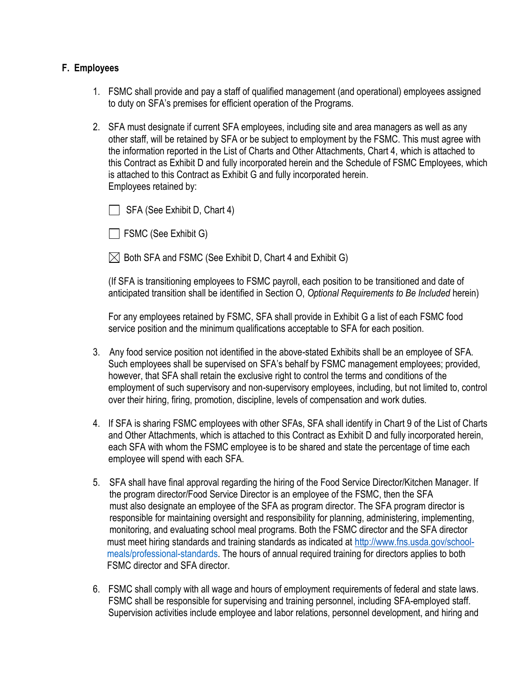#### **F. Employees**

- 1. FSMC shall provide and pay a staff of qualified management (and operational) employees assigned to duty on SFA's premises for efficient operation of the Programs.
- 2. SFA must designate if current SFA employees, including site and area managers as well as any other staff, will be retained by SFA or be subject to employment by the FSMC. This must agree with the information reported in the List of Charts and Other Attachments, Chart 4, which is attached to this Contract as Exhibit D and fully incorporated herein and the Schedule of FSMC Employees, which is attached to this Contract as Exhibit G and fully incorporated herein. Employees retained by:

 $\Box$  SFA (See Exhibit D, Chart 4)

 $\Box$  FSMC (See Exhibit G)

 $\boxtimes$  Both SFA and FSMC (See Exhibit D, Chart 4 and Exhibit G)

(If SFA is transitioning employees to FSMC payroll, each position to be transitioned and date of anticipated transition shall be identified in Section O, *Optional Requirements to Be Included* herein)

For any employees retained by FSMC, SFA shall provide in Exhibit G a list of each FSMC food service position and the minimum qualifications acceptable to SFA for each position.

- 3. Any food service position not identified in the above-stated Exhibits shall be an employee of SFA. Such employees shall be supervised on SFA's behalf by FSMC management employees; provided, however, that SFA shall retain the exclusive right to control the terms and conditions of the employment of such supervisory and non-supervisory employees, including, but not limited to, control over their hiring, firing, promotion, discipline, levels of compensation and work duties.
- 4. If SFA is sharing FSMC employees with other SFAs, SFA shall identify in Chart 9 of the List of Charts and Other Attachments, which is attached to this Contract as Exhibit D and fully incorporated herein, each SFA with whom the FSMC employee is to be shared and state the percentage of time each employee will spend with each SFA.
- 5. SFA shall have final approval regarding the hiring of the Food Service Director/Kitchen Manager. If the program director/Food Service Director is an employee of the FSMC, then the SFA must also designate an employee of the SFA as program director. The SFA program director is responsible for maintaining oversight and responsibility for planning, administering, implementing, monitoring, and evaluating school meal programs. Both the FSMC director and the SFA director must meet hiring standards and training standards as indicated at [http://www.fns.usda.gov/school](http://www.fns.usda.gov/school-) meals/professional-standards. The hours of annual required training for directors applies to both FSMC director and SFA director.
- 6. FSMC shall comply with all wage and hours of employment requirements of federal and state laws. FSMC shall be responsible for supervising and training personnel, including SFA-employed staff. Supervision activities include employee and labor relations, personnel development, and hiring and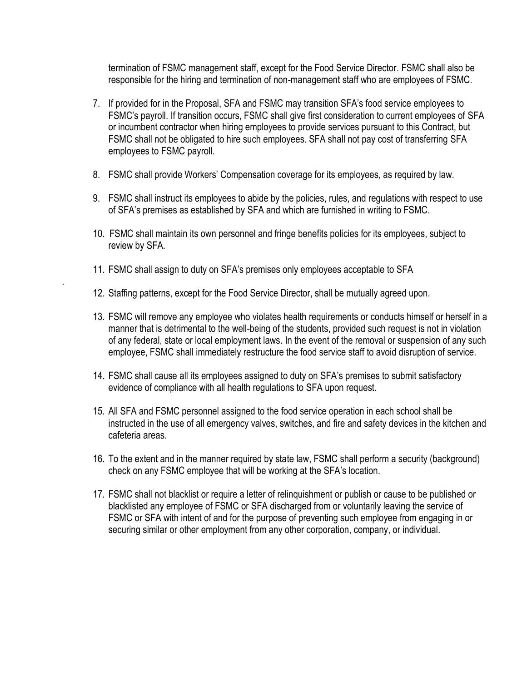termination of FSMC management staff, except for the Food Service Director. FSMC shall also be responsible for the hiring and termination of non-management staff who are employees of FSMC.

- 7. If provided for in the Proposal, SFA and FSMC may transition SFA's food service employees to FSMC's payroll. If transition occurs, FSMC shall give first consideration to current employees of SFA or incumbent contractor when hiring employees to provide services pursuant to this Contract, but FSMC shall not be obligated to hire such employees. SFA shall not pay cost of transferring SFA employees to FSMC payroll.
- 8. FSMC shall provide Workers' Compensation coverage for its employees, as required by law.
- 9. FSMC shall instruct its employees to abide by the policies, rules, and regulations with respect to use of SFA's premises as established by SFA and which are furnished in writing to FSMC.
- 10. FSMC shall maintain its own personnel and fringe benefits policies for its employees, subject to review by SFA.
- 11. FSMC shall assign to duty on SFA's premises only employees acceptable to SFA

.

- 12. Staffing patterns, except for the Food Service Director, shall be mutually agreed upon.
- 13. FSMC will remove any employee who violates health requirements or conducts himself or herself in a manner that is detrimental to the well-being of the students, provided such request is not in violation of any federal, state or local employment laws. In the event of the removal or suspension of any such employee, FSMC shall immediately restructure the food service staff to avoid disruption of service.
- 14. FSMC shall cause all its employees assigned to duty on SFA's premises to submit satisfactory evidence of compliance with all health regulations to SFA upon request.
- 15. All SFA and FSMC personnel assigned to the food service operation in each school shall be instructed in the use of all emergency valves, switches, and fire and safety devices in the kitchen and cafeteria areas.
- 16. To the extent and in the manner required by state law, FSMC shall perform a security (background) check on any FSMC employee that will be working at the SFA's location.
- 17. FSMC shall not blacklist or require a letter of relinquishment or publish or cause to be published or blacklisted any employee of FSMC or SFA discharged from or voluntarily leaving the service of FSMC or SFA with intent of and for the purpose of preventing such employee from engaging in or securing similar or other employment from any other corporation, company, or individual.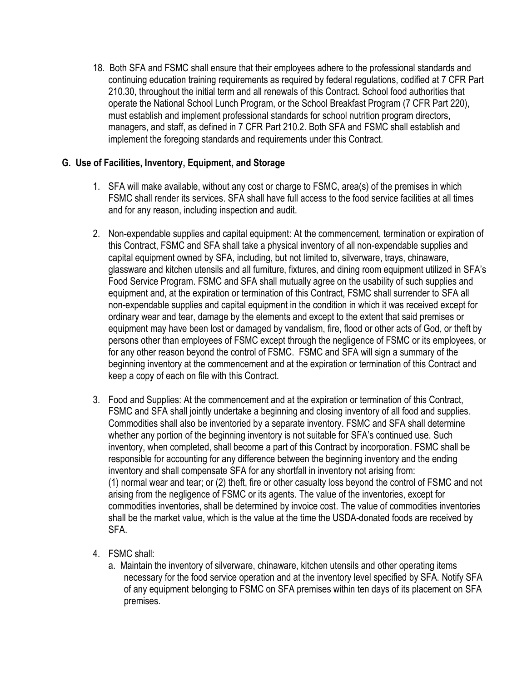18. Both SFA and FSMC shall ensure that their employees adhere to the professional standards and continuing education training requirements as required by federal regulations, codified at 7 CFR Part 210.30, throughout the initial term and all renewals of this Contract. School food authorities that operate the National School Lunch Program, or the School Breakfast Program (7 CFR Part 220), must establish and implement professional standards for school nutrition program directors, managers, and staff, as defined in 7 CFR Part 210.2. Both SFA and FSMC shall establish and implement the foregoing standards and requirements under this Contract.

### **G. Use of Facilities, Inventory, Equipment, and Storage**

- 1. SFA will make available, without any cost or charge to FSMC, area(s) of the premises in which FSMC shall render its services. SFA shall have full access to the food service facilities at all times and for any reason, including inspection and audit.
- 2. Non-expendable supplies and capital equipment: At the commencement, termination or expiration of this Contract, FSMC and SFA shall take a physical inventory of all non-expendable supplies and capital equipment owned by SFA, including, but not limited to, silverware, trays, chinaware, glassware and kitchen utensils and all furniture, fixtures, and dining room equipment utilized in SFA's Food Service Program. FSMC and SFA shall mutually agree on the usability of such supplies and equipment and, at the expiration or termination of this Contract, FSMC shall surrender to SFA all non-expendable supplies and capital equipment in the condition in which it was received except for ordinary wear and tear, damage by the elements and except to the extent that said premises or equipment may have been lost or damaged by vandalism, fire, flood or other acts of God, or theft by persons other than employees of FSMC except through the negligence of FSMC or its employees, or for any other reason beyond the control of FSMC. FSMC and SFA will sign a summary of the beginning inventory at the commencement and at the expiration or termination of this Contract and keep a copy of each on file with this Contract.
- 3. Food and Supplies: At the commencement and at the expiration or termination of this Contract, FSMC and SFA shall jointly undertake a beginning and closing inventory of all food and supplies. Commodities shall also be inventoried by a separate inventory. FSMC and SFA shall determine whether any portion of the beginning inventory is not suitable for SFA's continued use. Such inventory, when completed, shall become a part of this Contract by incorporation. FSMC shall be responsible for accounting for any difference between the beginning inventory and the ending inventory and shall compensate SFA for any shortfall in inventory not arising from: (1) normal wear and tear; or (2) theft, fire or other casualty loss beyond the control of FSMC and not arising from the negligence of FSMC or its agents. The value of the inventories, except for commodities inventories, shall be determined by invoice cost. The value of commodities inventories shall be the market value, which is the value at the time the USDA-donated foods are received by SFA.
- 4. FSMC shall:
	- a. Maintain the inventory of silverware, chinaware, kitchen utensils and other operating items necessary for the food service operation and at the inventory level specified by SFA. Notify SFA of any equipment belonging to FSMC on SFA premises within ten days of its placement on SFA premises.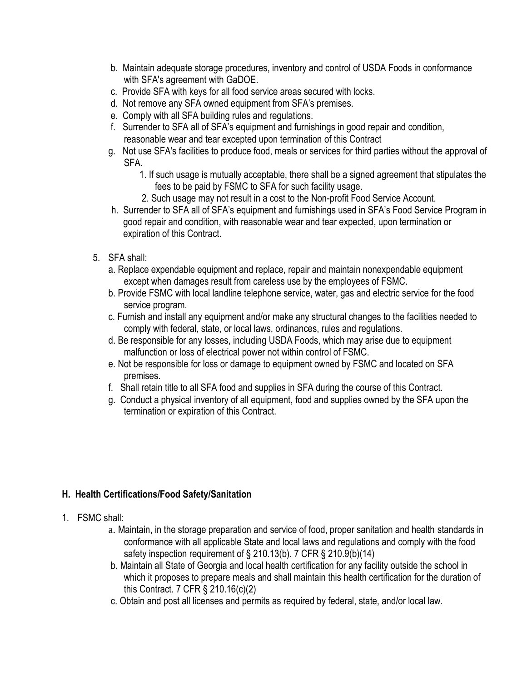- b. Maintain adequate storage procedures, inventory and control of USDA Foods in conformance with SFA's agreement with GaDOE.
- c. Provide SFA with keys for all food service areas secured with locks.
- d. Not remove any SFA owned equipment from SFA's premises.
- e. Comply with all SFA building rules and regulations.
- f. Surrender to SFA all of SFA's equipment and furnishings in good repair and condition, reasonable wear and tear excepted upon termination of this Contract
- g. Not use SFA's facilities to produce food, meals or services for third parties without the approval of SFA.
	- 1. If such usage is mutually acceptable, there shall be a signed agreement that stipulates the fees to be paid by FSMC to SFA for such facility usage.
	- 2. Such usage may not result in a cost to the Non-profit Food Service Account.
- h. Surrender to SFA all of SFA's equipment and furnishings used in SFA's Food Service Program in good repair and condition, with reasonable wear and tear expected, upon termination or expiration of this Contract.
- 5. SFA shall:
	- a. Replace expendable equipment and replace, repair and maintain nonexpendable equipment except when damages result from careless use by the employees of FSMC.
	- b. Provide FSMC with local landline telephone service, water, gas and electric service for the food service program.
	- c. Furnish and install any equipment and/or make any structural changes to the facilities needed to comply with federal, state, or local laws, ordinances, rules and regulations.
	- d. Be responsible for any losses, including USDA Foods, which may arise due to equipment malfunction or loss of electrical power not within control of FSMC.
	- e. Not be responsible for loss or damage to equipment owned by FSMC and located on SFA premises.
	- f. Shall retain title to all SFA food and supplies in SFA during the course of this Contract.
	- g. Conduct a physical inventory of all equipment, food and supplies owned by the SFA upon the termination or expiration of this Contract.

### **H. Health Certifications/Food Safety/Sanitation**

- 1. FSMC shall:
	- a. Maintain, in the storage preparation and service of food, proper sanitation and health standards in conformance with all applicable State and local laws and regulations and comply with the food safety inspection requirement of § 210.13(b). 7 CFR § 210.9(b)(14)
	- b. Maintain all State of Georgia and local health certification for any facility outside the school in which it proposes to prepare meals and shall maintain this health certification for the duration of this Contract. 7 CFR § 210.16(c)(2)
	- c. Obtain and post all licenses and permits as required by federal, state, and/or local law.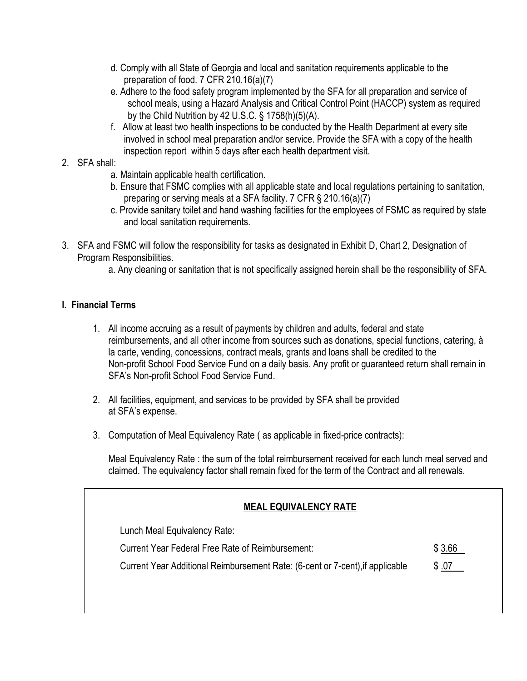- d. Comply with all State of Georgia and local and sanitation requirements applicable to the preparation of food. 7 CFR 210.16(a)(7)
- e. Adhere to the food safety program implemented by the SFA for all preparation and service of school meals, using a Hazard Analysis and Critical Control Point (HACCP) system as required by the Child Nutrition by 42 U.S.C. § 1758(h)(5)(A).
- f. Allow at least two health inspections to be conducted by the Health Department at every site involved in school meal preparation and/or service. Provide the SFA with a copy of the health inspection report within 5 days after each health department visit.
- 2. SFA shall:
	- a. Maintain applicable health certification.
	- b. Ensure that FSMC complies with all applicable state and local regulations pertaining to sanitation, preparing or serving meals at a SFA facility. 7 CFR § 210.16(a)(7)
	- c. Provide sanitary toilet and hand washing facilities for the employees of FSMC as required by state and local sanitation requirements.
- 3. SFA and FSMC will follow the responsibility for tasks as designated in Exhibit D, Chart 2, Designation of Program Responsibilities.
	- a. Any cleaning or sanitation that is not specifically assigned herein shall be the responsibility of SFA.

### **I. Financial Terms**

- 1. All income accruing as a result of payments by children and adults, federal and state reimbursements, and all other income from sources such as donations, special functions, catering, à la carte, vending, concessions, contract meals, grants and loans shall be credited to the Non-profit School Food Service Fund on a daily basis. Any profit or guaranteed return shall remain in SFA's Non-profit School Food Service Fund.
- 2. All facilities, equipment, and services to be provided by SFA shall be provided at SFA's expense.
- 3. Computation of Meal Equivalency Rate ( as applicable in fixed-price contracts):

Meal Equivalency Rate : the sum of the total reimbursement received for each lunch meal served and claimed. The equivalency factor shall remain fixed for the term of the Contract and all renewals.

| <b>MEAL EQUIVALENCY RATE</b>                                                  |        |
|-------------------------------------------------------------------------------|--------|
| Lunch Meal Equivalency Rate:                                                  |        |
| Current Year Federal Free Rate of Reimbursement:                              | \$3.66 |
| Current Year Additional Reimbursement Rate: (6-cent or 7-cent), if applicable | \$.07  |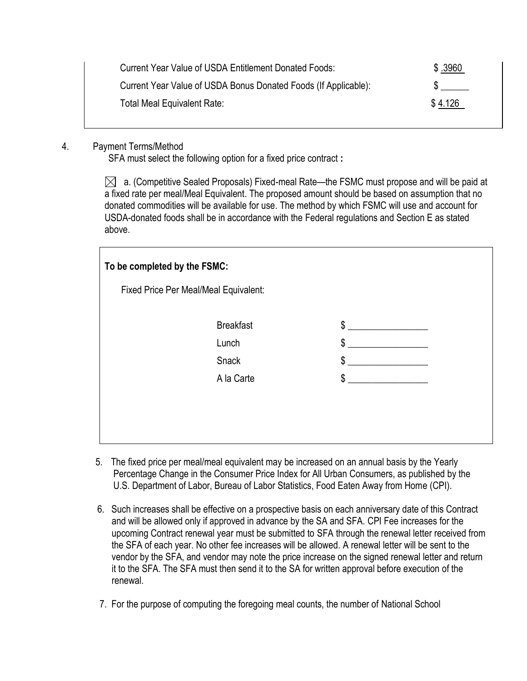| Current Year Value of USDA Entitlement Donated Foods:           | \$.3960 |
|-----------------------------------------------------------------|---------|
| Current Year Value of USDA Bonus Donated Foods (If Applicable): |         |
| Total Meal Equivalent Rate:                                     | \$4.126 |

### 4. Payment Terms/Method

SFA must select the following option for a fixed price contract **:**

 $\bowtie$  a. (Competitive Sealed Proposals) Fixed-meal Rate—the FSMC must propose and will be paid at a fixed rate per meal/Meal Equivalent. The proposed amount should be based on assumption that no donated commodities will be available for use. The method by which FSMC will use and account for USDA-donated foods shall be in accordance with the Federal regulations and Section E as stated above.

| To be completed by the FSMC:          |                  |    |  |  |  |  |
|---------------------------------------|------------------|----|--|--|--|--|
| Fixed Price Per Meal/Meal Equivalent: |                  |    |  |  |  |  |
|                                       | <b>Breakfast</b> | \$ |  |  |  |  |
|                                       | Lunch            | \$ |  |  |  |  |
|                                       | Snack            | \$ |  |  |  |  |
|                                       | A la Carte       | \$ |  |  |  |  |
|                                       |                  |    |  |  |  |  |
|                                       |                  |    |  |  |  |  |
|                                       |                  |    |  |  |  |  |

- 5. The fixed price per meal/meal equivalent may be increased on an annual basis by the Yearly Percentage Change in the Consumer Price Index for All Urban Consumers, as published by the U.S. Department of Labor, Bureau of Labor Statistics, Food Eaten Away from Home (CPI).
- 6. Such increases shall be effective on a prospective basis on each anniversary date of this Contract and will be allowed only if approved in advance by the SA and SFA. CPI Fee increases for the upcoming Contract renewal year must be submitted to SFA through the renewal letter received from the SFA of each year. No other fee increases will be allowed. A renewal letter will be sent to the vendor by the SFA, and vendor may note the price increase on the signed renewal letter and return it to the SFA. The SFA must then send it to the SA for written approval before execution of the renewal.
- 7. For the purpose of computing the foregoing meal counts, the number of National School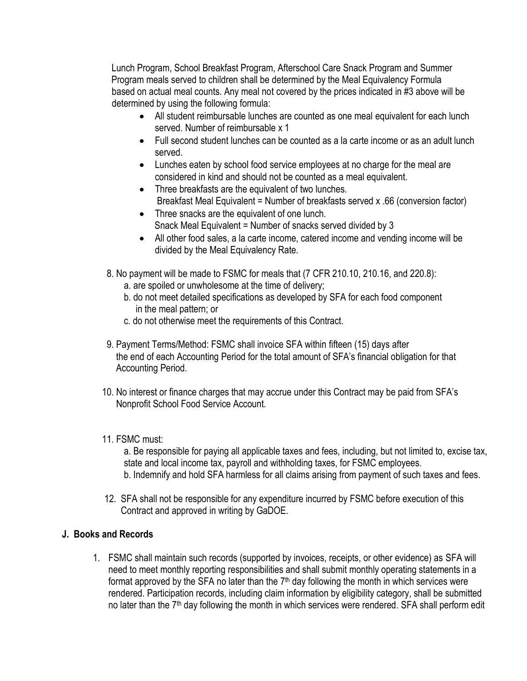Lunch Program, School Breakfast Program, Afterschool Care Snack Program and Summer Program meals served to children shall be determined by the Meal Equivalency Formula based on actual meal counts. Any meal not covered by the prices indicated in #3 above will be determined by using the following formula:

- All student reimbursable lunches are counted as one meal equivalent for each lunch served. Number of reimbursable x 1
- Full second student lunches can be counted as a la carte income or as an adult lunch served.
- Lunches eaten by school food service employees at no charge for the meal are considered in kind and should not be counted as a meal equivalent.
- Three breakfasts are the equivalent of two lunches. Breakfast Meal Equivalent = Number of breakfasts served x .66 (conversion factor)
- Three snacks are the equivalent of one lunch. Snack Meal Equivalent = Number of snacks served divided by 3
- All other food sales, a la carte income, catered income and vending income will be divided by the Meal Equivalency Rate.
- 8. No payment will be made to FSMC for meals that (7 CFR 210.10, 210.16, and 220.8):
	- a. are spoiled or unwholesome at the time of delivery;
	- b. do not meet detailed specifications as developed by SFA for each food component in the meal pattern; or
	- c. do not otherwise meet the requirements of this Contract.
- 9. Payment Terms/Method: FSMC shall invoice SFA within fifteen (15) days after the end of each Accounting Period for the total amount of SFA's financial obligation for that Accounting Period.
- 10. No interest or finance charges that may accrue under this Contract may be paid from SFA's Nonprofit School Food Service Account.
- 11. FSMC must:

a. Be responsible for paying all applicable taxes and fees, including, but not limited to, excise tax, state and local income tax, payroll and withholding taxes, for FSMC employees. b. Indemnify and hold SFA harmless for all claims arising from payment of such taxes and fees.

 12. SFA shall not be responsible for any expenditure incurred by FSMC before execution of this Contract and approved in writing by GaDOE.

### **J. Books and Records**

1. FSMC shall maintain such records (supported by invoices, receipts, or other evidence) as SFA will need to meet monthly reporting responsibilities and shall submit monthly operating statements in a format approved by the SFA no later than the  $7<sup>th</sup>$  day following the month in which services were rendered. Participation records, including claim information by eligibility category, shall be submitted no later than the 7<sup>th</sup> day following the month in which services were rendered. SFA shall perform edit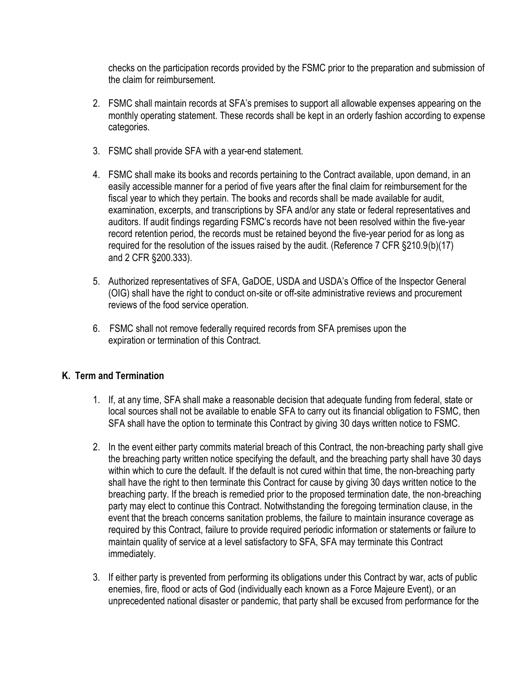checks on the participation records provided by the FSMC prior to the preparation and submission of the claim for reimbursement.

- 2. FSMC shall maintain records at SFA's premises to support all allowable expenses appearing on the monthly operating statement. These records shall be kept in an orderly fashion according to expense categories.
- 3. FSMC shall provide SFA with a year-end statement.
- 4. FSMC shall make its books and records pertaining to the Contract available, upon demand, in an easily accessible manner for a period of five years after the final claim for reimbursement for the fiscal year to which they pertain. The books and records shall be made available for audit, examination, excerpts, and transcriptions by SFA and/or any state or federal representatives and auditors. If audit findings regarding FSMC's records have not been resolved within the five-year record retention period, the records must be retained beyond the five-year period for as long as required for the resolution of the issues raised by the audit. (Reference 7 CFR §210.9(b)(17) and 2 CFR §200.333).
- 5. Authorized representatives of SFA, GaDOE, USDA and USDA's Office of the Inspector General (OIG) shall have the right to conduct on-site or off-site administrative reviews and procurement reviews of the food service operation.
- 6. FSMC shall not remove federally required records from SFA premises upon the expiration or termination of this Contract.

### **K. Term and Termination**

- 1. If, at any time, SFA shall make a reasonable decision that adequate funding from federal, state or local sources shall not be available to enable SFA to carry out its financial obligation to FSMC, then SFA shall have the option to terminate this Contract by giving 30 days written notice to FSMC.
- 2. In the event either party commits material breach of this Contract, the non-breaching party shall give the breaching party written notice specifying the default, and the breaching party shall have 30 days within which to cure the default. If the default is not cured within that time, the non-breaching party shall have the right to then terminate this Contract for cause by giving 30 days written notice to the breaching party. If the breach is remedied prior to the proposed termination date, the non-breaching party may elect to continue this Contract. Notwithstanding the foregoing termination clause, in the event that the breach concerns sanitation problems, the failure to maintain insurance coverage as required by this Contract, failure to provide required periodic information or statements or failure to maintain quality of service at a level satisfactory to SFA, SFA may terminate this Contract immediately.
- 3. If either party is prevented from performing its obligations under this Contract by war, acts of public enemies, fire, flood or acts of God (individually each known as a Force Majeure Event), or an unprecedented national disaster or pandemic, that party shall be excused from performance for the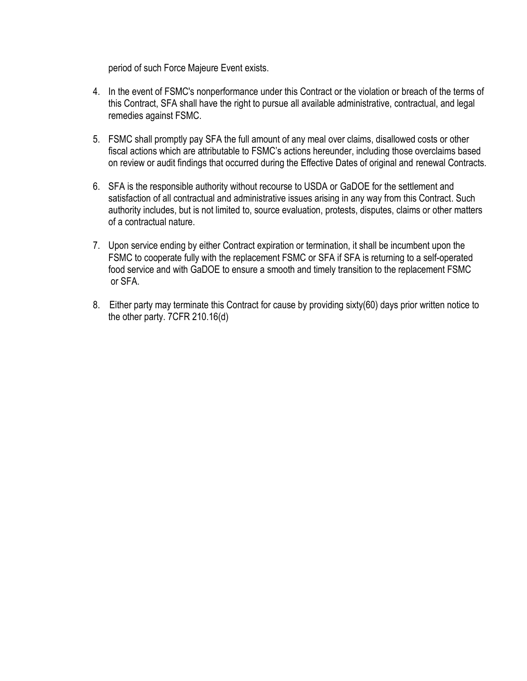period of such Force Majeure Event exists.

- 4. In the event of FSMC's nonperformance under this Contract or the violation or breach of the terms of this Contract, SFA shall have the right to pursue all available administrative, contractual, and legal remedies against FSMC.
- 5. FSMC shall promptly pay SFA the full amount of any meal over claims, disallowed costs or other fiscal actions which are attributable to FSMC's actions hereunder, including those overclaims based on review or audit findings that occurred during the Effective Dates of original and renewal Contracts.
- 6. SFA is the responsible authority without recourse to USDA or GaDOE for the settlement and satisfaction of all contractual and administrative issues arising in any way from this Contract. Such authority includes, but is not limited to, source evaluation, protests, disputes, claims or other matters of a contractual nature.
- 7. Upon service ending by either Contract expiration or termination, it shall be incumbent upon the FSMC to cooperate fully with the replacement FSMC or SFA if SFA is returning to a self-operated food service and with GaDOE to ensure a smooth and timely transition to the replacement FSMC or SFA.
- 8. Either party may terminate this Contract for cause by providing sixty(60) days prior written notice to the other party. 7CFR 210.16(d)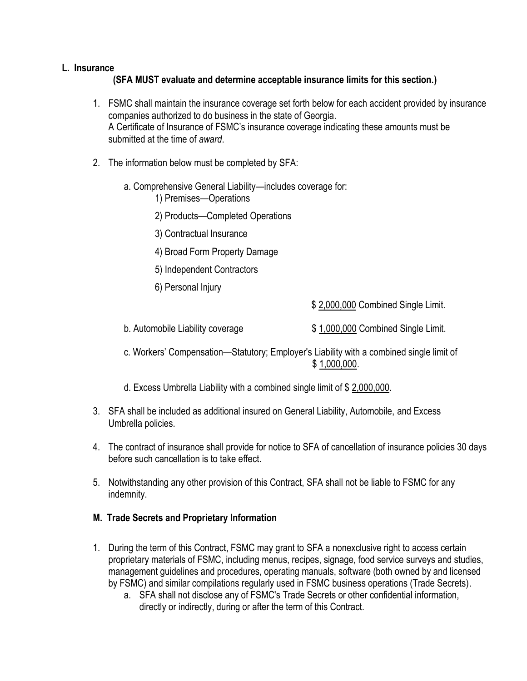#### **L. Insurance**

### **(SFA MUST evaluate and determine acceptable insurance limits for this section.)**

- 1. FSMC shall maintain the insurance coverage set forth below for each accident provided by insurance companies authorized to do business in the state of Georgia. A Certificate of Insurance of FSMC's insurance coverage indicating these amounts must be submitted at the time of *award*.
- 2. The information below must be completed by SFA:
	- a. Comprehensive General Liability—includes coverage for:
		- 1) Premises—Operations
		- 2) Products—Completed Operations
		- 3) Contractual Insurance
		- 4) Broad Form Property Damage
		- 5) Independent Contractors
		- 6) Personal Injury

\$ 2,000,000 Combined Single Limit.

- b. Automobile Liability coverage  $$1,000,000$  Combined Single Limit.
- c. Workers' Compensation—Statutory; Employer's Liability with a combined single limit of \$ 1,000,000.
- d. Excess Umbrella Liability with a combined single limit of \$ 2,000,000.
- 3. SFA shall be included as additional insured on General Liability, Automobile, and Excess Umbrella policies.
- 4. The contract of insurance shall provide for notice to SFA of cancellation of insurance policies 30 days before such cancellation is to take effect.
- 5. Notwithstanding any other provision of this Contract, SFA shall not be liable to FSMC for any indemnity.

### **M. Trade Secrets and Proprietary Information**

- 1. During the term of this Contract, FSMC may grant to SFA a nonexclusive right to access certain proprietary materials of FSMC, including menus, recipes, signage, food service surveys and studies, management guidelines and procedures, operating manuals, software (both owned by and licensed by FSMC) and similar compilations regularly used in FSMC business operations (Trade Secrets).
	- a. SFA shall not disclose any of FSMC's Trade Secrets or other confidential information, directly or indirectly, during or after the term of this Contract.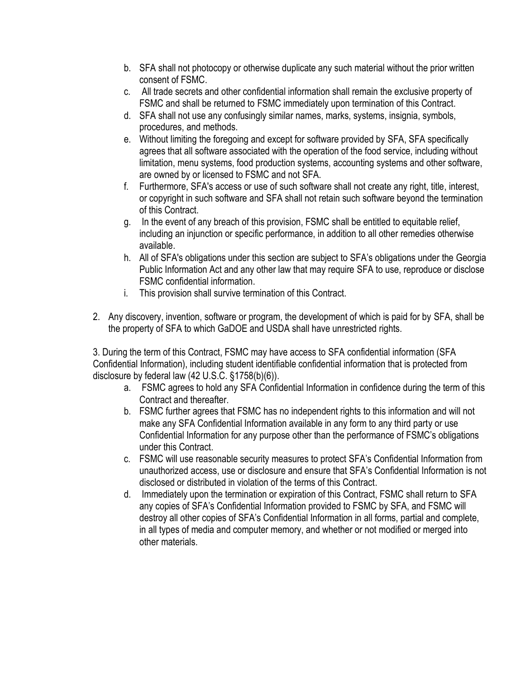- b. SFA shall not photocopy or otherwise duplicate any such material without the prior written consent of FSMC.
- c. All trade secrets and other confidential information shall remain the exclusive property of FSMC and shall be returned to FSMC immediately upon termination of this Contract.
- d. SFA shall not use any confusingly similar names, marks, systems, insignia, symbols, procedures, and methods.
- e. Without limiting the foregoing and except for software provided by SFA, SFA specifically agrees that all software associated with the operation of the food service, including without limitation, menu systems, food production systems, accounting systems and other software, are owned by or licensed to FSMC and not SFA.
- f. Furthermore, SFA's access or use of such software shall not create any right, title, interest, or copyright in such software and SFA shall not retain such software beyond the termination of this Contract.
- g. In the event of any breach of this provision, FSMC shall be entitled to equitable relief, including an injunction or specific performance, in addition to all other remedies otherwise available.
- h. All of SFA's obligations under this section are subject to SFA's obligations under the Georgia Public Information Act and any other law that may require SFA to use, reproduce or disclose FSMC confidential information.
- i. This provision shall survive termination of this Contract.
- 2. Any discovery, invention, software or program, the development of which is paid for by SFA, shall be the property of SFA to which GaDOE and USDA shall have unrestricted rights.

3. During the term of this Contract, FSMC may have access to SFA confidential information (SFA Confidential Information), including student identifiable confidential information that is protected from disclosure by federal law (42 U.S.C. §1758(b)(6)).

- a. FSMC agrees to hold any SFA Confidential Information in confidence during the term of this Contract and thereafter.
- b. FSMC further agrees that FSMC has no independent rights to this information and will not make any SFA Confidential Information available in any form to any third party or use Confidential Information for any purpose other than the performance of FSMC's obligations under this Contract.
- c. FSMC will use reasonable security measures to protect SFA's Confidential Information from unauthorized access, use or disclosure and ensure that SFA's Confidential Information is not disclosed or distributed in violation of the terms of this Contract.
- d. Immediately upon the termination or expiration of this Contract, FSMC shall return to SFA any copies of SFA's Confidential Information provided to FSMC by SFA, and FSMC will destroy all other copies of SFA's Confidential Information in all forms, partial and complete, in all types of media and computer memory, and whether or not modified or merged into other materials.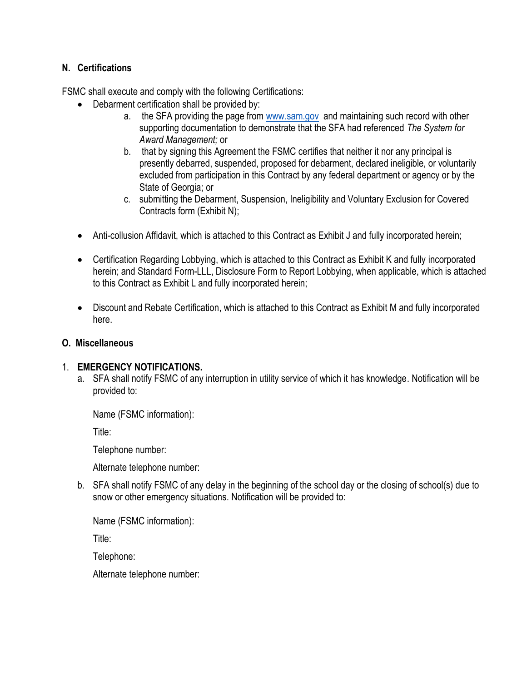### **N. Certifications**

FSMC shall execute and comply with the following Certifications:

- Debarment certification shall be provided by:
	- a. the SFA providing the page from [www.sam.gov](http://www.sam.gov/) and maintaining such record with other supporting documentation to demonstrate that the SFA had referenced *The System for Award Management;* or
	- b. that by signing this Agreement the FSMC certifies that neither it nor any principal is presently debarred, suspended, proposed for debarment, declared ineligible, or voluntarily excluded from participation in this Contract by any federal department or agency or by the State of Georgia; or
	- c. submitting the Debarment, Suspension, Ineligibility and Voluntary Exclusion for Covered Contracts form (Exhibit N);
- Anti-collusion Affidavit, which is attached to this Contract as Exhibit J and fully incorporated herein;
- Certification Regarding Lobbying, which is attached to this Contract as Exhibit K and fully incorporated herein; and Standard Form-LLL, Disclosure Form to Report Lobbying, when applicable, which is attached to this Contract as Exhibit L and fully incorporated herein;
- Discount and Rebate Certification, which is attached to this Contract as Exhibit M and fully incorporated here.

### **O. Miscellaneous**

### 1. **EMERGENCY NOTIFICATIONS.**

a. SFA shall notify FSMC of any interruption in utility service of which it has knowledge. Notification will be provided to:

Name (FSMC information):

Title:

Telephone number:

Alternate telephone number:

b. SFA shall notify FSMC of any delay in the beginning of the school day or the closing of school(s) due to snow or other emergency situations. Notification will be provided to:

Name (FSMC information):

Title:

Telephone:

Alternate telephone number: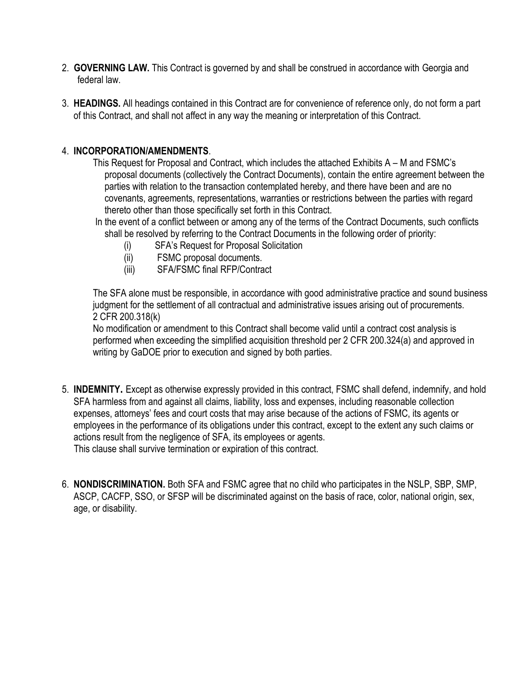- 2. **GOVERNING LAW.** This Contract is governed by and shall be construed in accordance with Georgia and federal law.
- 3. **HEADINGS.** All headings contained in this Contract are for convenience of reference only, do not form a part of this Contract, and shall not affect in any way the meaning or interpretation of this Contract.

#### 4. **INCORPORATION/AMENDMENTS**.

This Request for Proposal and Contract, which includes the attached Exhibits A – M and FSMC's proposal documents (collectively the Contract Documents), contain the entire agreement between the parties with relation to the transaction contemplated hereby, and there have been and are no covenants, agreements, representations, warranties or restrictions between the parties with regard thereto other than those specifically set forth in this Contract.

- In the event of a conflict between or among any of the terms of the Contract Documents, such conflicts shall be resolved by referring to the Contract Documents in the following order of priority:
	- (i) SFA's Request for Proposal Solicitation
	- (ii) FSMC proposal documents.
	- (iii) SFA/FSMC final RFP/Contract

The SFA alone must be responsible, in accordance with good administrative practice and sound business judgment for the settlement of all contractual and administrative issues arising out of procurements. 2 CFR 200.318(k)

No modification or amendment to this Contract shall become valid until a contract cost analysis is performed when exceeding the simplified acquisition threshold per 2 CFR 200.324(a) and approved in writing by GaDOE prior to execution and signed by both parties.

- 5. **INDEMNITY.** Except as otherwise expressly provided in this contract, FSMC shall defend, indemnify, and hold SFA harmless from and against all claims, liability, loss and expenses, including reasonable collection expenses, attorneys' fees and court costs that may arise because of the actions of FSMC, its agents or employees in the performance of its obligations under this contract, except to the extent any such claims or actions result from the negligence of SFA, its employees or agents. This clause shall survive termination or expiration of this contract.
- 6. **NONDISCRIMINATION.** Both SFA and FSMC agree that no child who participates in the NSLP, SBP, SMP, ASCP, CACFP, SSO, or SFSP will be discriminated against on the basis of race, color, national origin, sex, age, or disability.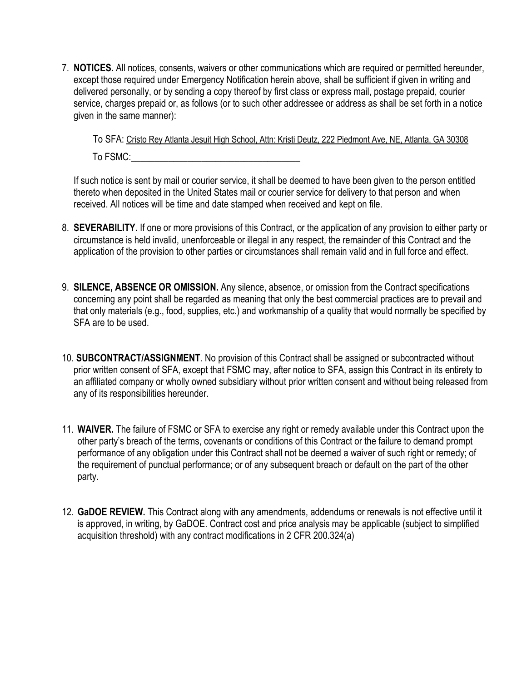7. **NOTICES.** All notices, consents, waivers or other communications which are required or permitted hereunder, except those required under Emergency Notification herein above, shall be sufficient if given in writing and delivered personally, or by sending a copy thereof by first class or express mail, postage prepaid, courier service, charges prepaid or, as follows (or to such other addressee or address as shall be set forth in a notice given in the same manner):

To SFA: Cristo Rey Atlanta Jesuit High School, Attn: Kristi Deutz, 222 Piedmont Ave, NE, Atlanta, GA 30308 To FSMC:

If such notice is sent by mail or courier service, it shall be deemed to have been given to the person entitled thereto when deposited in the United States mail or courier service for delivery to that person and when received. All notices will be time and date stamped when received and kept on file.

- 8. **SEVERABILITY.** If one or more provisions of this Contract, or the application of any provision to either party or circumstance is held invalid, unenforceable or illegal in any respect, the remainder of this Contract and the application of the provision to other parties or circumstances shall remain valid and in full force and effect.
- 9. **SILENCE, ABSENCE OR OMISSION.** Any silence, absence, or omission from the Contract specifications concerning any point shall be regarded as meaning that only the best commercial practices are to prevail and that only materials (e.g., food, supplies, etc.) and workmanship of a quality that would normally be specified by SFA are to be used.
- 10. **SUBCONTRACT/ASSIGNMENT**. No provision of this Contract shall be assigned or subcontracted without prior written consent of SFA, except that FSMC may, after notice to SFA, assign this Contract in its entirety to an affiliated company or wholly owned subsidiary without prior written consent and without being released from any of its responsibilities hereunder.
- 11. **WAIVER.** The failure of FSMC or SFA to exercise any right or remedy available under this Contract upon the other party's breach of the terms, covenants or conditions of this Contract or the failure to demand prompt performance of any obligation under this Contract shall not be deemed a waiver of such right or remedy; of the requirement of punctual performance; or of any subsequent breach or default on the part of the other party.
- 12. **GaDOE REVIEW.** This Contract along with any amendments, addendums or renewals is not effective until it is approved, in writing, by GaDOE. Contract cost and price analysis may be applicable (subject to simplified acquisition threshold) with any contract modifications in 2 CFR 200.324(a)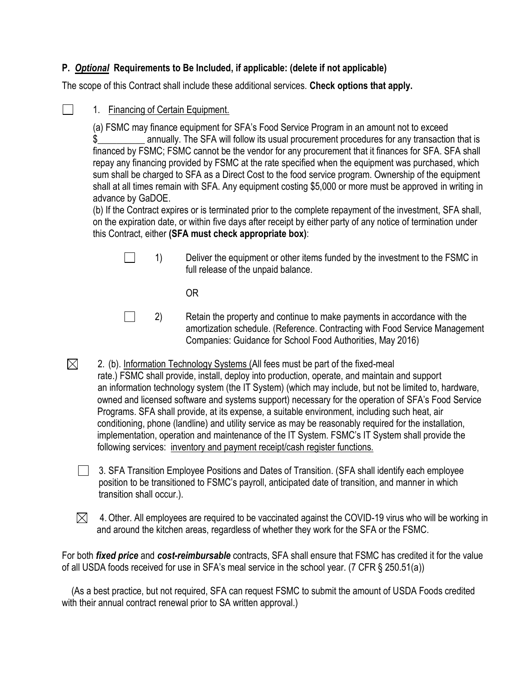### **P.** *Optional* **Requirements to Be Included, if applicable: (delete if not applicable)**

The scope of this Contract shall include these additional services. **Check options that apply.**

 $\Box$ 

1. Financing of Certain Equipment.

(a) FSMC may finance equipment for SFA's Food Service Program in an amount not to exceed \$\_\_\_\_\_\_\_\_\_\_ annually. The SFA will follow its usual procurement procedures for any transaction that is financed by FSMC; FSMC cannot be the vendor for any procurement that it finances for SFA. SFA shall repay any financing provided by FSMC at the rate specified when the equipment was purchased, which sum shall be charged to SFA as a Direct Cost to the food service program. Ownership of the equipment shall at all times remain with SFA. Any equipment costing \$5,000 or more must be approved in writing in advance by GaDOE.

(b) If the Contract expires or is terminated prior to the complete repayment of the investment, SFA shall, on the expiration date, or within five days after receipt by either party of any notice of termination under this Contract, either **(SFA must check appropriate box)**:

| $\Box$ | Deliver the equipment or other items funded by the investment to the FSMC in |
|--------|------------------------------------------------------------------------------|
|        | full release of the unpaid balance.                                          |

OR

- $\Box$ 2) Retain the property and continue to make payments in accordance with the amortization schedule. (Reference. Contracting with Food Service Management Companies: Guidance for School Food Authorities, May 2016)
- $\boxtimes$  2. (b). Information Technology Systems (All fees must be part of the fixed-meal rate.) FSMC shall provide, install, deploy into production, operate, and maintain and support an information technology system (the IT System) (which may include, but not be limited to, hardware, owned and licensed software and systems support) necessary for the operation of SFA's Food Service Programs. SFA shall provide, at its expense, a suitable environment, including such heat, air conditioning, phone (landline) and utility service as may be reasonably required for the installation, implementation, operation and maintenance of the IT System. FSMC's IT System shall provide the following services: inventory and payment receipt/cash register functions.

 3. SFA Transition Employee Positions and Dates of Transition. (SFA shall identify each employee position to be transitioned to FSMC's payroll, anticipated date of transition, and manner in which transition shall occur.).

 $\bowtie$  4. Other. All employees are required to be vaccinated against the COVID-19 virus who will be working in and around the kitchen areas, regardless of whether they work for the SFA or the FSMC.

For both *fixed price* and *cost-reimbursable* contracts, SFA shall ensure that FSMC has credited it for the value of all USDA foods received for use in SFA's meal service in the school year. (7 CFR § 250.51(a))

 (As a best practice, but not required, SFA can request FSMC to submit the amount of USDA Foods credited with their annual contract renewal prior to SA written approval.)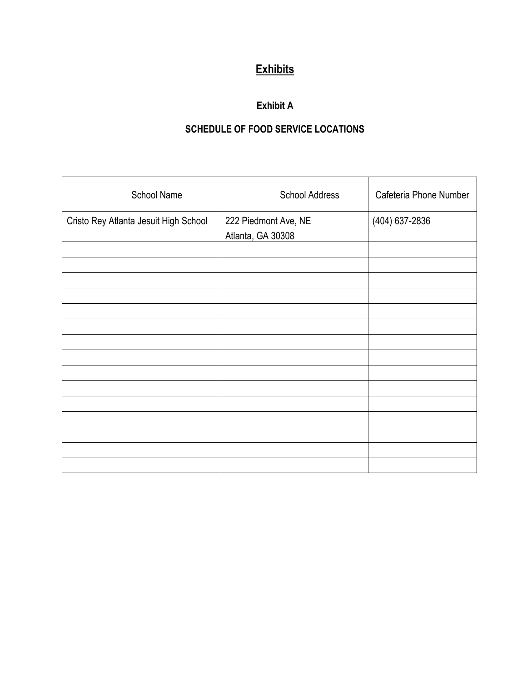# **Exhibits**

## **Exhibit A**

# **SCHEDULE OF FOOD SERVICE LOCATIONS**

| <b>School Name</b>                    | <b>School Address</b>                     | Cafeteria Phone Number |
|---------------------------------------|-------------------------------------------|------------------------|
| Cristo Rey Atlanta Jesuit High School | 222 Piedmont Ave, NE<br>Atlanta, GA 30308 | (404) 637-2836         |
|                                       |                                           |                        |
|                                       |                                           |                        |
|                                       |                                           |                        |
|                                       |                                           |                        |
|                                       |                                           |                        |
|                                       |                                           |                        |
|                                       |                                           |                        |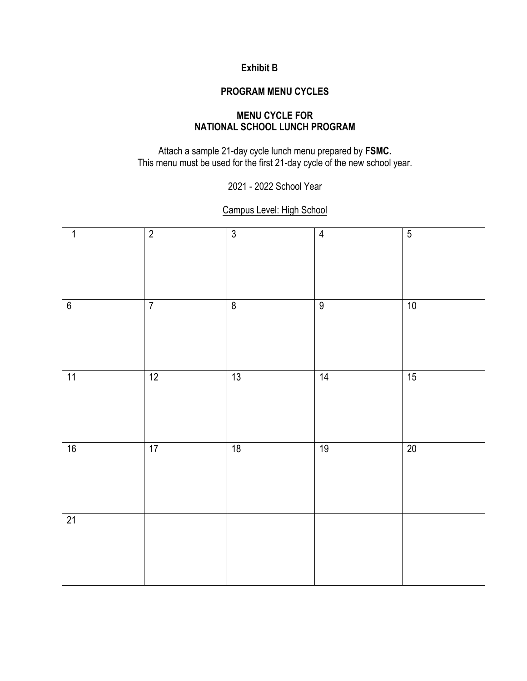## **Exhibit B**

#### **PROGRAM MENU CYCLES**

### **MENU CYCLE FOR NATIONAL SCHOOL LUNCH PROGRAM**

Attach a sample 21-day cycle lunch menu prepared by **FSMC.** This menu must be used for the first 21-day cycle of the new school year.

2021 - 2022 School Year

## Campus Level: High School

| $\mathbf 1$ | $\overline{2}$ | $\overline{3}$     | $\overline{4}$ | $\overline{5}$ |
|-------------|----------------|--------------------|----------------|----------------|
| 6           | $\overline{7}$ | $\overline{\bf 8}$ | $\overline{9}$ | 10             |
| 11          | 12             | 13                 | 14             | 15             |
| 16          | 17             | 18                 | 19             | 20             |
| 21          |                |                    |                |                |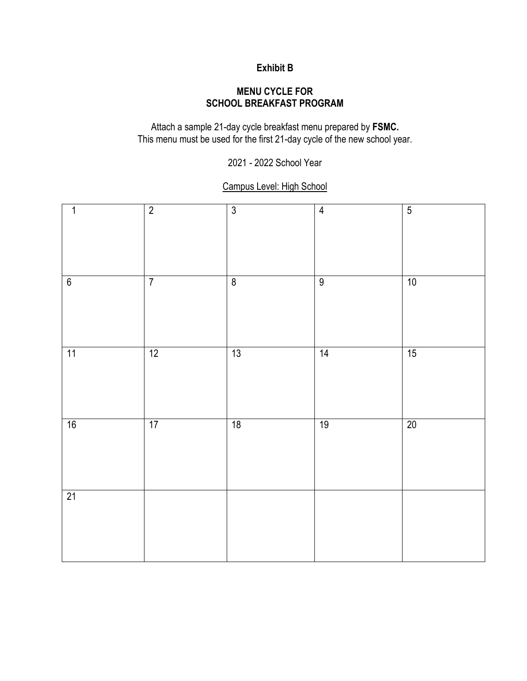## **Exhibit B**

### **MENU CYCLE FOR SCHOOL BREAKFAST PROGRAM**

Attach a sample 21-day cycle breakfast menu prepared by **FSMC.** This menu must be used for the first 21-day cycle of the new school year.

2021 - 2022 School Year

### Campus Level: High School

| $\mathbf{1}$    | $\overline{2}$ | $\overline{3}$ | $\overline{4}$ | $\overline{5}$ |
|-----------------|----------------|----------------|----------------|----------------|
| $6\overline{6}$ | $\overline{7}$ | $\overline{8}$ | $\overline{9}$ | 10             |
| 11              | 12             | 13             | 14             | 15             |
| 16              | 17             | 18             | 19             | $20\,$         |
| 21              |                |                |                |                |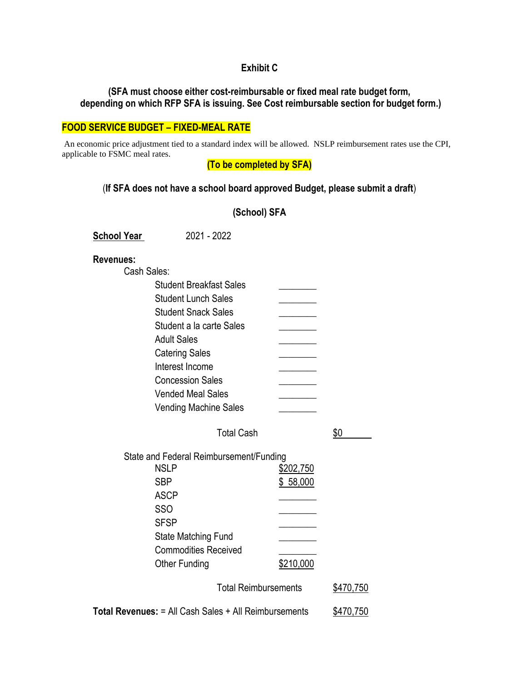#### **Exhibit C**

#### **(SFA must choose either cost-reimbursable or fixed meal rate budget form, depending on which RFP SFA is issuing. See Cost reimbursable section for budget form.)**

#### **FOOD SERVICE BUDGET – FIXED-MEAL RATE**

An economic price adjustment tied to a standard index will be allowed. NSLP reimbursement rates use the CPI, applicable to FSMC meal rates.

**(To be completed by SFA)**

#### (**If SFA does not have a school board approved Budget, please submit a draft**)

**School Year** 2021 - 2022

#### **Revenues:**

Cash Sales:

| <b>Student Breakfast Sales</b>          |           |     |  |
|-----------------------------------------|-----------|-----|--|
| <b>Student Lunch Sales</b>              |           |     |  |
| <b>Student Snack Sales</b>              |           |     |  |
| Student a la carte Sales                |           |     |  |
| <b>Adult Sales</b>                      |           |     |  |
| <b>Catering Sales</b>                   |           |     |  |
| Interest Income                         |           |     |  |
| <b>Concession Sales</b>                 |           |     |  |
| <b>Vended Meal Sales</b>                |           |     |  |
| <b>Vending Machine Sales</b>            |           |     |  |
| <b>Total Cash</b>                       |           | \$0 |  |
| State and Federal Reimbursement/Funding |           |     |  |
| <b>NSLP</b>                             | \$202,750 |     |  |
| <b>SBP</b>                              | \$58,000  |     |  |
| <b>ASCP</b>                             |           |     |  |
| SSO                                     |           |     |  |
| <b>SFSP</b>                             |           |     |  |
| State Matching Fund                     |           |     |  |

Total Reimbursements \$470,750

**Total Revenues:** = All Cash Sales + All Reimbursements \$470,750

Other Funding \$210,000

Commodities Received \_\_\_\_\_\_\_\_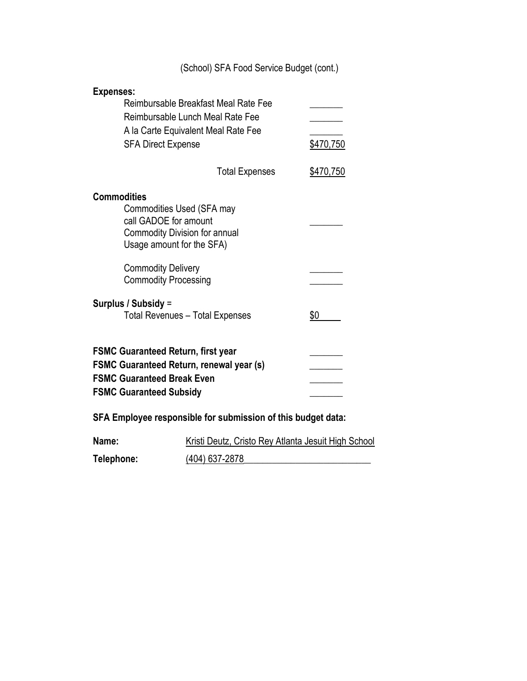|                                                                                                                                                                     | (School) SFA Food Service Budget (cont.)                                                                        |           |
|---------------------------------------------------------------------------------------------------------------------------------------------------------------------|-----------------------------------------------------------------------------------------------------------------|-----------|
| <b>Expenses:</b><br><b>SFA Direct Expense</b>                                                                                                                       | Reimbursable Breakfast Meal Rate Fee<br>Reimbursable Lunch Meal Rate Fee<br>A la Carte Equivalent Meal Rate Fee | \$470,750 |
|                                                                                                                                                                     | <b>Total Expenses</b>                                                                                           | \$470,750 |
| <b>Commodities</b><br>Commodities Used (SFA may<br>call GADOE for amount<br><b>Commodity Division for annual</b><br>Usage amount for the SFA)                       |                                                                                                                 |           |
| <b>Commodity Delivery</b><br><b>Commodity Processing</b>                                                                                                            |                                                                                                                 |           |
| Surplus / Subsidy =                                                                                                                                                 | <b>Total Revenues - Total Expenses</b>                                                                          | \$0       |
| <b>FSMC Guaranteed Return, first year</b><br><b>FSMC Guaranteed Return, renewal year (s)</b><br><b>FSMC Guaranteed Break Even</b><br><b>FSMC Guaranteed Subsidy</b> |                                                                                                                 |           |
|                                                                                                                                                                     | SFA Employee responsible for submission of this budget data:                                                    |           |
| Name:                                                                                                                                                               | <b>Kristi Deutz, Cristo Rey Atlanta Jesuit High School</b>                                                      |           |
| Telephone:                                                                                                                                                          | (404) 637-2878                                                                                                  |           |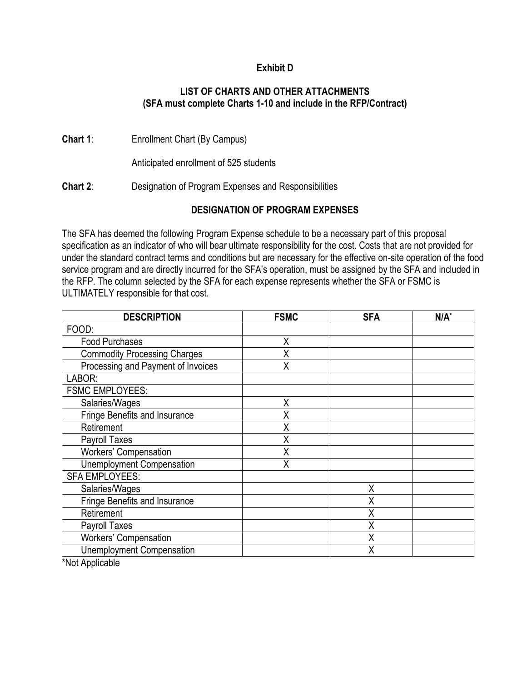### **Exhibit D**

#### **LIST OF CHARTS AND OTHER ATTACHMENTS (SFA must complete Charts 1-10 and include in the RFP/Contract)**

**Chart 1**: Enrollment Chart (By Campus)

Anticipated enrollment of 525 students

**Chart 2**: Designation of Program Expenses and Responsibilities

### **DESIGNATION OF PROGRAM EXPENSES**

The SFA has deemed the following Program Expense schedule to be a necessary part of this proposal specification as an indicator of who will bear ultimate responsibility for the cost. Costs that are not provided for under the standard contract terms and conditions but are necessary for the effective on-site operation of the food service program and are directly incurred for the SFA's operation, must be assigned by the SFA and included in the RFP. The column selected by the SFA for each expense represents whether the SFA or FSMC is ULTIMATELY responsible for that cost.

| <b>DESCRIPTION</b>                  | <b>FSMC</b> | <b>SFA</b> | $N/A^*$ |
|-------------------------------------|-------------|------------|---------|
| FOOD:                               |             |            |         |
| <b>Food Purchases</b>               | X           |            |         |
| <b>Commodity Processing Charges</b> | X           |            |         |
| Processing and Payment of Invoices  | X           |            |         |
| LABOR:                              |             |            |         |
| <b>FSMC EMPLOYEES:</b>              |             |            |         |
| Salaries/Wages                      | X           |            |         |
| Fringe Benefits and Insurance       | X           |            |         |
| Retirement                          | X           |            |         |
| Payroll Taxes                       | X           |            |         |
| Workers' Compensation               | X           |            |         |
| <b>Unemployment Compensation</b>    | X           |            |         |
| <b>SFA EMPLOYEES:</b>               |             |            |         |
| Salaries/Wages                      |             | Χ          |         |
| Fringe Benefits and Insurance       |             | Χ          |         |
| Retirement                          |             | X          |         |
| Payroll Taxes                       |             | Χ          |         |
| Workers' Compensation               |             | Χ          |         |
| <b>Unemployment Compensation</b>    |             | Χ          |         |
| $*$ Mat Ameliaalda                  |             |            |         |

\*Not Applicable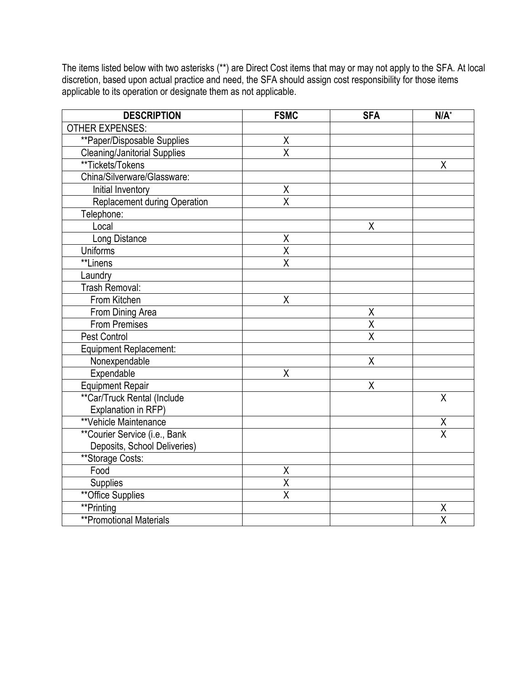The items listed below with two asterisks (\*\*) are Direct Cost items that may or may not apply to the SFA. At local discretion, based upon actual practice and need, the SFA should assign cost responsibility for those items applicable to its operation or designate them as not applicable.

| <b>DESCRIPTION</b>                  | <b>FSMC</b>             | <b>SFA</b>         | $N/A^*$                         |
|-------------------------------------|-------------------------|--------------------|---------------------------------|
| <b>OTHER EXPENSES:</b>              |                         |                    |                                 |
| **Paper/Disposable Supplies         | Χ                       |                    |                                 |
| <b>Cleaning/Janitorial Supplies</b> | X                       |                    |                                 |
| **Tickets/Tokens                    |                         |                    | X                               |
| China/Silverware/Glassware:         |                         |                    |                                 |
| Initial Inventory                   | $\pmb{\mathsf{X}}$      |                    |                                 |
| Replacement during Operation        | $\overline{\mathsf{x}}$ |                    |                                 |
| Telephone:                          |                         |                    |                                 |
| Local                               |                         | X                  |                                 |
| Long Distance                       | $\sf X$                 |                    |                                 |
| Uniforms                            | $\overline{\mathsf{X}}$ |                    |                                 |
| **Linens                            | $\overline{\mathsf{x}}$ |                    |                                 |
| Laundry                             |                         |                    |                                 |
| Trash Removal:                      |                         |                    |                                 |
| From Kitchen                        | $\sf X$                 |                    |                                 |
| From Dining Area                    |                         | Χ                  |                                 |
| <b>From Premises</b>                |                         | $\pmb{\mathsf{X}}$ |                                 |
| Pest Control                        |                         | X                  |                                 |
| <b>Equipment Replacement:</b>       |                         |                    |                                 |
| Nonexpendable                       |                         | X                  |                                 |
| Expendable                          | X                       |                    |                                 |
| <b>Equipment Repair</b>             |                         | X                  |                                 |
| **Car/Truck Rental (Include         |                         |                    | X                               |
| Explanation in RFP)                 |                         |                    |                                 |
| **Vehicle Maintenance               |                         |                    | $\frac{\mathsf{X}}{\mathsf{X}}$ |
| **Courier Service (i.e., Bank       |                         |                    |                                 |
| Deposits, School Deliveries)        |                         |                    |                                 |
| **Storage Costs:                    |                         |                    |                                 |
| Food                                | $\pmb{\mathsf{X}}$      |                    |                                 |
| Supplies                            | $\overline{\mathsf{X}}$ |                    |                                 |
| <b>**Office Supplies</b>            | $\overline{\mathsf{x}}$ |                    |                                 |
| **Printing                          |                         |                    | Χ                               |
| <b>**Promotional Materials</b>      |                         |                    | $\overline{\mathsf{x}}$         |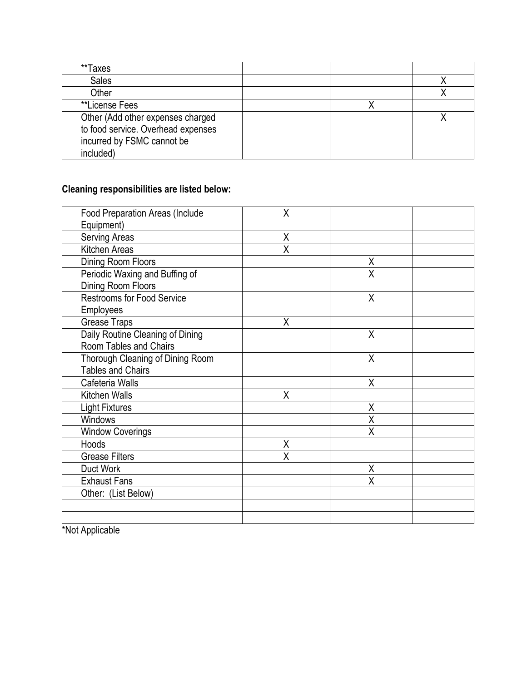| **Taxes                            |  |  |
|------------------------------------|--|--|
| <b>Sales</b>                       |  |  |
| Other                              |  |  |
| **License Fees                     |  |  |
| Other (Add other expenses charged  |  |  |
| to food service. Overhead expenses |  |  |
| incurred by FSMC cannot be         |  |  |
| included)                          |  |  |

# **Cleaning responsibilities are listed below:**

| <b>Food Preparation Areas (Include</b> | X |   |  |
|----------------------------------------|---|---|--|
| Equipment)                             |   |   |  |
| Serving Areas                          | X |   |  |
| Kitchen Areas                          | X |   |  |
| Dining Room Floors                     |   | Χ |  |
| Periodic Waxing and Buffing of         |   | Χ |  |
| Dining Room Floors                     |   |   |  |
| <b>Restrooms for Food Service</b>      |   | Χ |  |
| Employees                              |   |   |  |
| <b>Grease Traps</b>                    | X |   |  |
| Daily Routine Cleaning of Dining       |   | X |  |
| Room Tables and Chairs                 |   |   |  |
| Thorough Cleaning of Dining Room       |   | Χ |  |
| <b>Tables and Chairs</b>               |   |   |  |
| Cafeteria Walls                        |   | X |  |
| Kitchen Walls                          | X |   |  |
| <b>Light Fixtures</b>                  |   | X |  |
| Windows                                |   | Χ |  |
| <b>Window Coverings</b>                |   | X |  |
| Hoods                                  | X |   |  |
| <b>Grease Filters</b>                  | X |   |  |
| Duct Work                              |   | X |  |
| <b>Exhaust Fans</b>                    |   | X |  |
| Other: (List Below)                    |   |   |  |
|                                        |   |   |  |
|                                        |   |   |  |

\*Not Applicable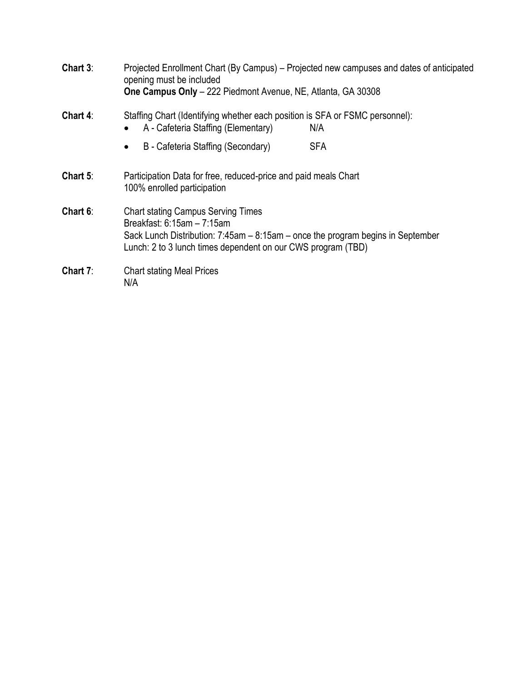| Chart 3:    | Projected Enrollment Chart (By Campus) – Projected new campuses and dates of anticipated<br>opening must be included<br>One Campus Only - 222 Piedmont Avenue, NE, Atlanta, GA 30308                                                 |
|-------------|--------------------------------------------------------------------------------------------------------------------------------------------------------------------------------------------------------------------------------------|
| Chart 4:    | Staffing Chart (Identifying whether each position is SFA or FSMC personnel):<br>A - Cafeteria Staffing (Elementary)<br>N/A                                                                                                           |
|             | <b>SFA</b><br>B - Cafeteria Staffing (Secondary)<br>$\bullet$                                                                                                                                                                        |
| Chart $5$ : | Participation Data for free, reduced-price and paid meals Chart<br>100% enrolled participation                                                                                                                                       |
| Chart 6:    | <b>Chart stating Campus Serving Times</b><br>Breakfast: $6:15am - 7:15am$<br>Sack Lunch Distribution: $7:45$ am $- 8:15$ am $-$ once the program begins in September<br>Lunch: 2 to 3 lunch times dependent on our CWS program (TBD) |
| Chart $7:$  | <b>Chart stating Meal Prices</b><br>N/A                                                                                                                                                                                              |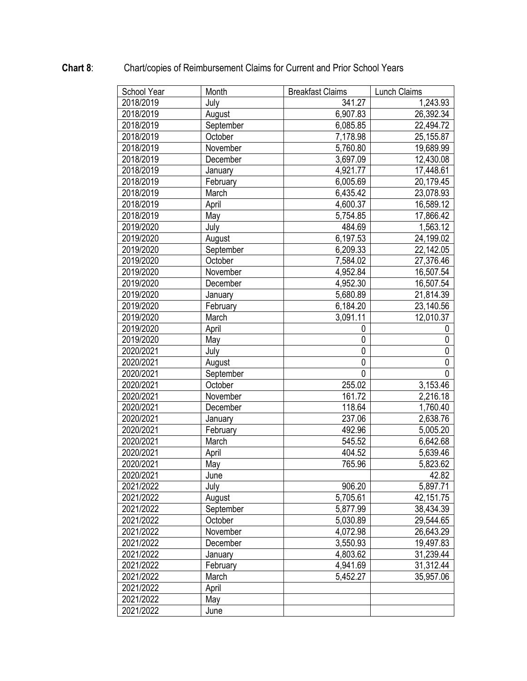| School Year | Month     | <b>Breakfast Claims</b> | Lunch Claims |
|-------------|-----------|-------------------------|--------------|
| 2018/2019   | July      | 341.27                  | 1,243.93     |
| 2018/2019   | August    | 6,907.83                | 26,392.34    |
| 2018/2019   | September | 6,085.85                | 22,494.72    |
| 2018/2019   | October   | 7,178.98                | 25,155.87    |
| 2018/2019   | November  | 5,760.80                | 19,689.99    |
| 2018/2019   | December  | 3,697.09                | 12,430.08    |
| 2018/2019   | January   | 4,921.77                | 17,448.61    |
| 2018/2019   | February  | 6,005.69                | 20,179.45    |
| 2018/2019   | March     | 6,435.42                | 23,078.93    |
| 2018/2019   | April     | 4,600.37                | 16,589.12    |
| 2018/2019   | May       | 5,754.85                | 17,866.42    |
| 2019/2020   | July      | 484.69                  | 1,563.12     |
| 2019/2020   | August    | 6,197.53                | 24,199.02    |
| 2019/2020   | September | 6,209.33                | 22,142.05    |
| 2019/2020   | October   | 7,584.02                | 27,376.46    |
| 2019/2020   | November  | 4,952.84                | 16,507.54    |
| 2019/2020   | December  | 4,952.30                | 16,507.54    |
| 2019/2020   | January   | 5,680.89                | 21,814.39    |
| 2019/2020   | February  | 6,184.20                | 23,140.56    |
| 2019/2020   | March     | 3,091.11                | 12,010.37    |
| 2019/2020   | April     | 0                       | 0            |
| 2019/2020   | May       | $\mathbf 0$             | 0            |
| 2020/2021   | July      | 0                       | 0            |
| 2020/2021   | August    | $\mathbf 0$             | 0            |
| 2020/2021   | September | $\mathbf 0$             | 0            |
| 2020/2021   | October   | 255.02                  | 3,153.46     |
| 2020/2021   | November  | 161.72                  | 2,216.18     |
| 2020/2021   | December  | 118.64                  | 1,760.40     |
| 2020/2021   | January   | 237.06                  | 2,638.76     |
| 2020/2021   | February  | 492.96                  | 5,005.20     |
| 2020/2021   | March     | 545.52                  | 6,642.68     |
| 2020/2021   | April     | 404.52                  | 5,639.46     |
| 2020/2021   | May       | 765.96                  | 5,823.62     |
| 2020/2021   | June      |                         | 42.82        |
| 2021/2022   | July      | 906.20                  | 5,897.71     |
| 2021/2022   | August    | 5,705.61                | 42,151.75    |
| 2021/2022   | September | 5,877.99                | 38,434.39    |
| 2021/2022   | October   | 5,030.89                | 29,544.65    |
| 2021/2022   | November  | 4,072.98                | 26,643.29    |
| 2021/2022   | December  | 3,550.93                | 19,497.83    |
| 2021/2022   | January   | 4,803.62                | 31,239.44    |
| 2021/2022   | February  | 4,941.69                | 31,312.44    |
| 2021/2022   | March     | 5,452.27                | 35,957.06    |
| 2021/2022   | April     |                         |              |
| 2021/2022   | May       |                         |              |
| 2021/2022   | June      |                         |              |

# **Chart 8**: Chart/copies of Reimbursement Claims for Current and Prior School Years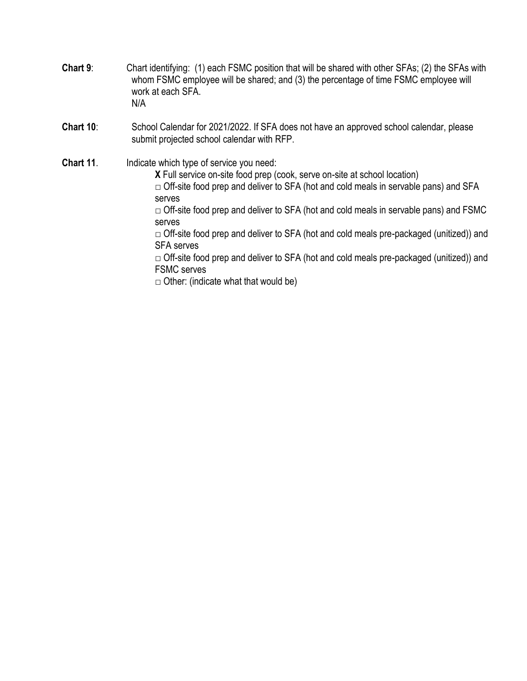- **Chart 9**: Chart identifying: (1) each FSMC position that will be shared with other SFAs; (2) the SFAs with whom FSMC employee will be shared; and (3) the percentage of time FSMC employee will work at each SFA. N/A
- **Chart 10**: School Calendar for 2021/2022. If SFA does not have an approved school calendar, please submit projected school calendar with RFP.

**Chart 11.** Indicate which type of service you need: **X** Full service on-site food prep (cook, serve on-site at school location)  $\Box$  Off-site food prep and deliver to SFA (hot and cold meals in servable pans) and SFA serves  $\Box$  Off-site food prep and deliver to SFA (hot and cold meals in servable pans) and FSMC serves  $\Box$  Off-site food prep and deliver to SFA (hot and cold meals pre-packaged (unitized)) and SFA serves  $\Box$  Off-site food prep and deliver to SFA (hot and cold meals pre-packaged (unitized)) and FSMC serves  $\Box$  Other: (indicate what that would be)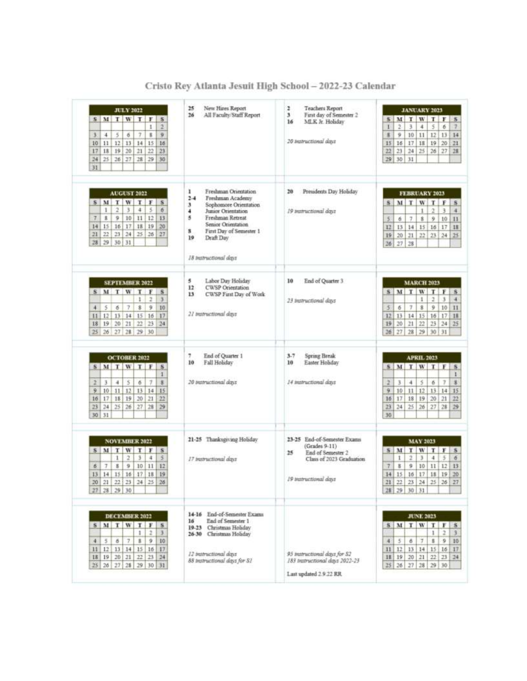| <b>JULY 2022</b><br>SMIWIT<br>$\mathbf{F}$<br>$\overline{\mathbf{s}}$<br>2<br>$\mathbf{1}$<br>9<br>š.<br>з<br>5<br>$\tau$<br>4<br>6<br>12<br>13 <sup>1</sup><br>14<br>15<br>16<br>10<br>11<br>$_{22}$<br>23<br>18 19<br>20<br>21<br>17<br>29<br>30<br>24<br>$25$ $26$<br>27<br>28<br>31 | 25<br>New Hires Report<br>26<br>All Faculty/Staff Report                                                                                                                                                                                      | 2<br>Teachers Report<br>3<br>First day of Semester 2<br>16<br>MLK Jr. Holiday<br>20 matructional days                          | JANUARY 2023<br>M T W<br>$T$ $F$ $S$<br>S.<br>š.<br>2<br>3<br>4<br>6<br>$\mathcal{I}$<br>1<br>x<br>9.<br>10<br>12<br>13<br>14<br>11<br>19<br>16<br>17<br>18<br>20<br>$-21$<br>15<br>22<br>23<br>24<br>25<br>26<br>27<br>28<br>29<br>30<br>31                                |
|-----------------------------------------------------------------------------------------------------------------------------------------------------------------------------------------------------------------------------------------------------------------------------------------|-----------------------------------------------------------------------------------------------------------------------------------------------------------------------------------------------------------------------------------------------|--------------------------------------------------------------------------------------------------------------------------------|-----------------------------------------------------------------------------------------------------------------------------------------------------------------------------------------------------------------------------------------------------------------------------|
| <b>AUGUST 2022</b><br>W.<br>S M T<br>T<br>F<br>s<br>$\overline{a}$<br>3<br>$\ddot{ }$<br>5<br>1<br>$\ddot{\sigma}$<br>9<br>10<br>11<br>12<br>13<br>$\tau$<br>ß<br>18<br>20<br>16 17 <br>19<br>14<br>15<br>21<br>241<br>25<br>26<br>27<br>22<br>23<br>28<br>31<br>29<br>30 <sub>1</sub>  | Freshman Orientation<br>1<br>$2 - 4$<br>Freshman Academy<br>3<br>Sophomore Orientation.<br>4<br>Junior Orientation<br>5<br>Freshman Retreat<br>Senior Orientation<br>s<br>First Day of Semester 1<br>19<br>Draft Day<br>18 instructional days | Preudents Day Holiday<br>20<br>19 matrictional days                                                                            | FEBRUARY 2023<br>M<br>T<br>W<br>T<br>  F<br>S <sub>1</sub><br>$\mathbf{s}$<br>$\mathfrak{a}$<br>з<br>1<br>$\overline{4}$<br>\$<br>9<br>10<br>7.<br>11<br>5<br>6.<br>12<br>15<br>14<br>15<br>16<br>17<br>18<br>221<br>25<br>19<br>20<br>21<br>23   24<br>28<br>26<br>27      |
| <b>SEPTEMBER 2022</b><br>S M T W<br>т<br>∣¥.<br>s<br>1<br>2<br>з<br>Ś.<br>$\overline{z}$<br>$\bar{\mathbf{z}}$<br>9<br>10<br>$\overline{4}$<br>6<br>17<br>12 13 14 15 16<br>11<br>19 20 21 22<br>24<br>18<br> 23 <br>25 26 27 28 29 30                                                  | Labor Day Holiday<br>5<br>12<br><b>CWSP</b> Orientation<br>13<br>CWSP First Day of Work<br>21 matructional days                                                                                                                               | End of Quarter 3<br>10<br>23 Instructional days                                                                                | <b>MARCH 2023</b><br>$S \mid M$<br>T<br>W<br>$T$ $F$<br>S.<br>2<br>3<br>1<br>$\ddot{+}$<br>5<br>$\tau$<br>$\overline{\mathbf{8}}$<br>9<br>10<br>6<br>11<br>12<br>14<br>15<br>17<br>18<br>13<br>16<br>20<br>22<br>29 24 25<br>19<br>21<br>26<br>27<br>28<br>29<br>30   31    |
| <b>OCTOBER 2022</b><br>$S$ M<br>T W<br>TF<br>$\frac{1}{2}$<br>1<br>ä.<br>2<br>3<br>4<br>5<br>7<br>6<br>12.<br>9<br>$10$ $11$<br>13<br>14<br>15<br>22<br>17 18 19<br>20<br>21<br>16<br>23<br>25<br>26<br>27<br>28<br>29<br>24<br>30<br>31                                                | End of Quarter 1<br>,<br>10<br>Fall Holiday<br>20 instructional days                                                                                                                                                                          | 3.7<br>Spring Break<br>10<br>Easter Holiday<br>14 matructional days                                                            | <b>APRIL 2023</b><br>M<br>$T$ W $T$ $F$<br>s<br>$\mathbf{s}$<br>L<br>$\mathbf{z}$<br>$\tau$<br>2<br>3<br>$\ddot{ }$<br>5<br>6<br>9<br>10<br>12<br>13<br>11<br>14<br>15<br>18<br>19<br>20 <sub>1</sub><br>22<br>16<br>17<br>21<br>23<br>25<br>26<br>24 <br>27128<br>29<br>30 |
| <b>NOVEMBER 2022</b><br>$S$ $M$ $T$<br>W<br>F<br>T<br>S<br>$\overline{\mathbf{2}}$<br>5<br>1<br>з<br>4<br>9<br>10<br>11<br>12<br>$\tau$<br>8<br>6<br>17<br>19<br>$14$ $15$ $16$<br>18<br>13<br>30<br>$21 \mid 22 \mid 25 \mid$<br>24<br>25<br>26<br>27 28 29 30                         | 21-25 Thanksgiving Holiday<br>17 instructional days                                                                                                                                                                                           | 23-25 End-of-Semester Exams<br>$(Grades 9-11)$<br>25<br>End of Semester 2<br>Class of 2023 Graduation<br>19 instructional days | <b>MAY 2023</b><br>$5$ M<br>T.<br>WIFS<br>手<br>1<br>2<br>3<br>$\overline{4}$<br>$\sigma$<br>9<br>11 12 13<br>7<br>8<br>10<br>15<br>17<br>20<br>14<br>16<br>18 19<br>21.<br>22<br>$23\,$<br>24<br>25<br>26<br>27<br>28 29 30 31                                              |
| DECEMBER 2022<br>SMTWTFS<br>2<br>$\mathcal{F}$<br>1.<br>$\mathbf{g}$<br>9<br>10<br>5<br>6<br>7<br>$\mathcal{A}$<br>  17<br>12 13 14 15 16<br>11<br>19 20 21 22<br>23<br>34<br>18<br>25<br>26 27 28 29 30 31                                                                             | 14-16 End-of-Semester Exams<br>End of Semester 1<br>16<br>19-23 Christmas Holiday<br>26-30 Christmas Holiday<br>12 intructional days<br>88 trestructional days for S1                                                                         | 95 matructional days for \$2<br>183 tratructional days 2022-23<br>Last updated 2.9.22 RR                                       | <b>JUNE 2023</b><br>SMIWIFS<br>$\overline{\phantom{a}}$<br>$\mathbf{3}$<br>1<br>$\cdot$ 9<br>$\mathbbmss{1}$<br>10<br>7.<br>5<br>6<br>4<br>15 16 17<br>12<br>11<br>13   14  <br>18 19 20 21<br>$22$ $23$ $24$<br>26 27 28 29 30<br>25 <sup>2</sup>                          |

Cristo Rey Atlanta Jesuit High School - 2022-23 Calendar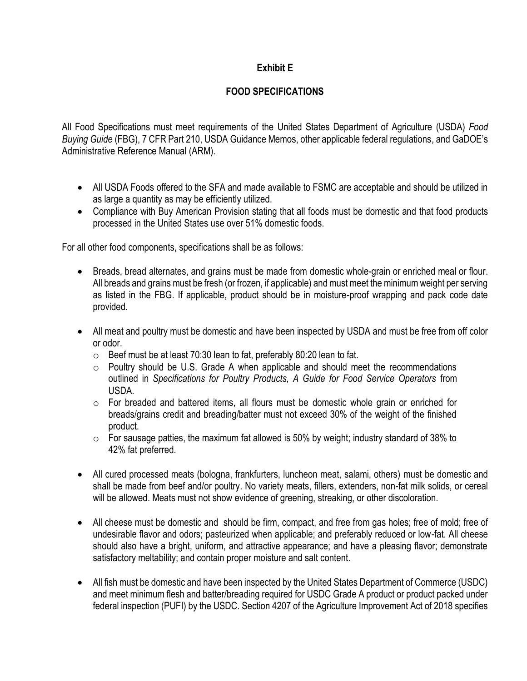### **Exhibit E**

### **FOOD SPECIFICATIONS**

All Food Specifications must meet requirements of the United States Department of Agriculture (USDA) *Food Buying Guide* (FBG), 7 CFR Part 210, USDA Guidance Memos, other applicable federal regulations, and GaDOE's Administrative Reference Manual (ARM).

- All USDA Foods offered to the SFA and made available to FSMC are acceptable and should be utilized in as large a quantity as may be efficiently utilized.
- Compliance with Buy American Provision stating that all foods must be domestic and that food products processed in the United States use over 51% domestic foods.

For all other food components, specifications shall be as follows:

- Breads, bread alternates, and grains must be made from domestic whole-grain or enriched meal or flour. All breads and grains must be fresh (or frozen, if applicable) and must meet the minimum weight per serving as listed in the FBG. If applicable, product should be in moisture-proof wrapping and pack code date provided.
- All meat and poultry must be domestic and have been inspected by USDA and must be free from off color or odor.
	- o Beef must be at least 70:30 lean to fat, preferably 80:20 lean to fat.
	- o Poultry should be U.S. Grade A when applicable and should meet the recommendations outlined in *Specifications for Poultry Products, A Guide for Food Service Operators* from USDA.
	- o For breaded and battered items, all flours must be domestic whole grain or enriched for breads/grains credit and breading/batter must not exceed 30% of the weight of the finished product.
	- $\circ$  For sausage patties, the maximum fat allowed is 50% by weight; industry standard of 38% to 42% fat preferred.
- All cured processed meats (bologna, frankfurters, luncheon meat, salami, others) must be domestic and shall be made from beef and/or poultry. No variety meats, fillers, extenders, non-fat milk solids, or cereal will be allowed. Meats must not show evidence of greening, streaking, or other discoloration.
- All cheese must be domestic and should be firm, compact, and free from gas holes; free of mold; free of undesirable flavor and odors; pasteurized when applicable; and preferably reduced or low-fat. All cheese should also have a bright, uniform, and attractive appearance; and have a pleasing flavor; demonstrate satisfactory meltability; and contain proper moisture and salt content.
- All fish must be domestic and have been inspected by the United States Department of Commerce (USDC) and meet minimum flesh and batter/breading required for USDC Grade A product or product packed under federal inspection (PUFI) by the USDC. Section 4207 of the Agriculture Improvement Act of 2018 specifies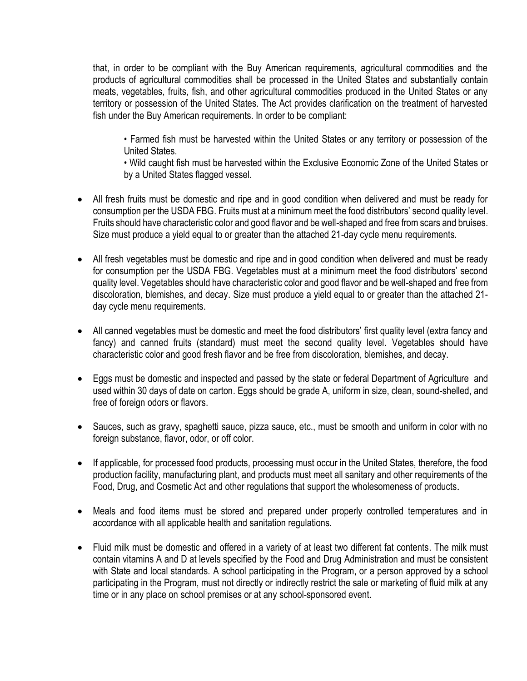that, in order to be compliant with the Buy American requirements, agricultural commodities and the products of agricultural commodities shall be processed in the United States and substantially contain meats, vegetables, fruits, fish, and other agricultural commodities produced in the United States or any territory or possession of the United States. The Act provides clarification on the treatment of harvested fish under the Buy American requirements. In order to be compliant:

• Farmed fish must be harvested within the United States or any territory or possession of the United States.

• Wild caught fish must be harvested within the Exclusive Economic Zone of the United States or by a United States flagged vessel.

- All fresh fruits must be domestic and ripe and in good condition when delivered and must be ready for consumption per the USDA FBG. Fruits must at a minimum meet the food distributors' second quality level. Fruits should have characteristic color and good flavor and be well-shaped and free from scars and bruises. Size must produce a yield equal to or greater than the attached 21-day cycle menu requirements.
- All fresh vegetables must be domestic and ripe and in good condition when delivered and must be ready for consumption per the USDA FBG. Vegetables must at a minimum meet the food distributors' second quality level. Vegetables should have characteristic color and good flavor and be well-shaped and free from discoloration, blemishes, and decay. Size must produce a yield equal to or greater than the attached 21 day cycle menu requirements.
- All canned vegetables must be domestic and meet the food distributors' first quality level (extra fancy and fancy) and canned fruits (standard) must meet the second quality level. Vegetables should have characteristic color and good fresh flavor and be free from discoloration, blemishes, and decay.
- Eggs must be domestic and inspected and passed by the state or federal Department of Agriculture and used within 30 days of date on carton. Eggs should be grade A, uniform in size, clean, sound-shelled, and free of foreign odors or flavors.
- Sauces, such as gravy, spaghetti sauce, pizza sauce, etc., must be smooth and uniform in color with no foreign substance, flavor, odor, or off color.
- If applicable, for processed food products, processing must occur in the United States, therefore, the food production facility, manufacturing plant, and products must meet all sanitary and other requirements of the Food, Drug, and Cosmetic Act and other regulations that support the wholesomeness of products.
- Meals and food items must be stored and prepared under properly controlled temperatures and in accordance with all applicable health and sanitation regulations.
- Fluid milk must be domestic and offered in a variety of at least two different fat contents. The milk must contain vitamins A and D at levels specified by the Food and Drug Administration and must be consistent with State and local standards. A [school](https://www.law.cornell.edu/definitions/index.php?width=840&height=800&iframe=true&def_id=1df897ac0ee53456d33c34fae017b4c8&term_occur=999&term_src=Title:7:Subtitle:B:Chapter:II:Subchapter:A:Part:210:Subpart:C:210.10) participating in the [Program,](https://www.law.cornell.edu/definitions/index.php?width=840&height=800&iframe=true&def_id=73d66aa5f80de77118ba3a62d74ad77d&term_occur=999&term_src=Title:7:Subtitle:B:Chapter:II:Subchapter:A:Part:210:Subpart:C:210.10) or a [person](https://www.law.cornell.edu/definitions/index.php?width=840&height=800&iframe=true&def_id=22146b821c8c8db6417a11b6a33a30ec&term_occur=999&term_src=Title:7:Subtitle:B:Chapter:II:Subchapter:A:Part:210:Subpart:C:210.10) approved by a school participating in the [Program,](https://www.law.cornell.edu/definitions/index.php?width=840&height=800&iframe=true&def_id=73d66aa5f80de77118ba3a62d74ad77d&term_occur=999&term_src=Title:7:Subtitle:B:Chapter:II:Subchapter:A:Part:210:Subpart:C:210.10) must not directly or indirectly restrict the sale or marketing of fluid milk at any time or in any place on [school](https://www.law.cornell.edu/definitions/index.php?width=840&height=800&iframe=true&def_id=1df897ac0ee53456d33c34fae017b4c8&term_occur=999&term_src=Title:7:Subtitle:B:Chapter:II:Subchapter:A:Part:210:Subpart:C:210.10) premises or at any [school-](https://www.law.cornell.edu/definitions/index.php?width=840&height=800&iframe=true&def_id=1df897ac0ee53456d33c34fae017b4c8&term_occur=999&term_src=Title:7:Subtitle:B:Chapter:II:Subchapter:A:Part:210:Subpart:C:210.10)sponsored event.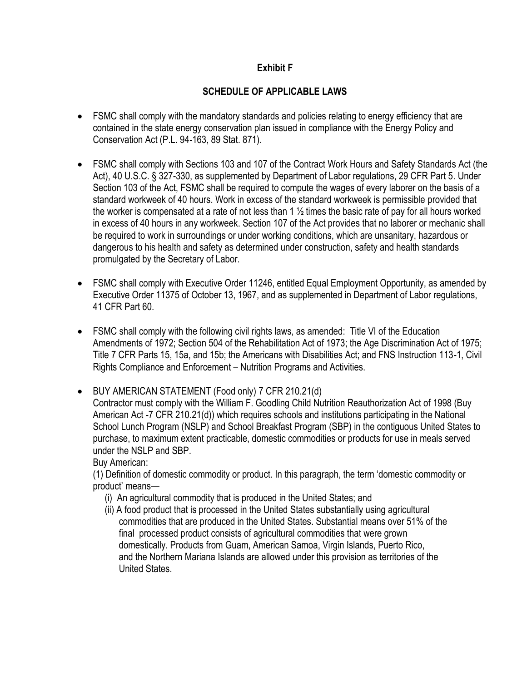### **Exhibit F**

### **SCHEDULE OF APPLICABLE LAWS**

- FSMC shall comply with the mandatory standards and policies relating to energy efficiency that are contained in the state energy conservation plan issued in compliance with the Energy Policy and Conservation Act (P.L. 94-163, 89 Stat. 871).
- FSMC shall comply with Sections 103 and 107 of the Contract Work Hours and Safety Standards Act (the Act), 40 U.S.C. § 327-330, as supplemented by Department of Labor regulations, 29 CFR Part 5. Under Section 103 of the Act, FSMC shall be required to compute the wages of every laborer on the basis of a standard workweek of 40 hours. Work in excess of the standard workweek is permissible provided that the worker is compensated at a rate of not less than 1  $\frac{1}{2}$  times the basic rate of pay for all hours worked in excess of 40 hours in any workweek. Section 107 of the Act provides that no laborer or mechanic shall be required to work in surroundings or under working conditions, which are unsanitary, hazardous or dangerous to his health and safety as determined under construction, safety and health standards promulgated by the Secretary of Labor.
- FSMC shall comply with Executive Order 11246, entitled Equal Employment Opportunity, as amended by Executive Order 11375 of October 13, 1967, and as supplemented in Department of Labor regulations, 41 CFR Part 60.
- FSMC shall comply with the following civil rights laws, as amended: Title VI of the Education Amendments of 1972; Section 504 of the Rehabilitation Act of 1973; the Age Discrimination Act of 1975; Title 7 CFR Parts 15, 15a, and 15b; the Americans with Disabilities Act; and FNS Instruction 113-1, Civil Rights Compliance and Enforcement – Nutrition Programs and Activities.

• BUY AMERICAN STATEMENT (Food only) 7 CFR 210.21(d)

Contractor must comply with the William F. Goodling Child Nutrition Reauthorization Act of 1998 (Buy American Act -7 CFR 210.21(d)) which requires schools and institutions participating in the National School Lunch Program (NSLP) and School Breakfast Program (SBP) in the contiguous United States to purchase, to maximum extent practicable, domestic commodities or products for use in meals served under the NSLP and SBP.

Buy American:

(1) Definition of domestic commodity or product. In this paragraph, the term 'domestic commodity or product' means—

- (i) An agricultural commodity that is produced in the United States; and
- (ii) A food product that is processed in the United States substantially using agricultural commodities that are produced in the United States. Substantial means over 51% of the final processed product consists of agricultural commodities that were grown domestically. Products from Guam, American Samoa, Virgin Islands, Puerto Rico, and the Northern Mariana Islands are allowed under this provision as territories of the United States.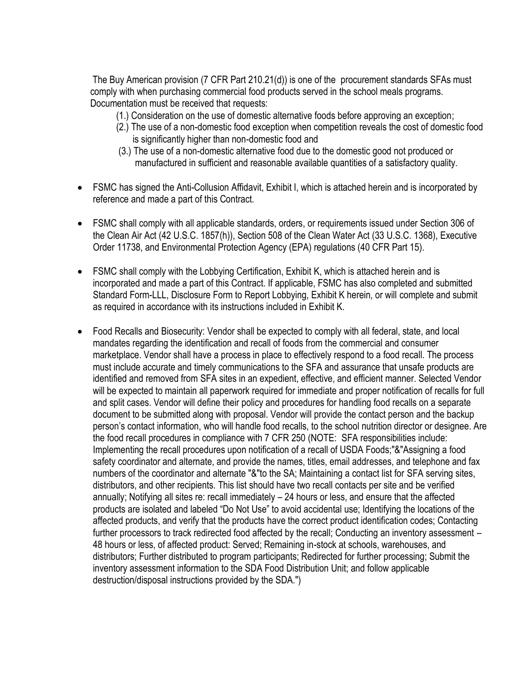The Buy American provision (7 CFR Part 210.21(d)) is one of the procurement standards SFAs must comply with when purchasing commercial food products served in the school meals programs. Documentation must be received that requests:

- (1.) Consideration on the use of domestic alternative foods before approving an exception;
- (2.) The use of a non-domestic food exception when competition reveals the cost of domestic food is significantly higher than non-domestic food and
- (3.) The use of a non-domestic alternative food due to the domestic good not produced or manufactured in sufficient and reasonable available quantities of a satisfactory quality.
- FSMC has signed the Anti-Collusion Affidavit, Exhibit I, which is attached herein and is incorporated by reference and made a part of this Contract.
- FSMC shall comply with all applicable standards, orders, or requirements issued under Section 306 of the Clean Air Act (42 U.S.C. 1857(h)), Section 508 of the Clean Water Act (33 U.S.C. 1368), Executive Order 11738, and Environmental Protection Agency (EPA) regulations (40 CFR Part 15).
- FSMC shall comply with the Lobbying Certification, Exhibit K, which is attached herein and is incorporated and made a part of this Contract. If applicable, FSMC has also completed and submitted Standard Form-LLL, Disclosure Form to Report Lobbying, Exhibit K herein, or will complete and submit as required in accordance with its instructions included in Exhibit K.
- Food Recalls and Biosecurity: Vendor shall be expected to comply with all federal, state, and local mandates regarding the identification and recall of foods from the commercial and consumer marketplace. Vendor shall have a process in place to effectively respond to a food recall. The process must include accurate and timely communications to the SFA and assurance that unsafe products are identified and removed from SFA sites in an expedient, effective, and efficient manner. Selected Vendor will be expected to maintain all paperwork required for immediate and proper notification of recalls for full and split cases. Vendor will define their policy and procedures for handling food recalls on a separate document to be submitted along with proposal. Vendor will provide the contact person and the backup person's contact information, who will handle food recalls, to the school nutrition director or designee. Are the food recall procedures in compliance with 7 CFR 250 (NOTE: SFA responsibilities include: Implementing the recall procedures upon notification of a recall of USDA Foods;"&"Assigning a food safety coordinator and alternate, and provide the names, titles, email addresses, and telephone and fax numbers of the coordinator and alternate "&"to the SA; Maintaining a contact list for SFA serving sites, distributors, and other recipients. This list should have two recall contacts per site and be verified annually; Notifying all sites re: recall immediately – 24 hours or less, and ensure that the affected products are isolated and labeled "Do Not Use" to avoid accidental use; Identifying the locations of the affected products, and verify that the products have the correct product identification codes; Contacting further processors to track redirected food affected by the recall; Conducting an inventory assessment – 48 hours or less, of affected product: Served; Remaining in-stock at schools, warehouses, and distributors; Further distributed to program participants; Redirected for further processing; Submit the inventory assessment information to the SDA Food Distribution Unit; and follow applicable destruction/disposal instructions provided by the SDA.")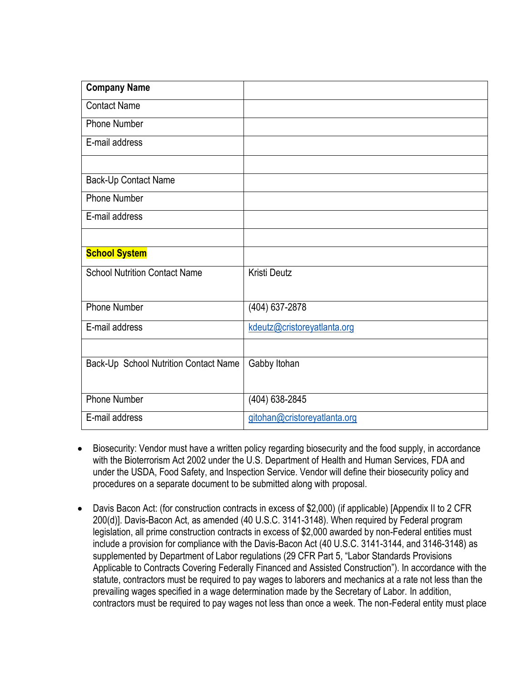| <b>Company Name</b>                   |                              |
|---------------------------------------|------------------------------|
| <b>Contact Name</b>                   |                              |
| <b>Phone Number</b>                   |                              |
| E-mail address                        |                              |
|                                       |                              |
| Back-Up Contact Name                  |                              |
| <b>Phone Number</b>                   |                              |
| E-mail address                        |                              |
|                                       |                              |
| <b>School System</b>                  |                              |
| <b>School Nutrition Contact Name</b>  | <b>Kristi Deutz</b>          |
|                                       |                              |
| <b>Phone Number</b>                   | (404) 637-2878               |
| E-mail address                        | kdeutz@cristoreyatlanta.org  |
|                                       |                              |
| Back-Up School Nutrition Contact Name | Gabby Itohan                 |
|                                       |                              |
| <b>Phone Number</b>                   | (404) 638-2845               |
| E-mail address                        | gitohan@cristoreyatlanta.org |

- Biosecurity: Vendor must have a written policy regarding biosecurity and the food supply, in accordance with the Bioterrorism Act 2002 under the U.S. Department of Health and Human Services, FDA and under the USDA, Food Safety, and Inspection Service. Vendor will define their biosecurity policy and procedures on a separate document to be submitted along with proposal.
- Davis Bacon Act: (for construction contracts in excess of \$2,000) (if applicable) [Appendix II to 2 CFR 200(d)]. Davis-Bacon Act, as amended (40 U.S.C. 3141-3148). When required by Federal program legislation, all prime construction contracts in excess of \$2,000 awarded by non-Federal entities must include a provision for compliance with the Davis-Bacon Act (40 U.S.C. 3141-3144, and 3146-3148) as supplemented by Department of Labor regulations (29 CFR Part 5, "Labor Standards Provisions Applicable to Contracts Covering Federally Financed and Assisted Construction"). In accordance with the statute, contractors must be required to pay wages to laborers and mechanics at a rate not less than the prevailing wages specified in a wage determination made by the Secretary of Labor. In addition, contractors must be required to pay wages not less than once a week. The non-Federal entity must place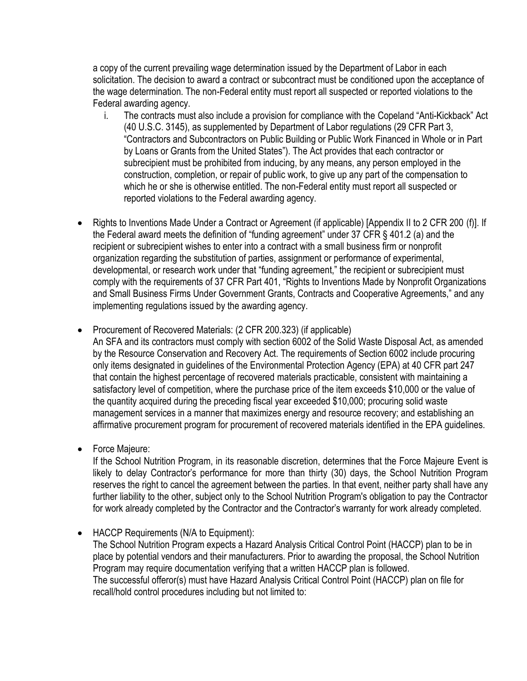a copy of the current prevailing wage determination issued by the Department of Labor in each solicitation. The decision to award a contract or subcontract must be conditioned upon the acceptance of the wage determination. The non-Federal entity must report all suspected or reported violations to the Federal awarding agency.

- i. The contracts must also include a provision for compliance with the Copeland "Anti-Kickback" Act (40 U.S.C. 3145), as supplemented by Department of Labor regulations (29 CFR Part 3, "Contractors and Subcontractors on Public Building or Public Work Financed in Whole or in Part by Loans or Grants from the United States"). The Act provides that each contractor or subrecipient must be prohibited from inducing, by any means, any person employed in the construction, completion, or repair of public work, to give up any part of the compensation to which he or she is otherwise entitled. The non-Federal entity must report all suspected or reported violations to the Federal awarding agency.
- Rights to Inventions Made Under a Contract or Agreement (if applicable) [Appendix II to 2 CFR 200 (f)]. If the Federal award meets the definition of "funding agreement" under 37 CFR § 401.2 (a) and the recipient or subrecipient wishes to enter into a contract with a small business firm or nonprofit organization regarding the substitution of parties, assignment or performance of experimental, developmental, or research work under that "funding agreement," the recipient or subrecipient must comply with the requirements of 37 CFR Part 401, "Rights to Inventions Made by Nonprofit Organizations and Small Business Firms Under Government Grants, Contracts and Cooperative Agreements," and any implementing regulations issued by the awarding agency.
- Procurement of Recovered Materials: (2 CFR 200.323) (if applicable)

An SFA and its contractors must comply with section 6002 of the Solid Waste Disposal Act, as amended by the Resource Conservation and Recovery Act. The requirements of Section 6002 include procuring only items designated in guidelines of the Environmental Protection Agency (EPA) at 40 CFR part 247 that contain the highest percentage of recovered materials practicable, consistent with maintaining a satisfactory level of competition, where the purchase price of the item exceeds \$10,000 or the value of the quantity acquired during the preceding fiscal year exceeded \$10,000; procuring solid waste management services in a manner that maximizes energy and resource recovery; and establishing an affirmative procurement program for procurement of recovered materials identified in the EPA guidelines.

• Force Majeure:

If the School Nutrition Program, in its reasonable discretion, determines that the Force Majeure Event is likely to delay Contractor's performance for more than thirty (30) days, the School Nutrition Program reserves the right to cancel the agreement between the parties. In that event, neither party shall have any further liability to the other, subject only to the School Nutrition Program's obligation to pay the Contractor for work already completed by the Contractor and the Contractor's warranty for work already completed.

• HACCP Requirements (N/A to Equipment):

The School Nutrition Program expects a Hazard Analysis Critical Control Point (HACCP) plan to be in place by potential vendors and their manufacturers. Prior to awarding the proposal, the School Nutrition Program may require documentation verifying that a written HACCP plan is followed. The successful offeror(s) must have Hazard Analysis Critical Control Point (HACCP) plan on file for recall/hold control procedures including but not limited to: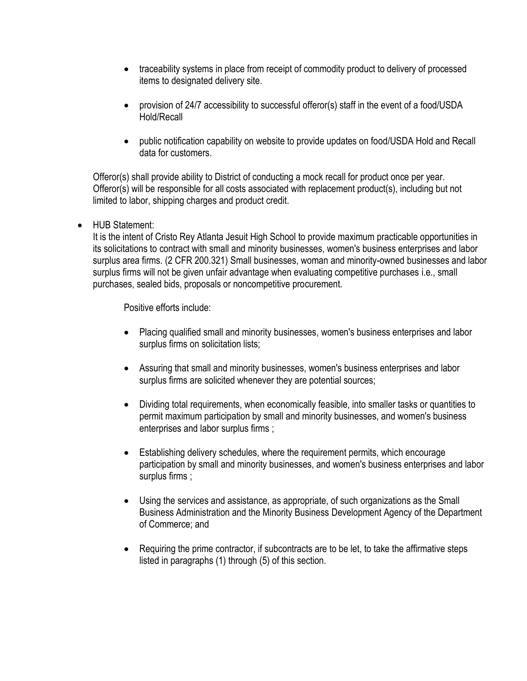- traceability systems in place from receipt of commodity product to delivery of processed items to designated delivery site.
- provision of 24/7 accessibility to successful offeror(s) staff in the event of a food/USDA Hold/Recall
- public notification capability on website to provide updates on food/USDA Hold and Recall data for customers.

Offeror(s) shall provide ability to District of conducting a mock recall for product once per year. Offeror(s) will be responsible for all costs associated with replacement product(s), including but not limited to labor, shipping charges and product credit.

• HUB Statement:

It is the intent of Cristo Rey Atlanta Jesuit High School to provide maximum practicable opportunities in its solicitations to contract with small and minority businesses, women's business enterprises and labor surplus area firms. (2 CFR 200.321) Small businesses, woman and minority-owned businesses and labor surplus firms will not be given unfair advantage when evaluating competitive purchases i.e., small purchases, sealed bids, proposals or noncompetitive procurement.

Positive efforts include:

- Placing qualified small and minority businesses, women's business enterprises and labor surplus firms on solicitation lists;
- Assuring that small and minority businesses, women's business enterprises and labor surplus firms are solicited whenever they are potential sources;
- Dividing total requirements, when economically feasible, into smaller tasks or quantities to permit maximum participation by small and minority businesses, and women's business enterprises and labor surplus firms ;
- Establishing delivery schedules, where the requirement permits, which encourage participation by small and minority businesses, and women's business enterprises and labor surplus firms ;
- Using the services and assistance, as appropriate, of such organizations as the Small Business Administration and the Minority Business Development Agency of the Department of Commerce; and
- Requiring the prime contractor, if subcontracts are to be let, to take the affirmative steps listed in paragraphs (1) through (5) of this section.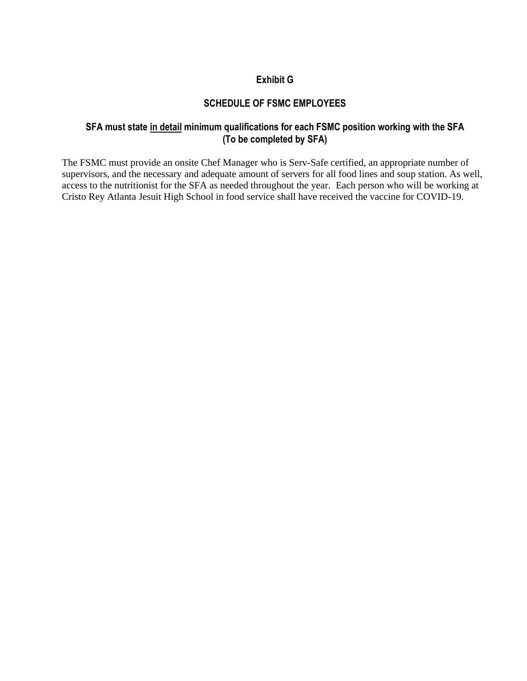#### **Exhibit G**

#### **SCHEDULE OF FSMC EMPLOYEES**

#### **SFA must state in detail minimum qualifications for each FSMC position working with the SFA (To be completed by SFA)**

The FSMC must provide an onsite Chef Manager who is Serv-Safe certified, an appropriate number of supervisors, and the necessary and adequate amount of servers for all food lines and soup station. As well, access to the nutritionist for the SFA as needed throughout the year. Each person who will be working at Cristo Rey Atlanta Jesuit High School in food service shall have received the vaccine for COVID-19.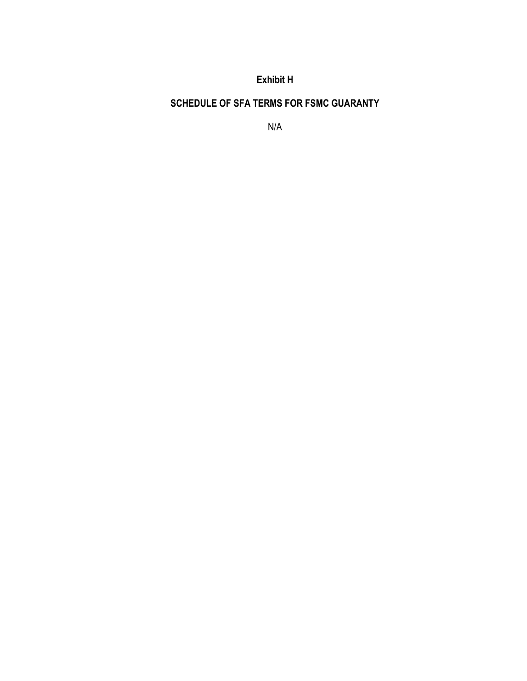**Exhibit H**

**SCHEDULE OF SFA TERMS FOR FSMC GUARANTY**

N/A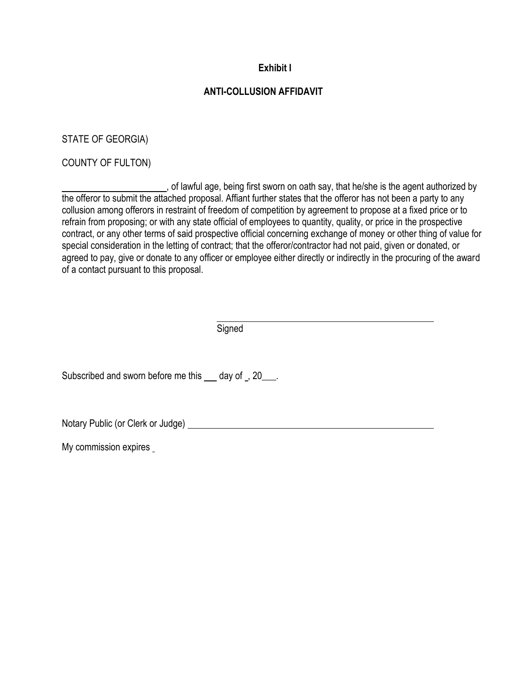### **Exhibit I**

### **ANTI-COLLUSION AFFIDAVIT**

STATE OF GEORGIA)

COUNTY OF FULTON)

, of lawful age, being first sworn on oath say, that he/she is the agent authorized by the offeror to submit the attached proposal. Affiant further states that the offeror has not been a party to any collusion among offerors in restraint of freedom of competition by agreement to propose at a fixed price or to refrain from proposing; or with any state official of employees to quantity, quality, or price in the prospective contract, or any other terms of said prospective official concerning exchange of money or other thing of value for special consideration in the letting of contract; that the offeror/contractor had not paid, given or donated, or agreed to pay, give or donate to any officer or employee either directly or indirectly in the procuring of the award of a contact pursuant to this proposal.

**Signed** 

Subscribed and sworn before me this day of , 20\_\_\_.

Notary Public (or Clerk or Judge)

My commission expires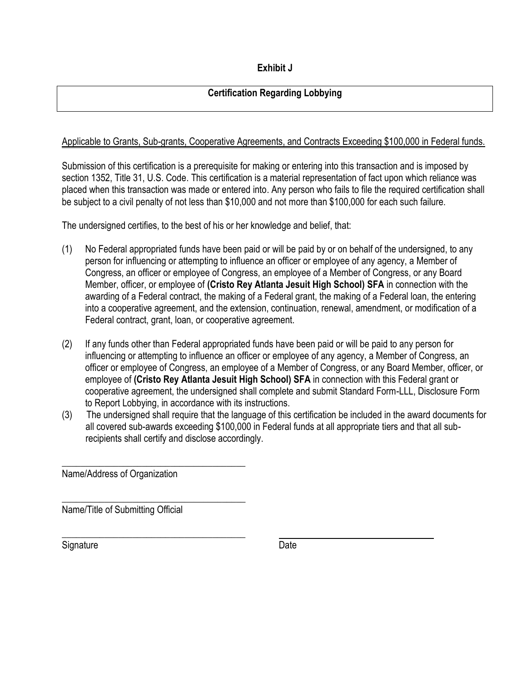## **Certification Regarding Lobbying**

### Applicable to Grants, Sub-grants, Cooperative Agreements, and Contracts Exceeding \$100,000 in Federal funds.

Submission of this certification is a prerequisite for making or entering into this transaction and is imposed by section 1352, Title 31, U.S. Code. This certification is a material representation of fact upon which reliance was placed when this transaction was made or entered into. Any person who fails to file the required certification shall be subject to a civil penalty of not less than \$10,000 and not more than \$100,000 for each such failure.

The undersigned certifies, to the best of his or her knowledge and belief, that:

- (1) No Federal appropriated funds have been paid or will be paid by or on behalf of the undersigned, to any person for influencing or attempting to influence an officer or employee of any agency, a Member of Congress, an officer or employee of Congress, an employee of a Member of Congress, or any Board Member, officer, or employee of **(Cristo Rey Atlanta Jesuit High School) SFA** in connection with the awarding of a Federal contract, the making of a Federal grant, the making of a Federal loan, the entering into a cooperative agreement, and the extension, continuation, renewal, amendment, or modification of a Federal contract, grant, loan, or cooperative agreement.
- (2) If any funds other than Federal appropriated funds have been paid or will be paid to any person for influencing or attempting to influence an officer or employee of any agency, a Member of Congress, an officer or employee of Congress, an employee of a Member of Congress, or any Board Member, officer, or employee of **(Cristo Rey Atlanta Jesuit High School) SFA** in connection with this Federal grant or cooperative agreement, the undersigned shall complete and submit Standard Form-LLL, Disclosure Form to Report Lobbying, in accordance with its instructions.
- (3) The undersigned shall require that the language of this certification be included in the award documents for all covered sub-awards exceeding \$100,000 in Federal funds at all appropriate tiers and that all sub recipients shall certify and disclose accordingly.

Name/Address of Organization

\_\_\_\_\_\_\_\_\_\_\_\_\_\_\_\_\_\_\_\_\_\_\_\_\_\_\_\_\_\_\_\_\_\_\_\_\_\_\_

\_\_\_\_\_\_\_\_\_\_\_\_\_\_\_\_\_\_\_\_\_\_\_\_\_\_\_\_\_\_\_\_\_\_\_\_\_\_\_

\_\_\_\_\_\_\_\_\_\_\_\_\_\_\_\_\_\_\_\_\_\_\_\_\_\_\_\_\_\_\_\_\_\_\_\_\_\_\_

Name/Title of Submitting Official

Signature Date Date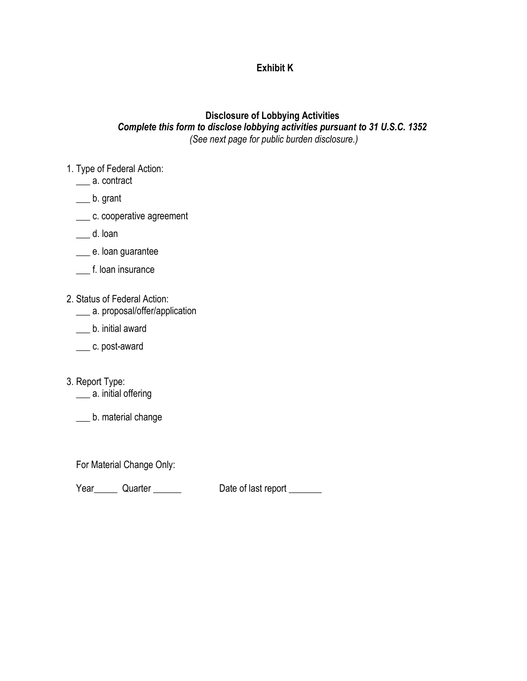### **Exhibit K**

#### **Disclosure of Lobbying Activities** *Complete this form to disclose lobbying activities pursuant to 31 U.S.C. 1352 (See next page for public burden disclosure.)*

- 1. Type of Federal Action:
	- \_\_\_ a. contract
	- \_\_\_ b. grant
	- \_\_\_ c. cooperative agreement
	- \_\_\_ d. loan
	- \_\_\_ e. loan guarantee
	- \_\_\_ f. loan insurance
- 2. Status of Federal Action:
	- \_\_\_ a. proposal/offer/application
	- \_\_\_ b. initial award
	- \_\_\_ c. post-award
- 3. Report Type: \_\_ a. initial offering
	- \_\_\_ b. material change

For Material Change Only:

Year\_\_\_\_\_\_ Quarter \_\_\_\_\_\_\_ Date of last report \_\_\_\_\_\_\_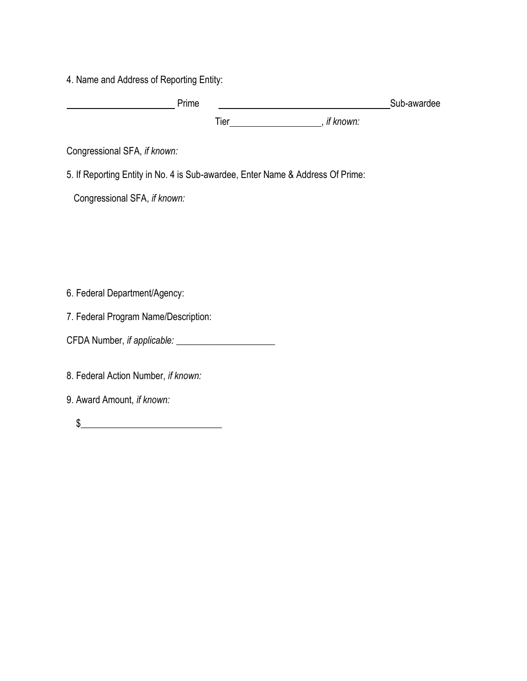4. Name and Address of Reporting Entity:

| Prime |            |                        | Sub-awardee |
|-------|------------|------------------------|-------------|
|       | $\tau$ ier | $\cdot$ .<br>it known: |             |

Congressional SFA, *if known:* 

5. If Reporting Entity in No. 4 is Sub-awardee, Enter Name & Address Of Prime:

Congressional SFA, *if known:*

6. Federal Department/Agency:

7. Federal Program Name/Description:

CFDA Number, *if applicable:* \_\_\_\_\_\_\_\_\_\_\_\_\_\_\_\_\_\_\_\_\_

8. Federal Action Number, *if known:*

9. Award Amount, *if known:*

 $\frac{1}{2}$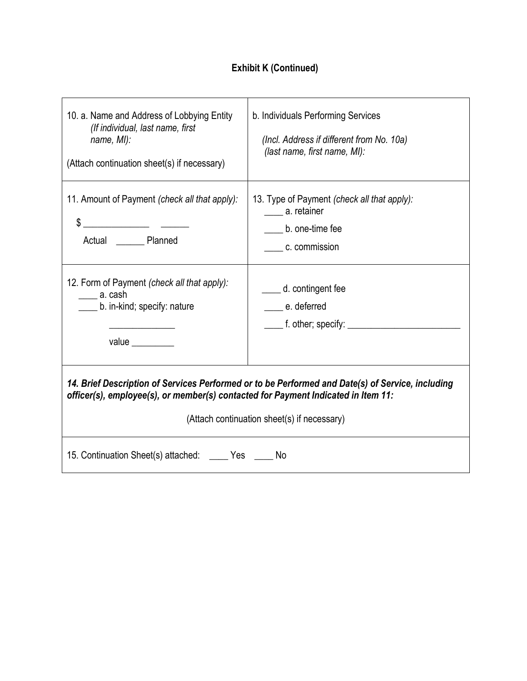# **Exhibit K (Continued)**

| 10. a. Name and Address of Lobbying Entity<br>(If individual, last name, first<br>name, MI):<br>(Attach continuation sheet(s) if necessary)                                                                                                                                                                                                                                                    | b. Individuals Performing Services<br>(Incl. Address if different from No. 10a)<br>(last name, first name, MI): |  |  |
|------------------------------------------------------------------------------------------------------------------------------------------------------------------------------------------------------------------------------------------------------------------------------------------------------------------------------------------------------------------------------------------------|-----------------------------------------------------------------------------------------------------------------|--|--|
| 11. Amount of Payment (check all that apply):<br>$\frac{1}{2}$ $\frac{1}{2}$ $\frac{1}{2}$ $\frac{1}{2}$ $\frac{1}{2}$ $\frac{1}{2}$ $\frac{1}{2}$ $\frac{1}{2}$ $\frac{1}{2}$ $\frac{1}{2}$ $\frac{1}{2}$ $\frac{1}{2}$ $\frac{1}{2}$ $\frac{1}{2}$ $\frac{1}{2}$ $\frac{1}{2}$ $\frac{1}{2}$ $\frac{1}{2}$ $\frac{1}{2}$ $\frac{1}{2}$ $\frac{1}{2}$ $\frac{1}{2}$<br>Actual _______ Planned | 13. Type of Payment (check all that apply):<br>_____ a. retainer<br>b. one-time fee<br>c. commission            |  |  |
| 12. Form of Payment (check all that apply):<br>______ a. cash<br>b. in-kind; specify: nature<br>value $\_\_$                                                                                                                                                                                                                                                                                   | d. contingent fee<br>e. deferred<br>______ f. other; specify: ___________________                               |  |  |
| 14. Brief Description of Services Performed or to be Performed and Date(s) of Service, including<br>officer(s), employee(s), or member(s) contacted for Payment Indicated in Item 11:<br>(Attach continuation sheet(s) if necessary)                                                                                                                                                           |                                                                                                                 |  |  |
| 15. Continuation Sheet(s) attached: _____ Yes _____ No                                                                                                                                                                                                                                                                                                                                         |                                                                                                                 |  |  |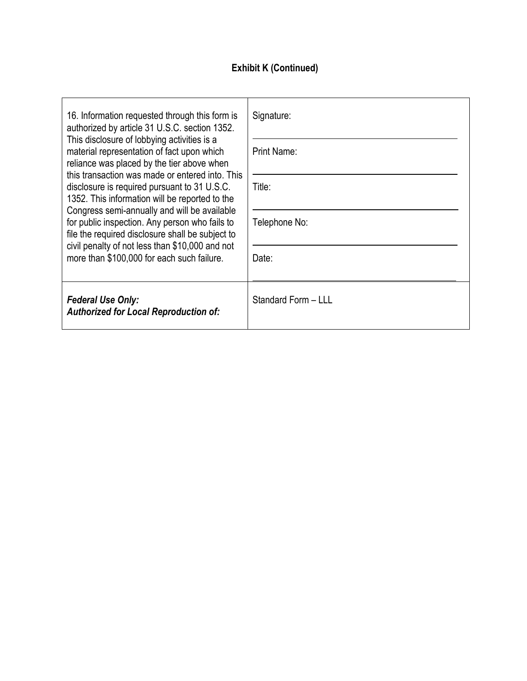# **Exhibit K (Continued)**

| 16. Information requested through this form is<br>authorized by article 31 U.S.C. section 1352.<br>This disclosure of lobbying activities is a<br>material representation of fact upon which<br>reliance was placed by the tier above when<br>this transaction was made or entered into. This<br>disclosure is required pursuant to 31 U.S.C.<br>1352. This information will be reported to the<br>Congress semi-annually and will be available<br>for public inspection. Any person who fails to<br>file the required disclosure shall be subject to<br>civil penalty of not less than \$10,000 and not<br>more than \$100,000 for each such failure. | Signature:<br>Print Name:<br>Title:<br>Telephone No:<br>Date: |
|--------------------------------------------------------------------------------------------------------------------------------------------------------------------------------------------------------------------------------------------------------------------------------------------------------------------------------------------------------------------------------------------------------------------------------------------------------------------------------------------------------------------------------------------------------------------------------------------------------------------------------------------------------|---------------------------------------------------------------|
| <b>Federal Use Only:</b><br><b>Authorized for Local Reproduction of:</b>                                                                                                                                                                                                                                                                                                                                                                                                                                                                                                                                                                               | Standard Form - LLL                                           |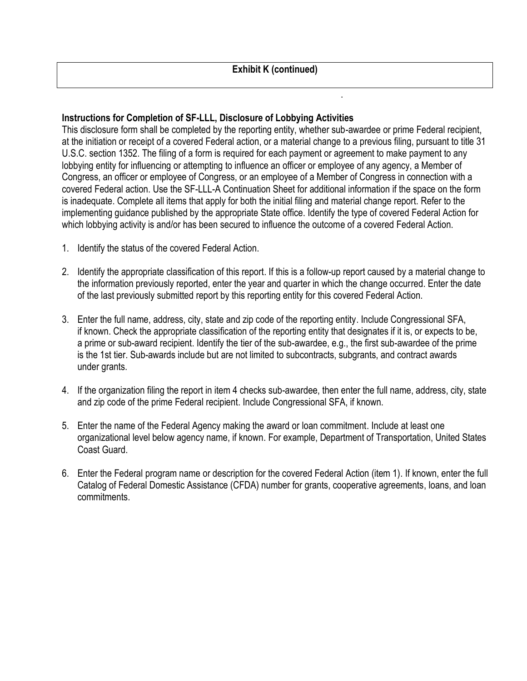.

### **Instructions for Completion of SF-LLL, Disclosure of Lobbying Activities**

This disclosure form shall be completed by the reporting entity, whether sub-awardee or prime Federal recipient, at the initiation or receipt of a covered Federal action, or a material change to a previous filing, pursuant to title 31 U.S.C. section 1352. The filing of a form is required for each payment or agreement to make payment to any lobbying entity for influencing or attempting to influence an officer or employee of any agency, a Member of Congress, an officer or employee of Congress, or an employee of a Member of Congress in connection with a covered Federal action. Use the SF-LLL-A Continuation Sheet for additional information if the space on the form is inadequate. Complete all items that apply for both the initial filing and material change report. Refer to the implementing guidance published by the appropriate State office. Identify the type of covered Federal Action for which lobbying activity is and/or has been secured to influence the outcome of a covered Federal Action.

- 1. Identify the status of the covered Federal Action.
- 2. Identify the appropriate classification of this report. If this is a follow-up report caused by a material change to the information previously reported, enter the year and quarter in which the change occurred. Enter the date of the last previously submitted report by this reporting entity for this covered Federal Action.
- 3. Enter the full name, address, city, state and zip code of the reporting entity. Include Congressional SFA, if known. Check the appropriate classification of the reporting entity that designates if it is, or expects to be, a prime or sub-award recipient. Identify the tier of the sub-awardee, e.g., the first sub-awardee of the prime is the 1st tier. Sub-awards include but are not limited to subcontracts, subgrants, and contract awards under grants.
- 4. If the organization filing the report in item 4 checks sub-awardee, then enter the full name, address, city, state and zip code of the prime Federal recipient. Include Congressional SFA, if known.
- 5. Enter the name of the Federal Agency making the award or loan commitment. Include at least one organizational level below agency name, if known. For example, Department of Transportation, United States Coast Guard.
- 6. Enter the Federal program name or description for the covered Federal Action (item 1). If known, enter the full Catalog of Federal Domestic Assistance (CFDA) number for grants, cooperative agreements, loans, and loan commitments.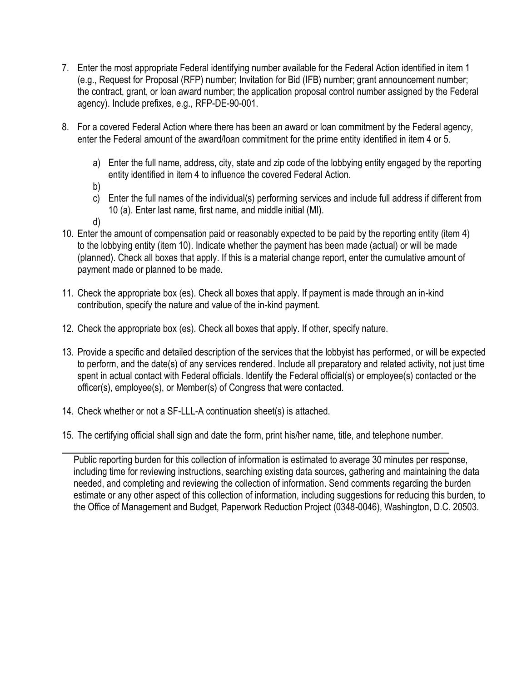- 7. Enter the most appropriate Federal identifying number available for the Federal Action identified in item 1 (e.g., Request for Proposal (RFP) number; Invitation for Bid (IFB) number; grant announcement number; the contract, grant, or loan award number; the application proposal control number assigned by the Federal agency). Include prefixes, e.g., RFP-DE-90-001.
- 8. For a covered Federal Action where there has been an award or loan commitment by the Federal agency, enter the Federal amount of the award/loan commitment for the prime entity identified in item 4 or 5.
	- a) Enter the full name, address, city, state and zip code of the lobbying entity engaged by the reporting entity identified in item 4 to influence the covered Federal Action.
	- b)
	- c) Enter the full names of the individual(s) performing services and include full address if different from 10 (a). Enter last name, first name, and middle initial (MI).
	- d)
- 10. Enter the amount of compensation paid or reasonably expected to be paid by the reporting entity (item 4) to the lobbying entity (item 10). Indicate whether the payment has been made (actual) or will be made (planned). Check all boxes that apply. If this is a material change report, enter the cumulative amount of payment made or planned to be made.
- 11. Check the appropriate box (es). Check all boxes that apply. If payment is made through an in-kind contribution, specify the nature and value of the in-kind payment.
- 12. Check the appropriate box (es). Check all boxes that apply. If other, specify nature.
- 13. Provide a specific and detailed description of the services that the lobbyist has performed, or will be expected to perform, and the date(s) of any services rendered. Include all preparatory and related activity, not just time spent in actual contact with Federal officials. Identify the Federal official(s) or employee(s) contacted or the officer(s), employee(s), or Member(s) of Congress that were contacted.
- 14. Check whether or not a SF-LLL-A continuation sheet(s) is attached.
- 15. The certifying official shall sign and date the form, print his/her name, title, and telephone number.

Public reporting burden for this collection of information is estimated to average 30 minutes per response, including time for reviewing instructions, searching existing data sources, gathering and maintaining the data needed, and completing and reviewing the collection of information. Send comments regarding the burden estimate or any other aspect of this collection of information, including suggestions for reducing this burden, to the Office of Management and Budget, Paperwork Reduction Project (0348-0046), Washington, D.C. 20503.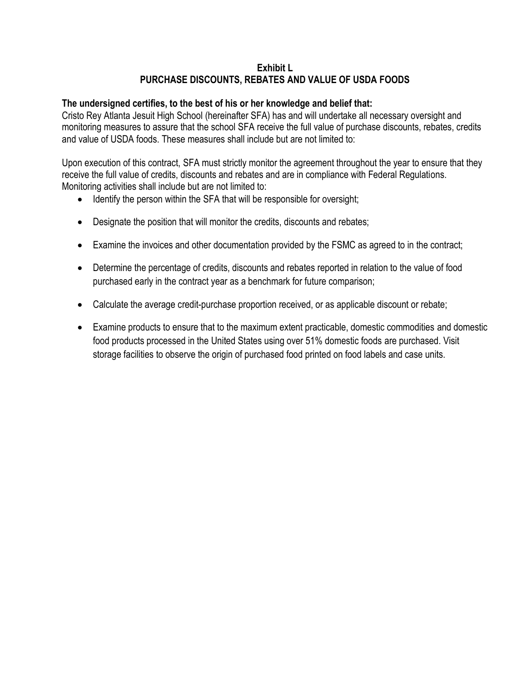### **Exhibit L PURCHASE DISCOUNTS, REBATES AND VALUE OF USDA FOODS**

#### **The undersigned certifies, to the best of his or her knowledge and belief that:**

Cristo Rey Atlanta Jesuit High School (hereinafter SFA) has and will undertake all necessary oversight and monitoring measures to assure that the school SFA receive the full value of purchase discounts, rebates, credits and value of USDA foods. These measures shall include but are not limited to:

Upon execution of this contract, SFA must strictly monitor the agreement throughout the year to ensure that they receive the full value of credits, discounts and rebates and are in compliance with Federal Regulations. Monitoring activities shall include but are not limited to:

- Identify the person within the SFA that will be responsible for oversight;
- Designate the position that will monitor the credits, discounts and rebates;
- Examine the invoices and other documentation provided by the FSMC as agreed to in the contract;
- Determine the percentage of credits, discounts and rebates reported in relation to the value of food purchased early in the contract year as a benchmark for future comparison;
- Calculate the average credit-purchase proportion received, or as applicable discount or rebate;
- Examine products to ensure that to the maximum extent practicable, domestic commodities and domestic food products processed in the United States using over 51% domestic foods are purchased. Visit storage facilities to observe the origin of purchased food printed on food labels and case units.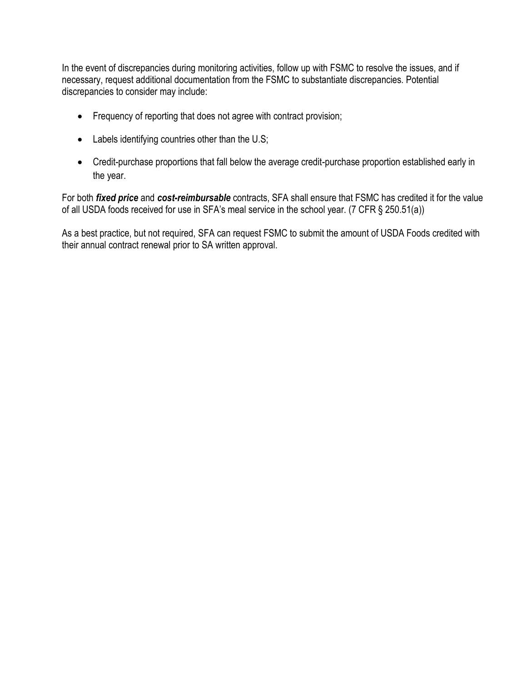In the event of discrepancies during monitoring activities, follow up with FSMC to resolve the issues, and if necessary, request additional documentation from the FSMC to substantiate discrepancies. Potential discrepancies to consider may include:

- Frequency of reporting that does not agree with contract provision;
- Labels identifying countries other than the U.S;
- Credit-purchase proportions that fall below the average credit-purchase proportion established early in the year.

For both *fixed price* and *cost-reimbursable* contracts, SFA shall ensure that FSMC has credited it for the value of all USDA foods received for use in SFA's meal service in the school year. (7 CFR § 250.51(a))

As a best practice, but not required, SFA can request FSMC to submit the amount of USDA Foods credited with their annual contract renewal prior to SA written approval.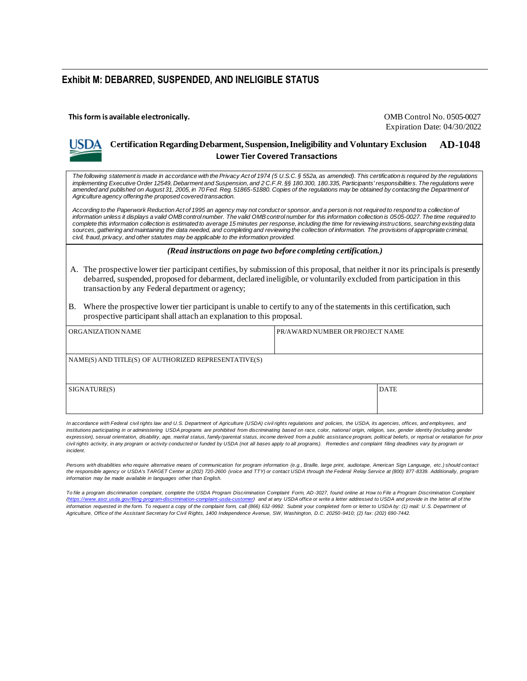#### **Exhibit M: DEBARRED, SUSPENDED, AND INELIGIBLE STATUS**

**This form is available electronically.** OMB Control No. 0505-0027

Expiration Date: 04/30/2022

### **Certification Regarding Debarment, Suspension, Ineligibility and Voluntary Exclusion AD-1048 Lower Tier Covered Transactions**

*The following statement is made in accordance with the Privacy Act of 1974 (5 U.S.C. § 552a, as amended). This certification is required by the regulations implementing Executive Order 12549, Debarment and Suspension, and 2 C.F.R. §§ 180.300, 180.335, Participants' responsibilities. The regulations were amended and published on August 31, 2005, in 70 Fed. Reg. 51865-51880. Copies of the regulations may be obtained by contacting the Department of Agriculture agency offering the proposed covered transaction.*

According to the Paperwork Reduction Act of 1995 an agency may not conduct or sponsor, and a person is not required to respond to a collection of *information unless it displays a valid OMB control number. The valid OMB control number for this information collection is 0505-0027. The time required to complete this information collection is estimated to average 15 minutes per response, including the time for reviewing instructions, searching existing data*  sources, gathering and maintaining the data needed, and completing and reviewing the collection of information. The provisions of appropriate criminal, *civil, fraud, privacy, and other statutes may be applicable to the information provided.*

*(Read instructions on page two before completing certification.)*

- A. The prospective lower tier participant certifies, by submission of this proposal, that neither it nor its principals is presently debarred, suspended, proposed for debarment, declared ineligible, or voluntarily excluded from participation in this transaction by any Federal department or agency;
- B. Where the prospective lower tier participant is unable to certify to any of the statements in this certification, such prospective participant shall attach an explanation to this proposal.

| ORGANIZATION NAME                                    | PR/AWARD NUMBER OR PROJECT NAME |             |  |
|------------------------------------------------------|---------------------------------|-------------|--|
|                                                      |                                 |             |  |
| NAME(S) AND TITLE(S) OF AUTHORIZED REPRESENTATIVE(S) |                                 |             |  |
|                                                      |                                 |             |  |
| SIGNATURE(S)                                         |                                 | <b>DATE</b> |  |
|                                                      |                                 |             |  |

*In accordance with Federal civil rights law and U.S. Department of Agriculture (USDA) civil rights regulations and policies, the USDA, its agencies, offices, and employees, and*  institutions participating in or administering USDA programs are prohibited from discriminating based on race, color, national origin, religion, sex, gender identity (including gender expression), sexual orientation, disability, age, marital status, family/parental status, income derived from a public assistance program, political beliefs, or reprisal or retaliation for prior civil rights activity, in any program or activity conducted or funded by USDA (not all bases apply to all programs). Remedies and complaint filing deadlines vary by program or *incident.*

*Persons with disabilities who require alternative means of communication for program information (e.g., Braille, large print, audiotape, American Sign Language, etc.) should contact the responsible agency or USDA's TARGET Center at (202) 720-2600 (voice and TTY) or contact USDA through the Federal Relay Service at (800) 877-8339. Additionally, program information may be made available in languages other than English.*

To file a program discrimination complaint, complete the USDA Program Discrimination Complaint Form, AD-3027, found online at How to File a Program Discrimination Complaint *(https://www.ascr.usda.gov/filing-program-discrimination-complaint-usda-customer) and at any USDA office or write a letter addressed to USDA and provide in the letter all of the information requested in the form. To request a copy of the complaint form, call (866) 632-9992. Submit your completed form or letter to USDA by: (1) mail: U.S. Department of Agriculture, Office of the Assistant Secretary for Civil Rights, 1400 Independence Avenue, SW, Washington, D.C. 20250-9410; (2) fax: (202) 690-7442.*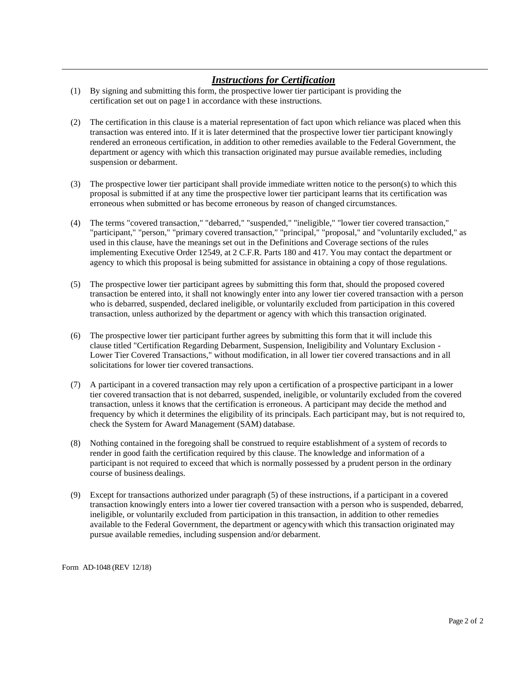### *Instructions for Certification*

- (1) By signing and submitting this form, the prospective lower tier participant is providing the certification set out on page1 in accordance with these instructions.
- (2) The certification in this clause is a material representation of fact upon which reliance was placed when this transaction was entered into. If it is later determined that the prospective lower tier participant knowingly rendered an erroneous certification, in addition to other remedies available to the Federal Government, the department or agency with which this transaction originated may pursue available remedies, including suspension or debarment.
- (3) The prospective lower tier participant shall provide immediate written notice to the person(s) to which this proposal is submitted if at any time the prospective lower tier participant learns that its certification was erroneous when submitted or has become erroneous by reason of changed circumstances.
- (4) The terms "covered transaction," "debarred," "suspended," "ineligible," "lower tier covered transaction," "participant," "person," "primary covered transaction," "principal," "proposal," and "voluntarily excluded," as used in this clause, have the meanings set out in the Definitions and Coverage sections of the rules implementing Executive Order 12549, at 2 C.F.R. Parts 180 and 417. You may contact the department or agency to which this proposal is being submitted for assistance in obtaining a copy of those regulations.
- (5) The prospective lower tier participant agrees by submitting this form that, should the proposed covered transaction be entered into, it shall not knowingly enter into any lower tier covered transaction with a person who is debarred, suspended, declared ineligible, or voluntarily excluded from participation in this covered transaction, unless authorized by the department or agency with which this transaction originated.
- (6) The prospective lower tier participant further agrees by submitting this form that it will include this clause titled "Certification Regarding Debarment, Suspension, Ineligibility and Voluntary Exclusion - Lower Tier Covered Transactions," without modification, in all lower tier covered transactions and in all solicitations for lower tier covered transactions.
- (7) A participant in a covered transaction may rely upon a certification of a prospective participant in a lower tier covered transaction that is not debarred, suspended, ineligible, or voluntarily excluded from the covered transaction, unless it knows that the certification is erroneous. A participant may decide the method and frequency by which it determines the eligibility of its principals. Each participant may, but is not required to, check the System for Award Management (SAM) database.
- (8) Nothing contained in the foregoing shall be construed to require establishment of a system of records to render in good faith the certification required by this clause. The knowledge and information of a participant is not required to exceed that which is normally possessed by a prudent person in the ordinary course of business dealings.
- (9) Except for transactions authorized under paragraph (5) of these instructions, if a participant in a covered transaction knowingly enters into a lower tier covered transaction with a person who is suspended, debarred, ineligible, or voluntarily excluded from participation in this transaction, in addition to other remedies available to the Federal Government, the department or agencywith which this transaction originated may pursue available remedies, including suspension and/or debarment.

Form AD-1048 (REV 12/18)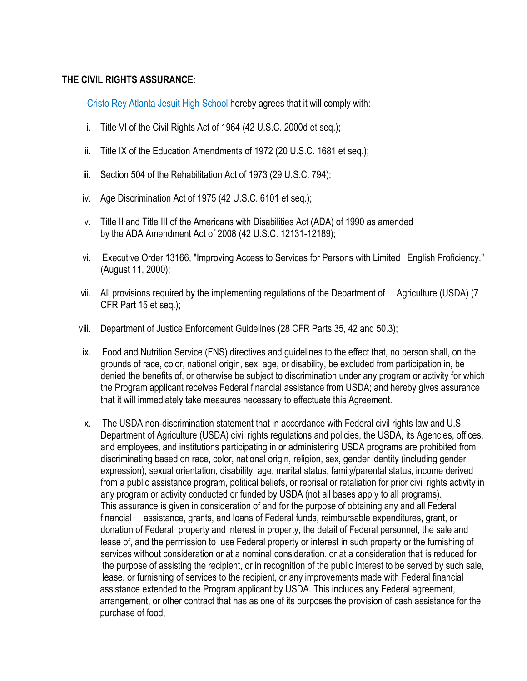### **THE CIVIL RIGHTS ASSURANCE**:

Cristo Rey Atlanta Jesuit High School hereby agrees that it will comply with:

- i. Title VI of the Civil Rights Act of 1964 (42 U.S.C. 2000d et seq.);
- ii. Title IX of the Education Amendments of 1972 (20 U.S.C. 1681 et seq.);
- iii. Section 504 of the Rehabilitation Act of 1973 (29 U.S.C. 794);
- iv. Age Discrimination Act of 1975 (42 U.S.C. 6101 et seq.);
- v. Title II and Title III of the Americans with Disabilities Act (ADA) of 1990 as amended by the ADA Amendment Act of 2008 (42 U.S.C. 12131-12189);
- vi. Executive Order 13166, "Improving Access to Services for Persons with Limited English Proficiency." (August 11, 2000);
- vii. All provisions required by the implementing regulations of the Department of Agriculture (USDA) (7 CFR Part 15 et seq.);
- viii. Department of Justice Enforcement Guidelines (28 CFR Parts 35, 42 and 50.3);
- ix. Food and Nutrition Service (FNS) directives and guidelines to the effect that, no person shall, on the grounds of race, color, national origin, sex, age, or disability, be excluded from participation in, be denied the benefits of, or otherwise be subject to discrimination under any program or activity for which the Program applicant receives Federal financial assistance from USDA; and hereby gives assurance that it will immediately take measures necessary to effectuate this Agreement.
- x. The USDA non-discrimination statement that in accordance with Federal civil rights law and U.S. Department of Agriculture (USDA) civil rights regulations and policies, the USDA, its Agencies, offices, and employees, and institutions participating in or administering USDA programs are prohibited from discriminating based on race, color, national origin, religion, sex, gender identity (including gender expression), sexual orientation, disability, age, marital status, family/parental status, income derived from a public assistance program, political beliefs, or reprisal or retaliation for prior civil rights activity in any program or activity conducted or funded by USDA (not all bases apply to all programs). This assurance is given in consideration of and for the purpose of obtaining any and all Federal financial assistance, grants, and loans of Federal funds, reimbursable expenditures, grant, or donation of Federal property and interest in property, the detail of Federal personnel, the sale and lease of, and the permission to use Federal property or interest in such property or the furnishing of services without consideration or at a nominal consideration, or at a consideration that is reduced for the purpose of assisting the recipient, or in recognition of the public interest to be served by such sale, lease, or furnishing of services to the recipient, or any improvements made with Federal financial assistance extended to the Program applicant by USDA. This includes any Federal agreement, arrangement, or other contract that has as one of its purposes the provision of cash assistance for the purchase of food,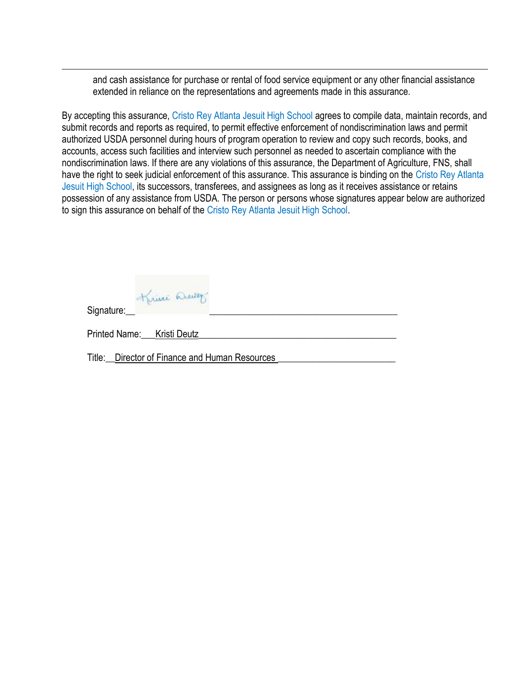and cash assistance for purchase or rental of food service equipment or any other financial assistance extended in reliance on the representations and agreements made in this assurance.

By accepting this assurance, Cristo Rey Atlanta Jesuit High School agrees to compile data, maintain records, and submit records and reports as required, to permit effective enforcement of nondiscrimination laws and permit authorized USDA personnel during hours of program operation to review and copy such records, books, and accounts, access such facilities and interview such personnel as needed to ascertain compliance with the nondiscrimination laws. If there are any violations of this assurance, the Department of Agriculture, FNS, shall have the right to seek judicial enforcement of this assurance. This assurance is binding on the Cristo Rey Atlanta Jesuit High School, its successors, transferees, and assignees as long as it receives assistance or retains possession of any assistance from USDA. The person or persons whose signatures appear below are authorized to sign this assurance on behalf of the Cristo Rey Atlanta Jesuit High School.

Signature:

| Printed Name: Kristi Deutz |  |
|----------------------------|--|
|                            |  |

Title: Director of Finance and Human Resources